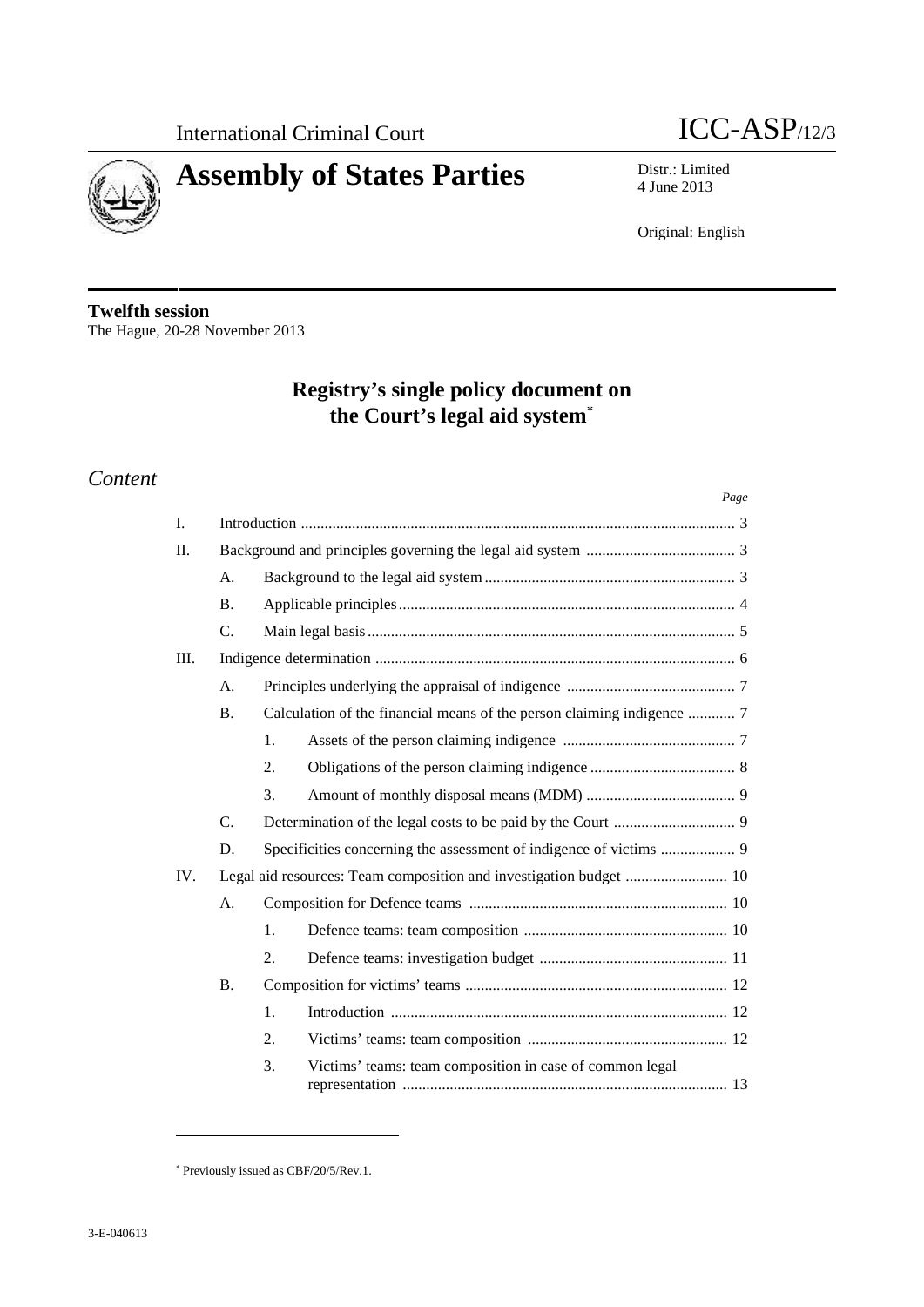



# **Assembly of States Parties** Distr.: Limited  $\frac{\text{Distr.: Limited}}{4 \text{ June } 2013}$

4 June 2013

Original: English

**Twelfth session** The Hague, 20-28 November 2013

## **Registry's single policy document on the Court's legal aid system**

## *Content*

|         |                 |                                                                        | Page |  |  |  |  |
|---------|-----------------|------------------------------------------------------------------------|------|--|--|--|--|
| L.      |                 |                                                                        |      |  |  |  |  |
| $\Pi$ . |                 |                                                                        |      |  |  |  |  |
|         | A <sub>1</sub>  |                                                                        |      |  |  |  |  |
|         | <b>B.</b>       |                                                                        |      |  |  |  |  |
|         | $C_{\cdot}$     |                                                                        |      |  |  |  |  |
| III.    |                 |                                                                        |      |  |  |  |  |
|         | A.              |                                                                        |      |  |  |  |  |
|         | <b>B.</b>       | Calculation of the financial means of the person claiming indigence  7 |      |  |  |  |  |
|         |                 | 1.                                                                     |      |  |  |  |  |
|         |                 | 2.                                                                     |      |  |  |  |  |
|         |                 | 3.                                                                     |      |  |  |  |  |
|         | $\mathcal{C}$ . |                                                                        |      |  |  |  |  |
|         | D.              |                                                                        |      |  |  |  |  |
| IV.     |                 |                                                                        |      |  |  |  |  |
|         | A.              |                                                                        |      |  |  |  |  |
|         |                 | 1.                                                                     |      |  |  |  |  |
|         |                 | 2.                                                                     |      |  |  |  |  |
|         | <b>B.</b>       |                                                                        |      |  |  |  |  |
|         |                 | 1.                                                                     |      |  |  |  |  |
|         |                 | 2.                                                                     |      |  |  |  |  |
|         |                 | Victims' teams: team composition in case of common legal<br>3.         |      |  |  |  |  |

Previously issued as CBF/20/5/Rev.1.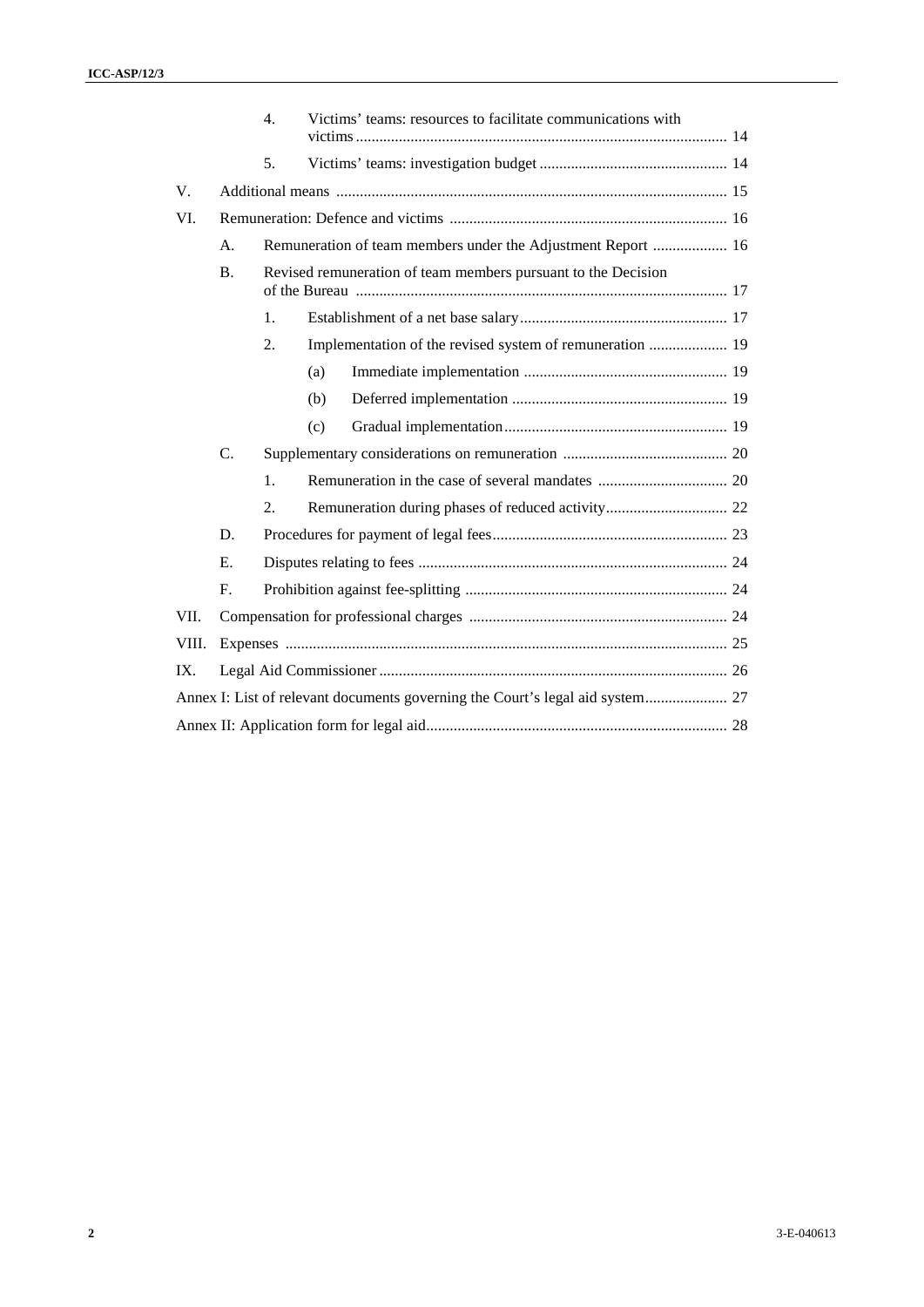| 5.<br>V.<br>VI.<br>Remuneration of team members under the Adjustment Report  16<br>А.<br>B.<br>Revised remuneration of team members pursuant to the Decision<br>1.<br>Implementation of the revised system of remuneration  19<br>2.<br>(a)<br>(b)<br>(c)<br>C.<br>1.<br>2.<br>D.<br>E.<br>${\bf F}.$<br>VII.<br>VIII.<br>IX.<br>Annex I: List of relevant documents governing the Court's legal aid system 27 |  | Victims' teams: resources to facilitate communications with<br>4. |            |
|----------------------------------------------------------------------------------------------------------------------------------------------------------------------------------------------------------------------------------------------------------------------------------------------------------------------------------------------------------------------------------------------------------------|--|-------------------------------------------------------------------|------------|
|                                                                                                                                                                                                                                                                                                                                                                                                                |  |                                                                   |            |
|                                                                                                                                                                                                                                                                                                                                                                                                                |  |                                                                   |            |
|                                                                                                                                                                                                                                                                                                                                                                                                                |  |                                                                   |            |
|                                                                                                                                                                                                                                                                                                                                                                                                                |  |                                                                   |            |
|                                                                                                                                                                                                                                                                                                                                                                                                                |  |                                                                   |            |
|                                                                                                                                                                                                                                                                                                                                                                                                                |  |                                                                   |            |
|                                                                                                                                                                                                                                                                                                                                                                                                                |  |                                                                   |            |
|                                                                                                                                                                                                                                                                                                                                                                                                                |  |                                                                   |            |
|                                                                                                                                                                                                                                                                                                                                                                                                                |  |                                                                   |            |
|                                                                                                                                                                                                                                                                                                                                                                                                                |  |                                                                   |            |
|                                                                                                                                                                                                                                                                                                                                                                                                                |  |                                                                   |            |
|                                                                                                                                                                                                                                                                                                                                                                                                                |  |                                                                   |            |
|                                                                                                                                                                                                                                                                                                                                                                                                                |  |                                                                   |            |
|                                                                                                                                                                                                                                                                                                                                                                                                                |  |                                                                   |            |
|                                                                                                                                                                                                                                                                                                                                                                                                                |  |                                                                   |            |
|                                                                                                                                                                                                                                                                                                                                                                                                                |  |                                                                   |            |
|                                                                                                                                                                                                                                                                                                                                                                                                                |  |                                                                   |            |
|                                                                                                                                                                                                                                                                                                                                                                                                                |  |                                                                   |            |
|                                                                                                                                                                                                                                                                                                                                                                                                                |  |                                                                   |            |
|                                                                                                                                                                                                                                                                                                                                                                                                                |  |                                                                   |            |
|                                                                                                                                                                                                                                                                                                                                                                                                                |  |                                                                   |            |
|                                                                                                                                                                                                                                                                                                                                                                                                                |  |                                                                   |            |
|                                                                                                                                                                                                                                                                                                                                                                                                                |  |                                                                   |            |
|                                                                                                                                                                                                                                                                                                                                                                                                                |  |                                                                   |            |
|                                                                                                                                                                                                                                                                                                                                                                                                                |  |                                                                   | 3-E-040613 |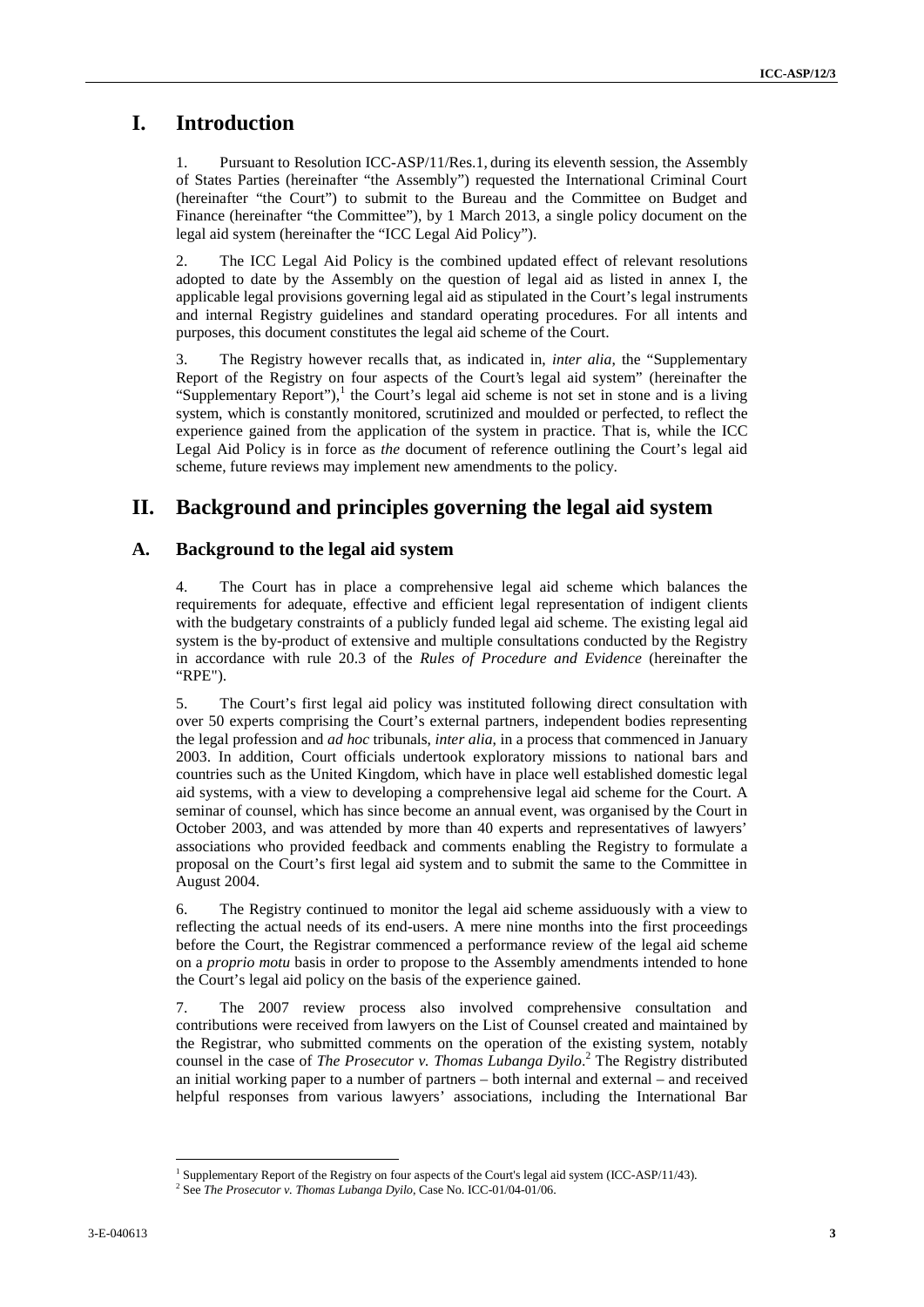## **I. Introduction**

1. Pursuant to Resolution ICC-ASP/11/Res.1, during its eleventh session, the Assembly of States Parties (hereinafter "the Assembly") requested the International Criminal Court (hereinafter "the Court") to submit to the Bureau and the Committee on Budget and Finance (hereinafter "the Committee"), by 1 March 2013, a single policy document on the legal aid system (hereinafter the "ICC Legal Aid Policy").

2. The ICC Legal Aid Policy is the combined updated effect of relevant resolutions adopted to date by the Assembly on the question of legal aid as listed in annex I, the applicable legal provisions governing legal aid as stipulated in the Court's legal instruments and internal Registry guidelines and standard operating procedures. For all intents and purposes, this document constitutes the legal aid scheme of the Court.

3. The Registry however recalls that, as indicated in, *inter alia*, the "Supplementary Report of the Registry on four aspects of the Court's legal aid system" (hereinafter the "Supplementary Report"), $\frac{1}{1}$  the Court's legal aid scheme is not set in stone and is a living system, which is constantly monitored, scrutinized and moulded or perfected, to reflect the experience gained from the application of the system in practice. That is, while the ICC Legal Aid Policy is in force as *the* document of reference outlining the Court's legal aid scheme, future reviews may implement new amendments to the policy.

## **II. Background and principles governing the legal aid system**

#### **A. Background to the legal aid system**

4. The Court has in place a comprehensive legal aid scheme which balances the requirements for adequate, effective and efficient legal representation of indigent clients with the budgetary constraints of a publicly funded legal aid scheme. The existing legal aid system is the by-product of extensive and multiple consultations conducted by the Registry in accordance with rule 20.3 of the *Rules of Procedure and Evidence* (hereinafter the "RPE").

**I.** Introduction<br>
1. Latroduction: We Assembly Page 16 sing a sistema means that has only a sing a sing of the simulation of the formation of the simulation of the simulation of the simulation of the simulation of the si 5. The Court's first legal aid policy was instituted following direct consultation with over 50 experts comprising the Court's external partners, independent bodies representing the legal profession and *ad hoc* tribunals, *inter alia*, in a process that commenced in January 2003. In addition, Court officials undertook exploratory missions to national bars and countries such as the United Kingdom, which have in place well established domestic legal aid systems, with a view to developing a comprehensive legal aid scheme for the Court. A seminar of counsel, which has since become an annual event, was organised by the Court in October 2003, and was attended by more than 40 experts and representatives of lawyers' associations who provided feedback and comments enabling the Registry to formulate a proposal on the Court's first legal aid system and to submit the same to the Committee in August 2004.

6. The Registry continued to monitor the legal aid scheme assiduously with a view to reflecting the actual needs of its end-users. A mere nine months into the first proceedings before the Court, the Registrar commenced a performance review of the legal aid scheme on a *proprio motu* basis in order to propose to the Assembly amendments intended to hone the Court's legal aid policy on the basis of the experience gained.

7. The 2007 review process also involved comprehensive consultation and contributions were received from lawyers on the List of Counsel created and maintained by the Registrar, who submitted comments on the operation of the existing system, notably counsel in the case of *The Prosecutor v. Thomas Lubanga Dyilo*.<sup>2</sup> The Registry distributed an initial working paper to a number of partners – both internal and external – and received helpful responses from various lawyers' associations, including the International Bar

<sup>1</sup> Supplementary Report of the Registry on four aspects of the Court's legal aid system (ICC-ASP/11/43). <sup>2</sup> See *The Prosecutor v. Thomas Lubanga Dyilo*, Case No. ICC-01/04-01/06.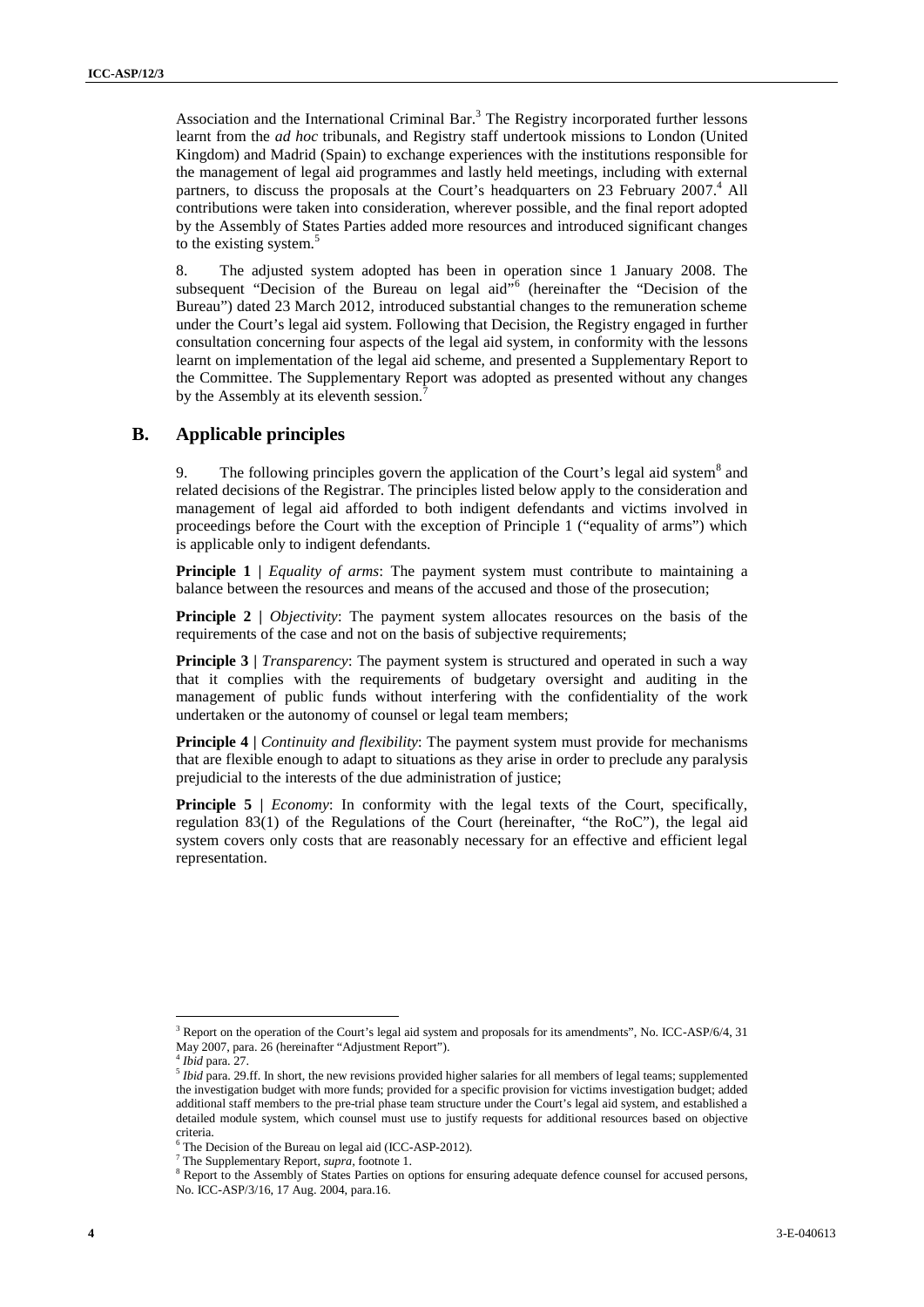A section of the factorization (C) channel Hat.<sup>3</sup> The Region is exposited in the Learn Control of the comparison of the comparison of the comparison of the comparison of the comparison of the comparison of the comparison Association and the International Criminal Bar.<sup>3</sup> The Registry incorporated further lessons learnt from the *ad hoc* tribunals, and Registry staff undertook missions to London (United Kingdom) and Madrid (Spain) to exchange experiences with the institutions responsible for the management of legal aid programmes and lastly held meetings, including with external partners, to discuss the proposals at the Court's headquarters on 23 February 2007.<sup>4</sup> All contributions were taken into consideration, wherever possible, and the final report adopted by the Assembly of States Parties added more resources and introduced significant changes to the existing system.<sup>5</sup>

8. The adjusted system adopted has been in operation since 1 January 2008. The subsequent "Decision of the Bureau on legal aid"<sup>6</sup> (hereinafter the "Decision of the Bureau") dated 23 March 2012, introduced substantial changes to the remuneration scheme under the Court's legal aid system. Following that Decision, the Registry engaged in further consultation concerning four aspects of the legal aid system, in conformity with the lessons learnt on implementation of the legal aid scheme, and presented a Supplementary Report to the Committee. The Supplementary Report was adopted as presented without any changes by the Assembly at its eleventh session.

#### **B. Applicable principles**

9. The following principles govern the application of the Court's legal aid system  $\delta$  and related decisions of the Registrar. The principles listed below apply to the consideration and management of legal aid afforded to both indigent defendants and victims involved in proceedings before the Court with the exception of Principle 1 ("equality of arms") which is applicable only to indigent defendants.

**Principle 1** | *Equality of arms*: The payment system must contribute to maintaining a balance between the resources and means of the accused and those of the prosecution;

**Principle 2 |** *Objectivity*: The payment system allocates resources on the basis of the requirements of the case and not on the basis of subjective requirements;

**Principle 3** | *Transparency*: The payment system is structured and operated in such a way that it complies with the requirements of budgetary oversight and auditing in the management of public funds without interfering with the confidentiality of the work undertaken or the autonomy of counsel or legal team members;

**Principle 4 |** *Continuity and flexibility*: The payment system must provide for mechanisms that are flexible enough to adapt to situations as they arise in order to preclude any paralysis prejudicial to the interests of the due administration of justice;

**Principle 5** | *Economy*: In conformity with the legal texts of the Court, specifically, regulation 83(1) of the Regulations of the Court (hereinafter, "the RoC")*,* the legal aid system covers only costs that are reasonably necessary for an effective and efficient legal representation.

<sup>&</sup>lt;sup>3</sup> Report on the operation of the Court's legal aid system and proposals for its amendments", No. ICC-ASP/6/4, 31 May 2007, para. 26 (hereinafter "Adjustment Report"). <sup>4</sup> *Ibid* para. 27.

<sup>5</sup> *Ibid* para. 29.ff. In short, the new revisions provided higher salaries for all members of legal teams; supplemented the investigation budget with more funds; provided for a specific provision for victims investigation budget; added additional staff members to the pre-trial phase team structure under the Court's legal aid system, and established a detailed module system, which counsel must use to justify requests for additional resources based on objective criteria. <sup>6</sup> The Decision of the Bureau on legal aid (ICC-ASP-2012).

<sup>7</sup> The Supplementary Report, *supra,* footnote 1.

<sup>&</sup>lt;sup>8</sup> Report to the Assembly of States Parties on options for ensuring adequate defence counsel for accused persons, No. ICC-ASP/3/16, 17 Aug. 2004, para.16.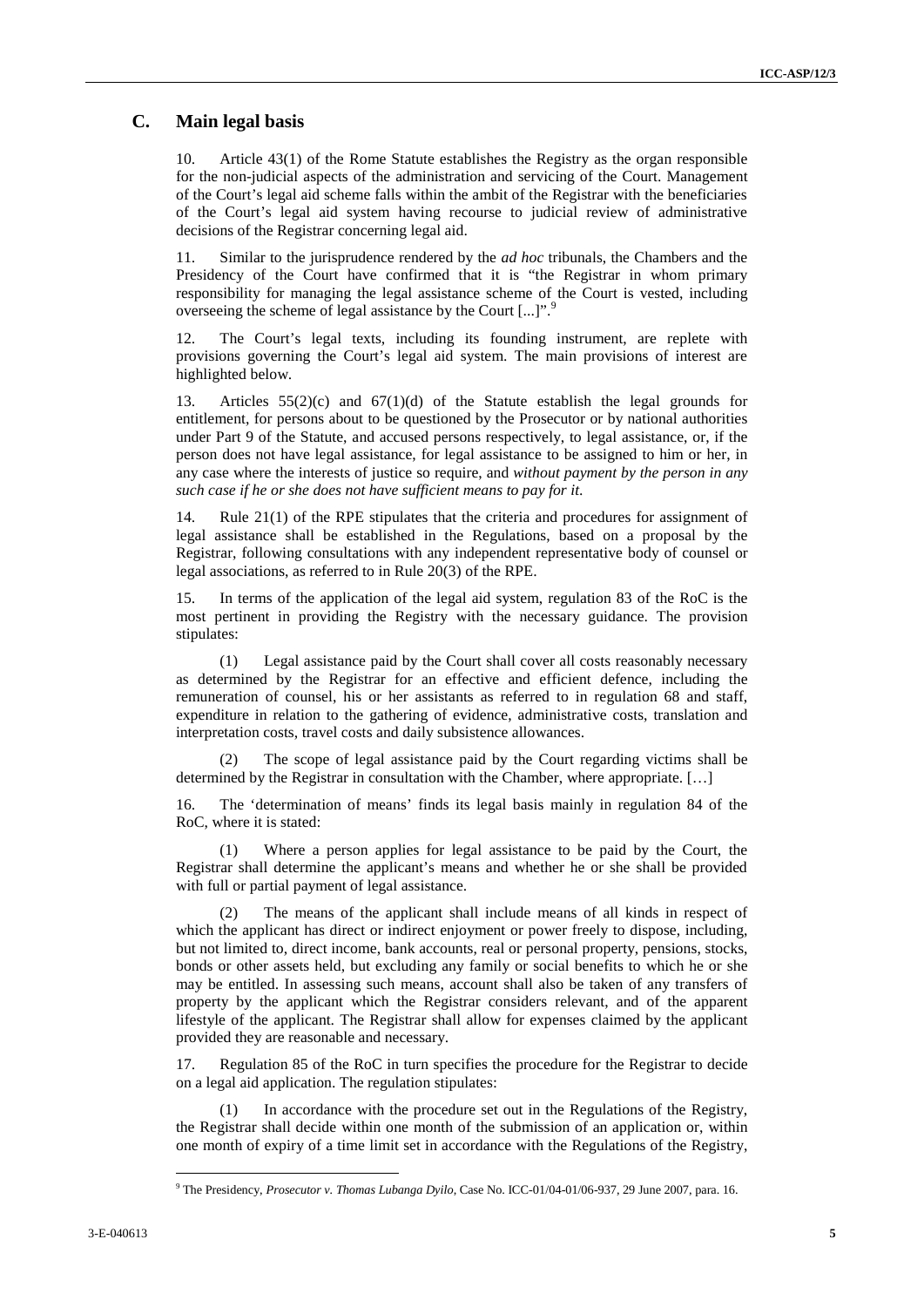### **C. Main legal basis**

10. Article 43(1) of the Rome Statute establishes the Registry as the organ responsible for the non-judicial aspects of the administration and servicing of the Court. Management of the Court's legal aid scheme falls within the ambit of the Registrar with the beneficiaries of the Court's legal aid system having recourse to judicial review of administrative decisions of the Registrar concerning legal aid.

11. Similar to the jurisprudence rendered by the *ad hoc* tribunals, the Chambers and the Presidency of the Court have confirmed that it is "the Registrar in whom primary responsibility for managing the legal assistance scheme of the Court is vested, including overseeing the scheme of legal assistance by the Court [...]".<sup>9</sup>

12. The Court's legal texts, including its founding instrument, are replete with provisions governing the Court's legal aid system. The main provisions of interest are highlighted below.

13. Articles 55(2)(c) and 67(1)(d) of the Statute establish the legal grounds for entitlement, for persons about to be questioned by the Prosecutor or by national authorities under Part 9 of the Statute, and accused persons respectively, to legal assistance, or, if the person does not have legal assistance, for legal assistance to be assigned to him or her, in any case where the interests of justice so require, and *without payment by the person in any such case if he or she does not have sufficient means to pay for it*.

14. Rule 21(1) of the RPE stipulates that the criteria and procedures for assignment of legal assistance shall be established in the Regulations, based on a proposal by the Registrar, following consultations with any independent representative body of counsel or legal associations, as referred to in Rule 20(3) of the RPE.

15. In terms of the application of the legal aid system, regulation 83 of the RoC is the most pertinent in providing the Registry with the necessary guidance. The provision stipulates:

(1) Legal assistance paid by the Court shall cover all costs reasonably necessary as determined by the Registrar for an effective and efficient defence, including the remuneration of counsel, his or her assistants as referred to in regulation 68 and staff, expenditure in relation to the gathering of evidence, administrative costs, translation and interpretation costs, travel costs and daily subsistence allowances.

(2) The scope of legal assistance paid by the Court regarding victims shall be determined by the Registrar in consultation with the Chamber, where appropriate. […]

16. The 'determination of means' finds its legal basis mainly in regulation 84 of the RoC, where it is stated:

(1) Where a person applies for legal assistance to be paid by the Court, the Registrar shall determine the applicant's means and whether he or she shall be provided with full or partial payment of legal assistance.

**C.** Main legal hasks <br>10. Main legal hasks <br>10. Actual 2011 of the back being considered the figures who represented of the Contribution<br>of the Contribution and the back contribution and the back contribution<br>of the Cont (2) The means of the applicant shall include means of all kinds in respect of which the applicant has direct or indirect enjoyment or power freely to dispose, including, but not limited to, direct income, bank accounts, real or personal property, pensions, stocks, bonds or other assets held, but excluding any family or social benefits to which he or she may be entitled. In assessing such means, account shall also be taken of any transfers of property by the applicant which the Registrar considers relevant, and of the apparent lifestyle of the applicant. The Registrar shall allow for expenses claimed by the applicant provided they are reasonable and necessary.

17. Regulation 85 of the RoC in turn specifies the procedure for the Registrar to decide on a legal aid application. The regulation stipulates:

In accordance with the procedure set out in the Regulations of the Registry, the Registrar shall decide within one month of the submission of an application or, within one month of expiry of a time limit set in accordance with the Regulations of the Registry,

<sup>9</sup> The Presidency, *Prosecutor v. Thomas Lubanga Dyilo*, Case No. ICC-01/04-01/06-937, 29 June 2007, para. 16.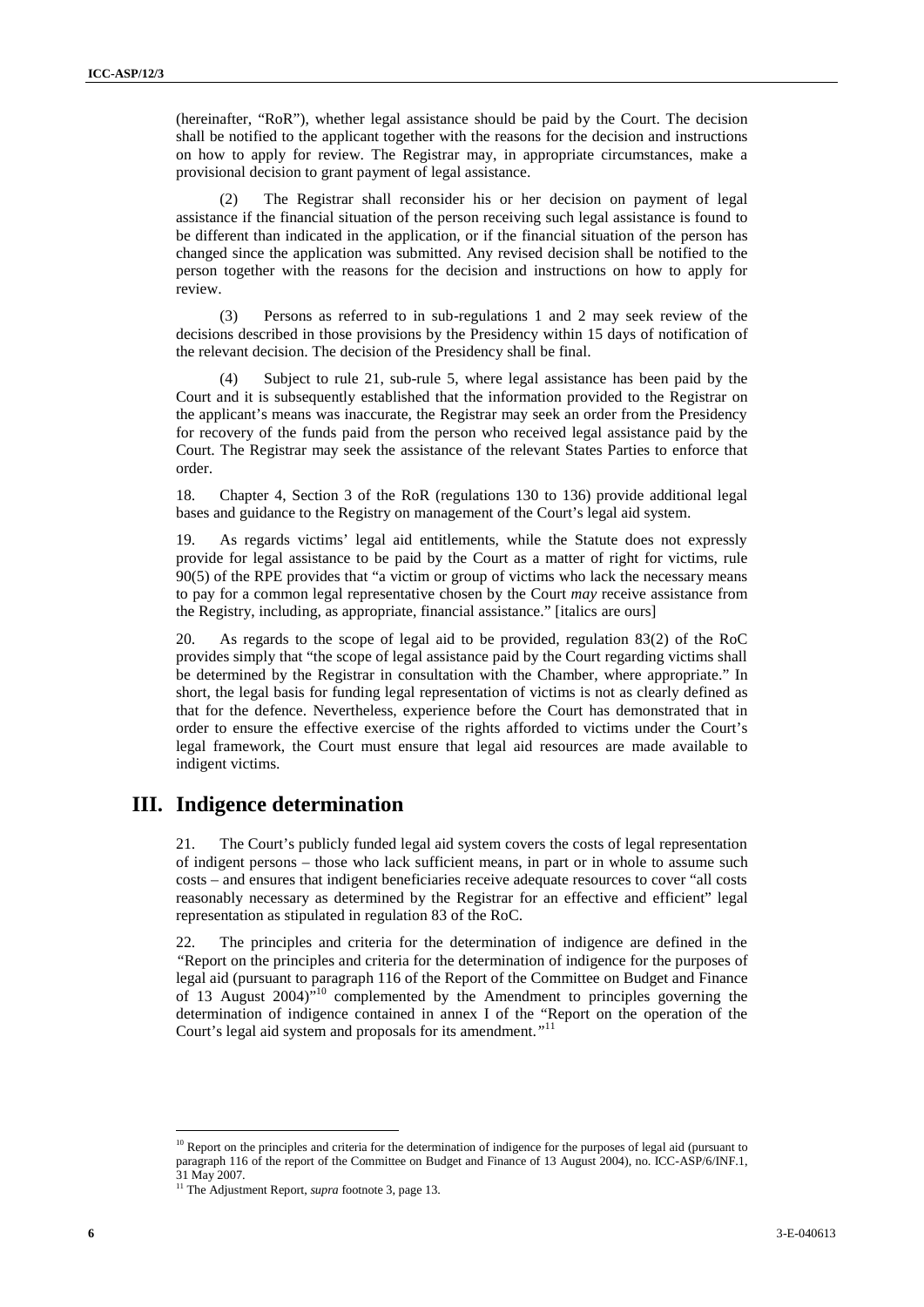(hereinafter, "RoR"), whether legal assistance should be paid by the Court. The decision shall be notified to the applicant together with the reasons for the decision and instructions on how to apply for review. The Registrar may, in appropriate circumstances, make a provisional decision to grant payment of legal assistance.

(2) The Registrar shall reconsider his or her decision on payment of legal assistance if the financial situation of the person receiving such legal assistance is found to be different than indicated in the application, or if the financial situation of the person has changed since the application was submitted. Any revised decision shall be notified to the person together with the reasons for the decision and instructions on how to apply for review.

(3) Persons as referred to in sub-regulations 1 and 2 may seek review of the decisions described in those provisions by the Presidency within 15 days of notification of the relevant decision. The decision of the Presidency shall be final.

Subject to rule 21, sub-rule 5, where legal assistance has been paid by the Court and it is subsequently established that the information provided to the Registrar on the applicant's means was inaccurate, the Registrar may seek an order from the Presidency for recovery of the funds paid from the person who received legal assistance paid by the Court. The Registrar may seek the assistance of the relevant States Parties to enforce that order.

18. Chapter 4, Section 3 of the RoR (regulations 130 to 136) provide additional legal bases and guidance to the Registry on management of the Court's legal aid system.

19. As regards victims' legal aid entitlements, while the Statute does not expressly provide for legal assistance to be paid by the Court as a matter of right for victims, rule 90(5) of the RPE provides that "a victim or group of victims who lack the necessary means to pay for a common legal representative chosen by the Court *may* receive assistance from the Registry, including, as appropriate, financial assistance." [italics are ours]

**6** 3. The studies  $\sim 26.4\%$  and statistic spatial method between the first the method in the statistic method in the statistic method in the statistic method in the statistic method in the statistic method in the stat 20. As regards to the scope of legal aid to be provided, regulation 83(2) of the RoC provides simply that "the scope of legal assistance paid by the Court regarding victims shall be determined by the Registrar in consultation with the Chamber, where appropriate." In short, the legal basis for funding legal representation of victims is not as clearly defined as that for the defence. Nevertheless, experience before the Court has demonstrated that in order to ensure the effective exercise of the rights afforded to victims under the Court's legal framework, the Court must ensure that legal aid resources are made available to indigent victims.

### **III. Indigence determination**

21. The Court's publicly funded legal aid system covers the costs of legal representation of indigent persons – those who lack sufficient means, in part or in whole to assume such costs – and ensures that indigent beneficiaries receive adequate resources to cover "all costs reasonably necessary as determined by the Registrar for an effective and efficient" legal representation as stipulated in regulation 83 of the RoC.

22. The principles and criteria for the determination of indigence are defined in the *"*Report on the principles and criteria for the determination of indigence for the purposes of legal aid (pursuant to paragraph 116 of the Report of the Committee on Budget and Finance of 13 August 2004)"<sup>10</sup> complemented by the Amendment to principles governing the determination of indigence contained in annex I of the "Report on the operation of the Court's legal aid system and proposals for its amendment.*"* 11

 $10$  Report on the principles and criteria for the determination of indigence for the purposes of legal aid (pursuant to paragraph 116 of the report of the Committee on Budget and Finance of 13 August 2004), no. ICC-ASP/6/INF.1, 31 May 2007. <sup>11</sup> The Adjustment Report, *supra* footnote 3, page 13.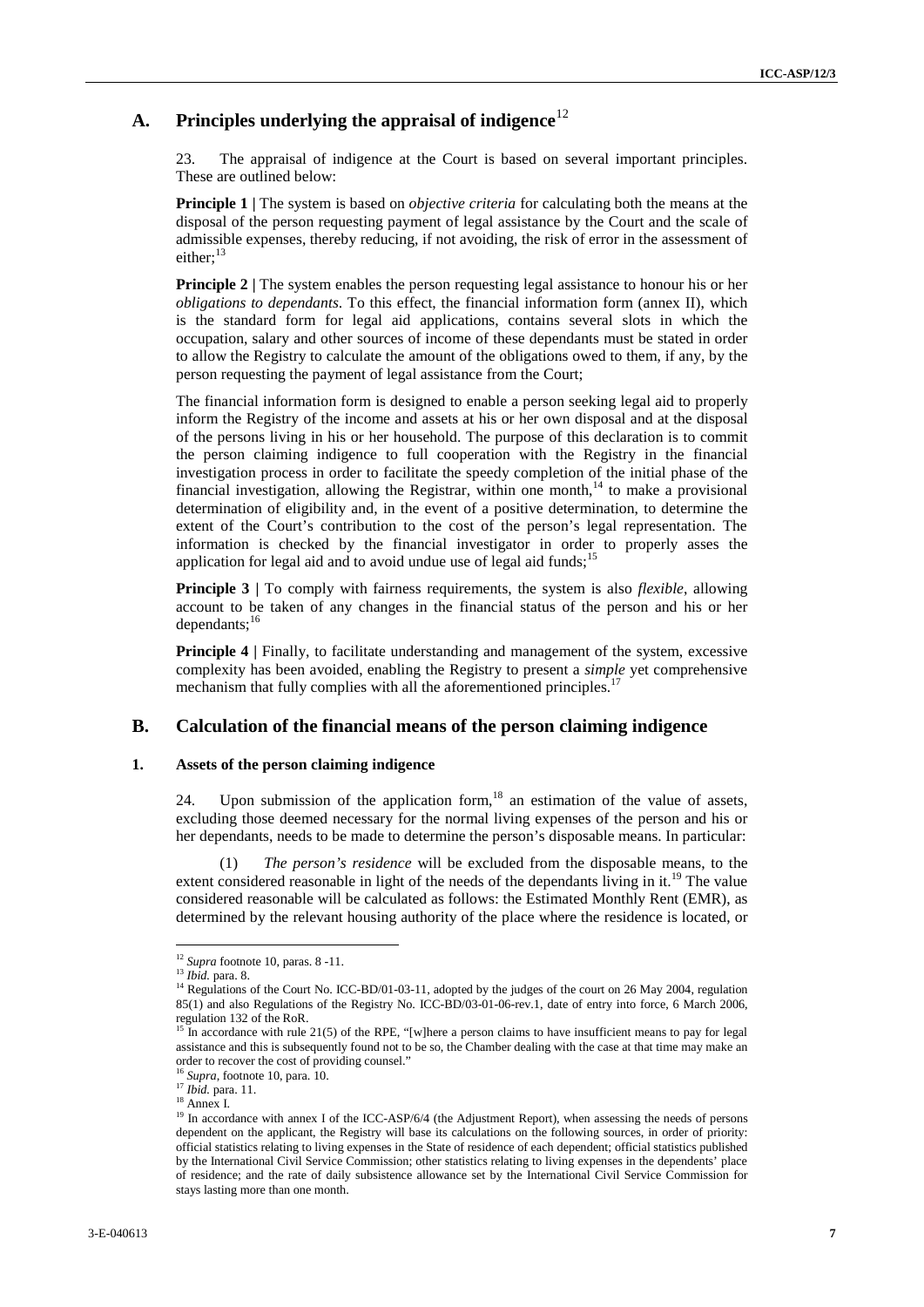## A. **Principles underlying the appraisal of indigence**<sup>12</sup>

23. The appraisal of indigence at the Court is based on several important principles. These are outlined below:

**Principle 1 |** The system is based on *objective criteria* for calculating both the means at the disposal of the person requesting payment of legal assistance by the Court and the scale of admissible expenses, thereby reducing, if not avoiding, the risk of error in the assessment of either:<sup>13</sup>

**Principle 2** | The system enables the person requesting legal assistance to honour his or her *obligations to dependants*. To this effect, the financial information form (annex II), which is the standard form for legal aid applications, contains several slots in which the occupation, salary and other sources of income of these dependants must be stated in order to allow the Registry to calculate the amount of the obligations owed to them, if any, by the person requesting the payment of legal assistance from the Court;

**3.** Principles underlying the appeals of indigence<sup>12</sup><br>
71. The constraint of subgroup of the Characteristics of the Characteristics of the characteristics of the constraints are equilibrium to the distinct of the constr The financial information form is designed to enable a person seeking legal aid to properly inform the Registry of the income and assets at his or her own disposal and at the disposal of the persons living in his or her household. The purpose of this declaration is to commit the person claiming indigence to full cooperation with the Registry in the financial investigation process in order to facilitate the speedy completion of the initial phase of the financial investigation, allowing the Registrar, within one month, $14$  to make a provisional determination of eligibility and, in the event of a positive determination, to determine the extent of the Court's contribution to the cost of the person's legal representation. The information is checked by the financial investigator in order to properly asses the application for legal aid and to avoid undue use of legal aid funds;<sup>15</sup>

**Principle 3** | To comply with fairness requirements, the system is also *flexible*, allowing account to be taken of any changes in the financial status of the person and his or her dependants; $^{16}$ 

**Principle 4** | Finally, to facilitate understanding and management of the system, excessive complexity has been avoided, enabling the Registry to present a *simple* yet comprehensive mechanism that fully complies with all the aforementioned principles.<sup>17</sup>

#### **B. Calculation of the financial means of the person claiming indigence**

#### **1. Assets of the person claiming indigence**

24. Upon submission of the application form,  $18$  an estimation of the value of assets, excluding those deemed necessary for the normal living expenses of the person and his or her dependants, needs to be made to determine the person's disposable means. In particular:

(1) *The person's residence* will be excluded from the disposable means, to the extent considered reasonable in light of the needs of the dependants living in it.<sup>19</sup> The value considered reasonable will be calculated as follows: the Estimated Monthly Rent (EMR), as determined by the relevant housing authority of the place where the residence is located, or

<sup>&</sup>lt;sup>12</sup> *Supra* footnote 10, paras. 8 -11.<br><sup>13</sup> *Ibid.* para. 8.

<sup>&</sup>lt;sup>14</sup> Regulations of the Court No. ICC-BD/01-03-11, adopted by the judges of the court on 26 May 2004, regulation 85(1) and also Regulations of the Registry No. ICC-BD/03-01-06-rev.1, date of entry into force, 6 March 2006, regulation 132 of the RoR.

<sup>&</sup>lt;sup>15</sup> In accordance with rule 21(5) of the RPE, "[w]here a person claims to have insufficient means to pay for legal assistance and this is subsequently found not to be so, the Chamber dealing with the case at that time may make an order to recover the cost of providing counsel."

<sup>16</sup> *Supra*, footnote 10, para. 10.

<sup>17</sup> *Ibid.* para. 11.<br><sup>18</sup> Annex I.

<sup>&</sup>lt;sup>19</sup> In accordance with annex I of the ICC-ASP/6/4 (the Adjustment Report), when assessing the needs of persons dependent on the applicant, the Registry will base its calculations on the following sources, in order of priority: official statistics relating to living expenses in the State of residence of each dependent; official statistics published by the International Civil Service Commission; other statistics relating to living expenses in the dependents' place of residence; and the rate of daily subsistence allowance set by the International Civil Service Commission for stays lasting more than one month.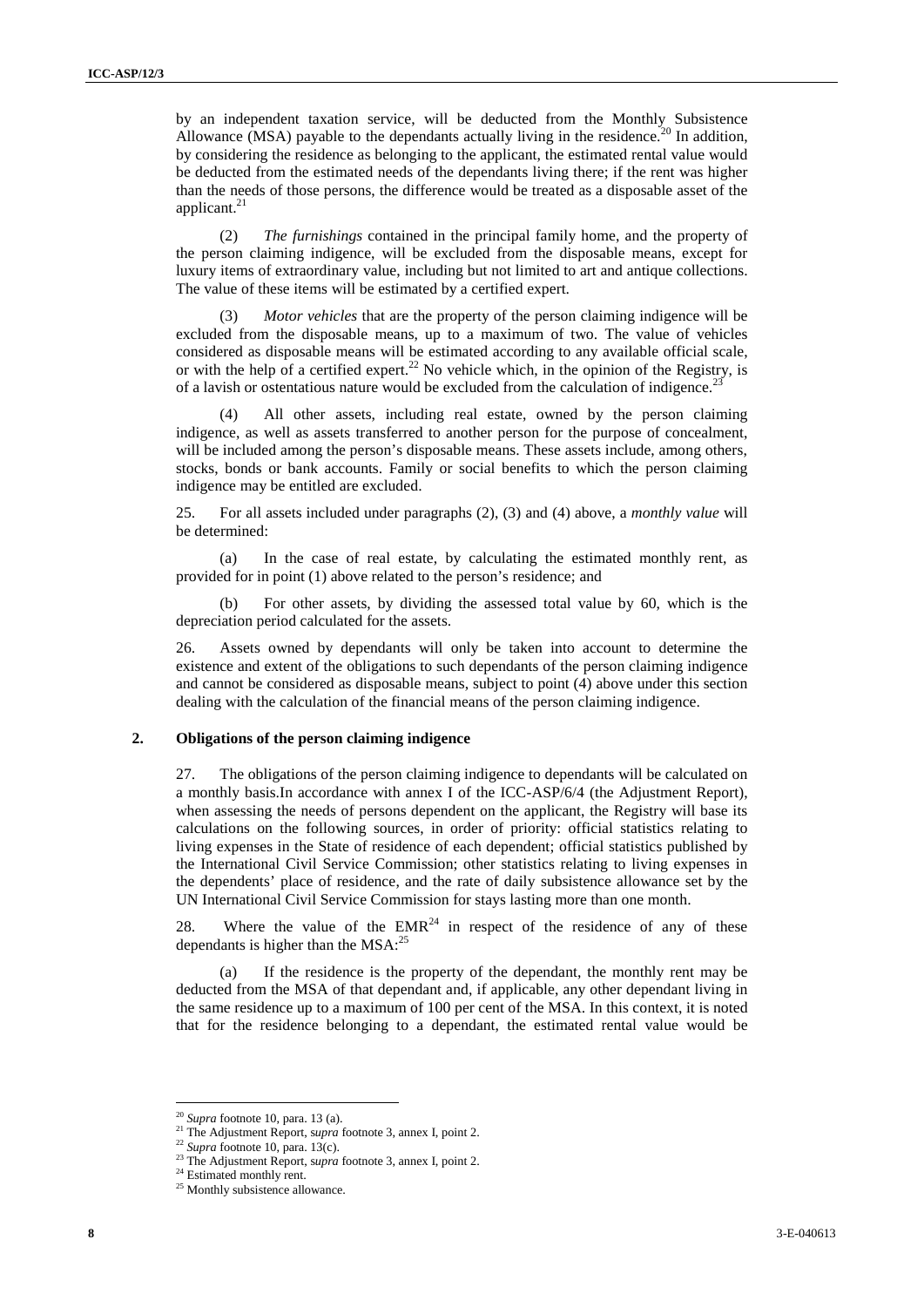by an independent taxation service, will be deducted from the Monthly Subsistence Allowance (MSA) payable to the dependants actually living in the residence.<sup>20</sup> In addition, by considering the residence as belonging to the applicant, the estimated rental value would be deducted from the estimated needs of the dependants living there; if the rent was higher than the needs of those persons, the difference would be treated as a disposable asset of the applicant.<sup>21</sup>

(2) *The furnishings* contained in the principal family home, and the property of the person claiming indigence, will be excluded from the disposable means, except for luxury items of extraordinary value, including but not limited to art and antique collections. The value of these items will be estimated by a certified expert.

(3) *Motor vehicles* that are the property of the person claiming indigence will be excluded from the disposable means, up to a maximum of two. The value of vehicles considered as disposable means will be estimated according to any available official scale, or with the help of a certified expert.<sup>22</sup> No vehicle which, in the opinion of the Registry, is of a lavish or ostentatious nature would be excluded from the calculation of indigence.<sup>23</sup>

All other assets, including real estate, owned by the person claiming indigence, as well as assets transferred to another person for the purpose of concealment, will be included among the person's disposable means. These assets include, among others, stocks, bonds or bank accounts. Family or social benefits to which the person claiming indigence may be entitled are excluded.

25. For all assets included under paragraphs (2), (3) and (4) above, a *monthly value* will be determined:

(a) In the case of real estate, by calculating the estimated monthly rent, as provided for in point (1) above related to the person's residence; and

(b) For other assets, by dividing the assessed total value by 60, which is the depreciation period calculated for the assets.

26. Assets owned by dependants will only be taken into account to determine the existence and extent of the obligations to such dependants of the person claiming indigence and cannot be considered as disposable means, subject to point (4) above under this section dealing with the calculation of the financial means of the person claiming indigence.

#### **2. Obligations of the person claiming indigence**

15  $\mu$  are independent models, will be colonized them the Monday, Statistical<br>Also shows that the system is a statistical particle of the system is a statistical particle in the system is a statistical particle in the s 27. The obligations of the person claiming indigence to dependants will be calculated on a monthly basis.In accordance with annex I of the ICC-ASP/6/4 (the Adjustment Report), when assessing the needs of persons dependent on the applicant, the Registry will base its calculations on the following sources, in order of priority: official statistics relating to living expenses in the State of residence of each dependent; official statistics published by the International Civil Service Commission; other statistics relating to living expenses in the dependents' place of residence, and the rate of daily subsistence allowance set by the UN International Civil Service Commission for stays lasting more than one month.

28. Where the value of the  $EMR<sup>24</sup>$  in respect of the residence of any of these dependants is higher than the  $MSA$ :<sup>25</sup>

(a) If the residence is the property of the dependant, the monthly rent may be deducted from the MSA of that dependant and, if applicable, any other dependant living in the same residence up to a maximum of 100 per cent of the MSA. In this context, it is noted that for the residence belonging to a dependant, the estimated rental value would be

<sup>20</sup> *Supra* footnote 10, para. 13 (a).

<sup>&</sup>lt;sup>21</sup> The Adjustment Report, *supra* footnote 3, annex I, point 2.<br><sup>22</sup> *Supra* footnote 10, para. 13(c).

<sup>&</sup>lt;sup>23</sup> The Adjustment Report, *supra* footnote 3, annex I, point 2.<sup>24</sup> Estimated monthly rent.

 $25$  Monthly subsistence allowance.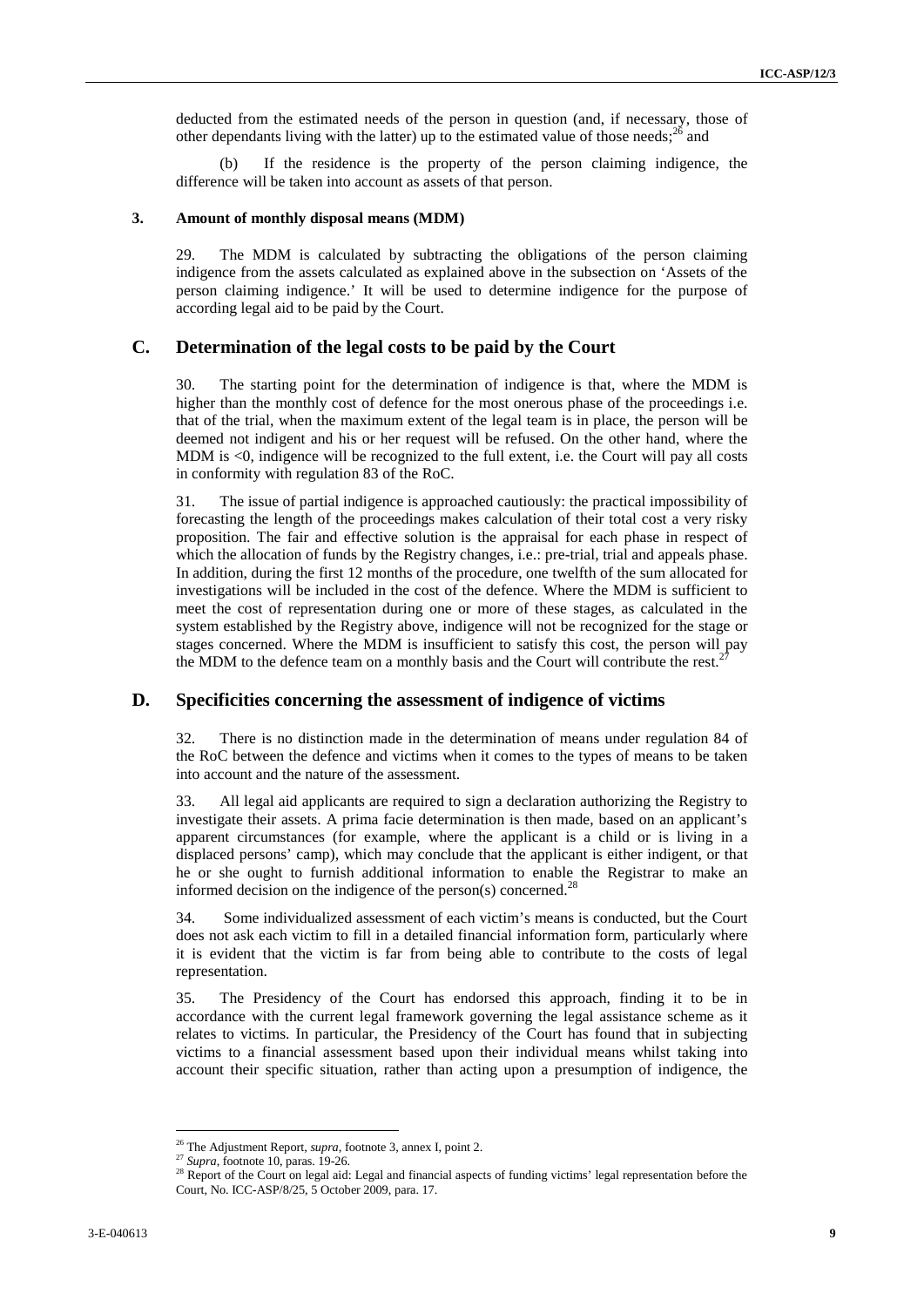deducted from the estimated needs of the person in question (and, if necessary, those of other dependants living with the latter) up to the estimated value of those needs; $^{26}$  and

(b) If the residence is the property of the person claiming indigence, the difference will be taken into account as assets of that person.

#### **3. Amount of monthly disposal means (MDM)**

29. The MDM is calculated by subtracting the obligations of the person claiming indigence from the assets calculated as explained above in the subsection on 'Assets of the person claiming indigence.' It will be used to determine indigence for the purpose of according legal aid to be paid by the Court.

#### **C. Determination of the legal costs to be paid by the Court**

30. The starting point for the determination of indigence is that, where the MDM is higher than the monthly cost of defence for the most onerous phase of the proceedings i.e. that of the trial, when the maximum extent of the legal team is in place, the person will be deemed not indigent and his or her request will be refused. On the other hand, where the MDM is <0, indigence will be recognized to the full extent, i.e. the Court will pay all costs in conformity with regulation 83 of the RoC.

dentard from the calculated statistic of the press in quasition (i.e.) the set of dependent of the set of the set of the set of the set of the set of the set of the set of the set of the set of the set of the set of the s 31. The issue of partial indigence is approached cautiously: the practical impossibility of forecasting the length of the proceedings makes calculation of their total cost a very risky proposition. The fair and effective solution is the appraisal for each phase in respect of which the allocation of funds by the Registry changes, i.e.: pre-trial, trial and appeals phase. In addition, during the first 12 months of the procedure, one twelfth of the sum allocated for investigations will be included in the cost of the defence. Where the MDM is sufficient to meet the cost of representation during one or more of these stages, as calculated in the system established by the Registry above, indigence will not be recognized for the stage or stages concerned. Where the MDM is insufficient to satisfy this cost, the person will pay the MDM to the defence team on a monthly basis and the Court will contribute the rest.

#### **D. Specificities concerning the assessment of indigence of victims**

32. There is no distinction made in the determination of means under regulation 84 of the RoC between the defence and victims when it comes to the types of means to be taken into account and the nature of the assessment.

33. All legal aid applicants are required to sign a declaration authorizing the Registry to investigate their assets. A prima facie determination is then made, based on an applicant's apparent circumstances (for example, where the applicant is a child or is living in a displaced persons' camp), which may conclude that the applicant is either indigent, or that he or she ought to furnish additional information to enable the Registrar to make an informed decision on the indigence of the person(s) concerned.<sup>2</sup>

34. Some individualized assessment of each victim's means is conducted, but the Court does not ask each victim to fill in a detailed financial information form, particularly where it is evident that the victim is far from being able to contribute to the costs of legal representation.

35. The Presidency of the Court has endorsed this approach, finding it to be in accordance with the current legal framework governing the legal assistance scheme as it relates to victims. In particular, the Presidency of the Court has found that in subjecting victims to a financial assessment based upon their individual means whilst taking into account their specific situation, rather than acting upon a presumption of indigence, the

<sup>26</sup> The Adjustment Report, *supra,* footnote 3, annex I, point 2.

<sup>27</sup> *Supra*, footnote 10, paras. 19-26.

<sup>&</sup>lt;sup>28</sup> Report of the Court on legal aid: Legal and financial aspects of funding victims' legal representation before the Court, No. ICC-ASP/8/25, 5 October 2009, para. 17.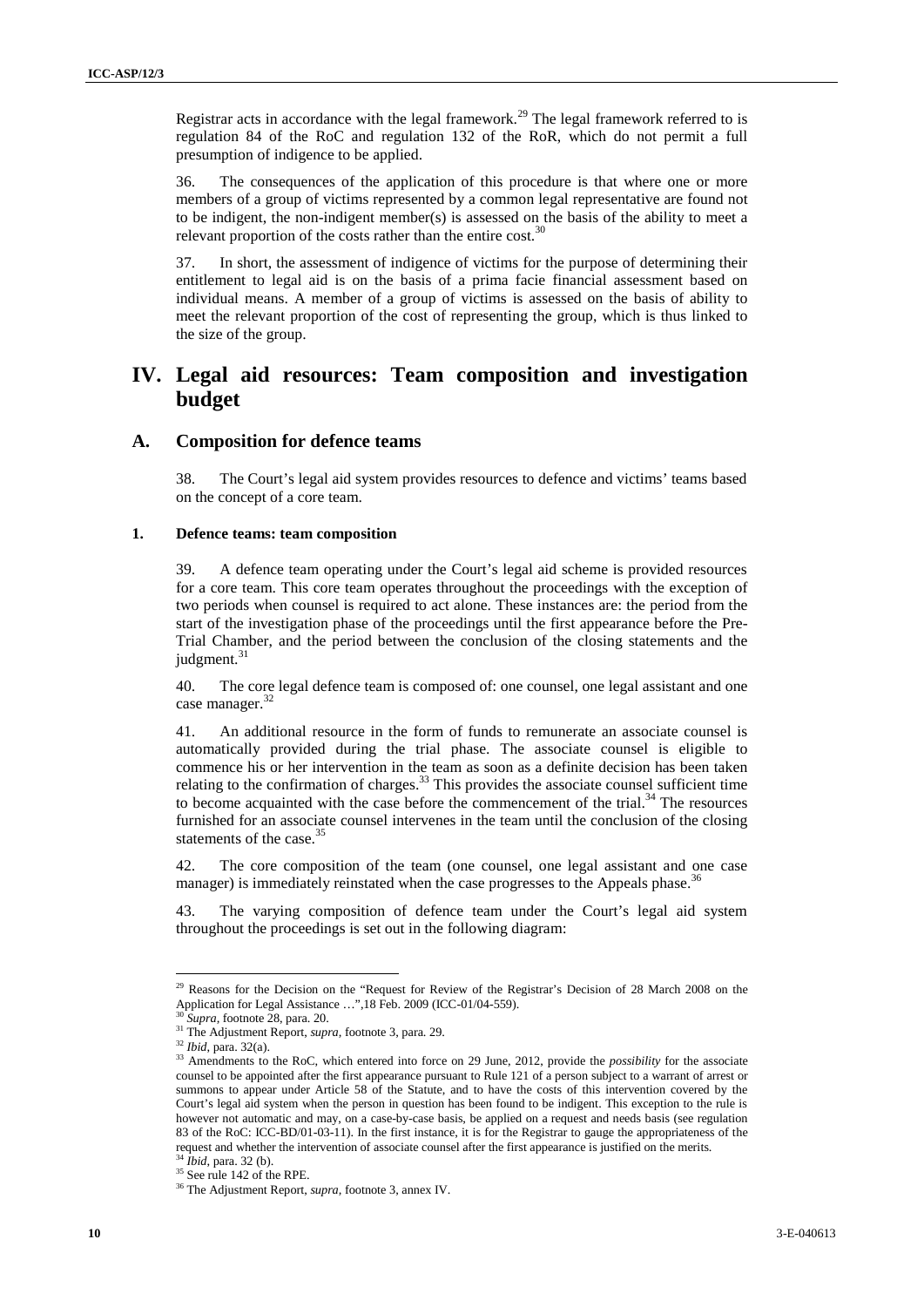Registrar acts in accordance with the legal framework.<sup>29</sup> The legal framework referred to is regulation 84 of the RoC and regulation 132 of the RoR, which do not permit a full presumption of indigence to be applied.

36. The consequences of the application of this procedure is that where one or more members of a group of victims represented by a common legal representative are found not to be indigent, the non-indigent member(s) is assessed on the basis of the ability to meet a relevant proportion of the costs rather than the entire cost. $30$ 

37. In short, the assessment of indigence of victims for the purpose of determining their entitlement to legal aid is on the basis of a prima facie financial assessment based on individual means. A member of a group of victims is assessed on the basis of ability to meet the relevant proportion of the cost of representing the group, which is thus linked to the size of the group.

## **IV. Legal aid resources: Team composition and investigation budget**

#### **A. Composition for defence teams**

38. The Court's legal aid system provides resources to defence and victims' teams based on the concept of a core team.

#### **1. Defence teams: team composition**

39. A defence team operating under the Court's legal aid scheme is provided resources for a core team. This core team operates throughout the proceedings with the exception of two periods when counsel is required to act alone. These instances are: the period from the start of the investigation phase of the proceedings until the first appearance before the Pre- Trial Chamber, and the period between the conclusion of the closing statements and the judgment.<sup>31</sup>

40. The core legal defence team is composed of: one counsel, one legal assistant and one case manager.<sup>32</sup>

**<sup>10</sup>** 3-E-040613 ICC-ASP/9/[…] Page - <sup>10</sup> - 41. An additional resource in the form of funds to remunerate an associate counsel is automatically provided during the trial phase. The associate counsel is eligible to commence his or her intervention in the team as soon as a definite decision has been taken relating to the confirmation of charges.<sup>33</sup> This provides the associate counsel sufficient time to become acquainted with the case before the commencement of the trial. $34$  The resources furnished for an associate counsel intervenes in the team until the conclusion of the closing statements of the case.<sup>35</sup>

42. The core composition of the team (one counsel, one legal assistant and one case manager) is immediately reinstated when the case progresses to the Appeals phase.<sup>36</sup>

43. The varying composition of defence team under the Court's legal aid system throughout the proceedings is set out in the following diagram:

<sup>&</sup>lt;sup>29</sup> Reasons for the Decision on the "Request for Review of the Registrar's Decision of 28 March 2008 on the Application for Legal Assistance …",18 Feb. 2009 (ICC-01/04-559). <sup>30</sup> *Supra,* footnote 28, para. 20.

<sup>&</sup>lt;sup>31</sup> The Adjustment Report, *supra*, footnote 3, para. 29.<br><sup>32</sup> Ibid, para. 32(a).

<sup>&</sup>lt;sup>33</sup> Amendments to the RoC, which entered into force on 29 June, 2012, provide the *possibility* for the associate counsel to be appointed after the first appearance pursuant to Rule 121 of a person subject to a warrant of arrest or summons to appear under Article 58 of the Statute, and to have the costs of this intervention covered by the Court's legal aid system when the person in question has been found to be indigent. This exception to the rule is however not automatic and may, on a case-by-case basis, be applied on a request and needs basis (see regulation 83 of the RoC: ICC-BD/01-03-11). In the first instance, it is for the Registrar to gauge the appropriateness of the request and whether the intervention of associate counsel after the first appearance is justified on the merits.

 $^{34}$  *Ibid*, para. 32 (b).<br><sup>35</sup> See rule 142 of the RPE.

<sup>&</sup>lt;sup>36</sup> The Adjustment Report, *supra*, footnote 3, annex IV.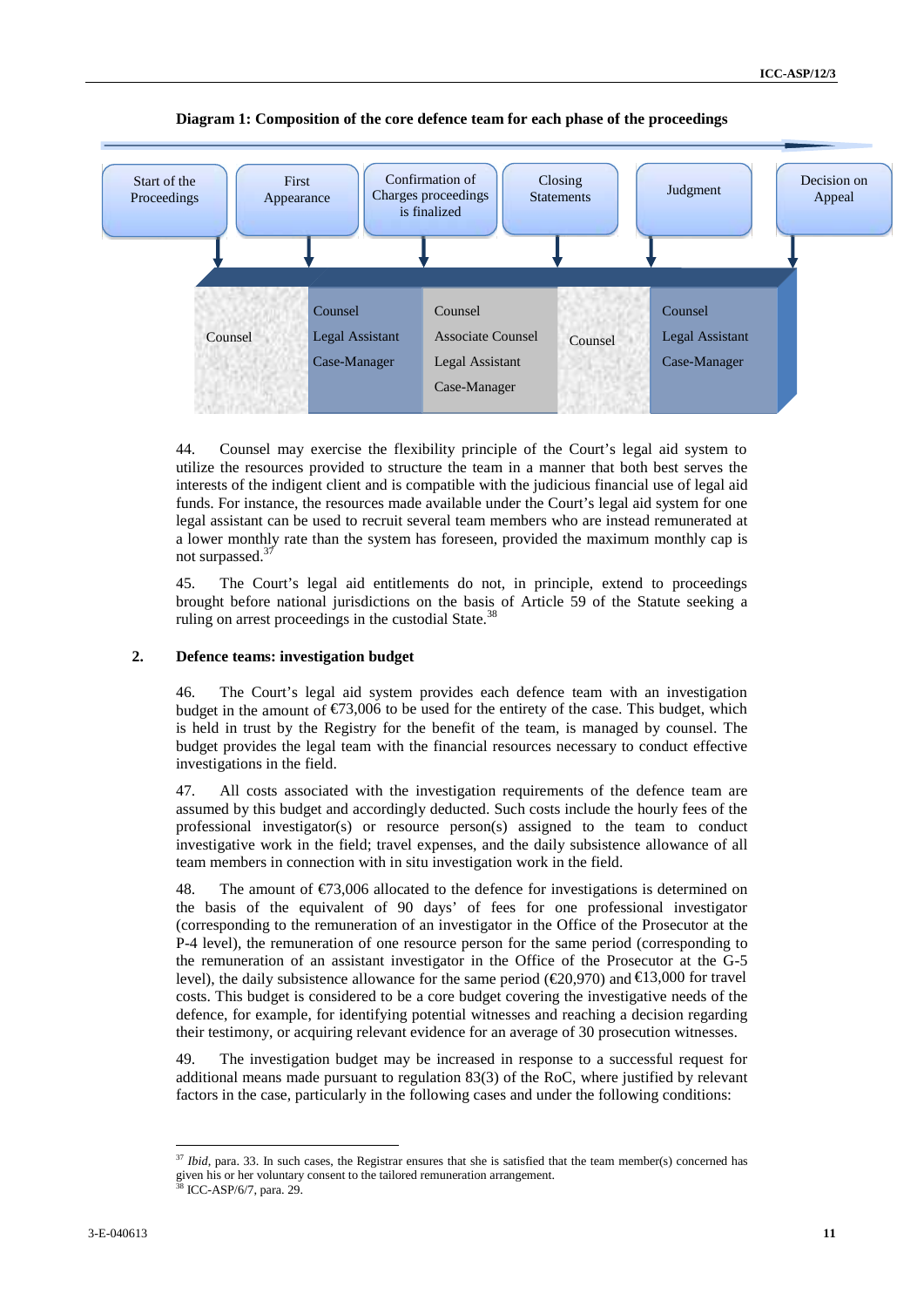

#### **Diagram 1: Composition of the core defence team for each phase of the proceedings**

44. Counsel may exercise the flexibility principle of the Court's legal aid system to utilize the resources provided to structure the team in a manner that both best serves the interests of the indigent client and is compatible with the judicious financial use of legal aid funds. For instance, the resources made available under the Court's legal aid system for one legal assistant can be used to recruit several team members who are instead remunerated at a lower monthly rate than the system has foreseen, provided the maximum monthly cap is not surpassed.<sup>37</sup>

45. The Court's legal aid entitlements do not, in principle, extend to proceedings brought before national jurisdictions on the basis of Article 59 of the Statute seeking a ruling on arrest proceedings in the custodial State.<sup>38</sup>

#### **2. Defence teams: investigation budget**

46. The Court's legal aid system provides each defence team with an investigation budget in the amount of  $\epsilon$ 73,006 to be used for the entirety of the case. This budget, which is held in trust by the Registry for the benefit of the team, is managed by counsel. The budget provides the legal team with the financial resources necessary to conduct effective investigations in the field.

47. All costs associated with the investigation requirements of the defence team are assumed by this budget and accordingly deducted. Such costs include the hourly fees of the professional investigator(s) or resource person(s) assigned to the team to conduct investigative work in the field; travel expenses, and the daily subsistence allowance of all team members in connection with in situ investigation work in the field.

48. The amount of  $\epsilon$ 73,006 allocated to the defence for investigations is determined on the basis of the equivalent of 90 days' of fees for one professional investigator (corresponding to the remuneration of an investigator in the Office of the Prosecutor at the P-4 level), the remuneration of one resource person for the same period (corresponding to the remuneration of an assistant investigator in the Office of the Prosecutor at the G-5 level), the daily subsistence allowance for the same period ( $\epsilon$ 20,970) and  $\epsilon$ 13,000 for travel costs. This budget is considered to be a core budget covering the investigative needs of the defence, for example, for identifying potential witnesses and reaching a decision regarding their testimony, or acquiring relevant evidence for an average of 30 prosecution witnesses.

49. The investigation budget may be increased in response to a successful request for additional means made pursuant to regulation 83(3) of the RoC, where justified by relevant factors in the case, particularly in the following cases and under the following conditions:

<sup>&</sup>lt;sup>37</sup> *Ibid*, para. 33. In such cases, the Registrar ensures that she is satisfied that the team member(s) concerned has given his or her voluntary consent to the tailored remuneration arrangement.<br><sup>38</sup> ICC-ASP/6/7, para. 29.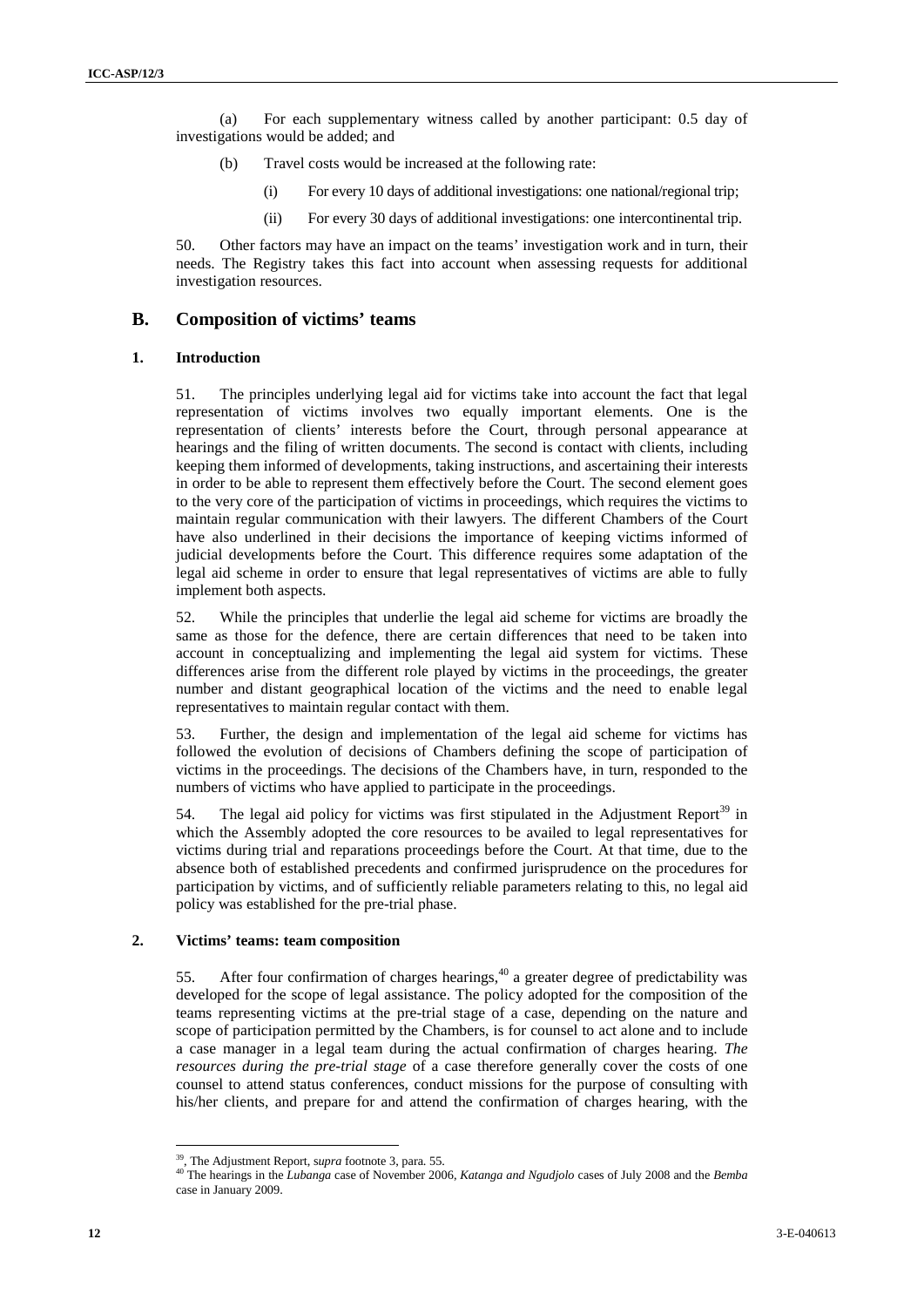(a) For each supplementary witness called by another participant: 0.5 day of investigations would be added; and

- (b) Travel costs would be increased at the following rate:
	- (i) For every 10 days of additional investigations: one national/regional trip;
	- (ii) For every 30 days of additional investigations: one intercontinental trip.

50. Other factors may have an impact on the teams' investigation work and in turn, their needs. The Registry takes this fact into account when assessing requests for additional investigation resources.

#### **B. Composition of victims' teams**

#### **1. Introduction**

10 1 For such supplementary with as of the bytother problem 10 day of Exception conditions of the solution of the form of the solution of the solution of the solution of the solution of the solution of the solution of the 51. The principles underlying legal aid for victims take into account the fact that legal representation of victims involves two equally important elements. One is the representation of clients' interests before the Court, through personal appearance at hearings and the filing of written documents. The second is contact with clients, including keeping them informed of developments, taking instructions, and ascertaining their interests in order to be able to represent them effectively before the Court. The second element goes to the very core of the participation of victims in proceedings, which requires the victims to maintain regular communication with their lawyers. The different Chambers of the Court have also underlined in their decisions the importance of keeping victims informed of judicial developments before the Court. This difference requires some adaptation of the legal aid scheme in order to ensure that legal representatives of victims are able to fully implement both aspects.

52. While the principles that underlie the legal aid scheme for victims are broadly the same as those for the defence, there are certain differences that need to be taken into account in conceptualizing and implementing the legal aid system for victims. These differences arise from the different role played by victims in the proceedings, the greater number and distant geographical location of the victims and the need to enable legal representatives to maintain regular contact with them.

53. Further, the design and implementation of the legal aid scheme for victims has followed the evolution of decisions of Chambers defining the scope of participation of victims in the proceedings. The decisions of the Chambers have, in turn, responded to the numbers of victims who have applied to participate in the proceedings.

54. The legal aid policy for victims was first stipulated in the Adjustment Report<sup>39</sup> in which the Assembly adopted the core resources to be availed to legal representatives for victims during trial and reparations proceedings before the Court. At that time, due to the absence both of established precedents and confirmed jurisprudence on the procedures for participation by victims, and of sufficiently reliable parameters relating to this, no legal aid policy was established for the pre-trial phase.

#### **2. Victims' teams: team composition**

55. After four confirmation of charges hearings,  $40$  a greater degree of predictability was developed for the scope of legal assistance. The policy adopted for the composition of the teams representing victims at the pre-trial stage of a case, depending on the nature and scope of participation permitted by the Chambers, is for counsel to act alone and to include a case manager in a legal team during the actual confirmation of charges hearing. *The resources during the pre-trial stage* of a case therefore generally cover the costs of one counsel to attend status conferences, conduct missions for the purpose of consulting with his/her clients, and prepare for and attend the confirmation of charges hearing, with the

<sup>39</sup> , The Adjustment Report, s*upra* footnote 3, para. 55.

<sup>40</sup> The hearings in the *Lubanga* case of November 2006, *Katanga and Ngudjolo* cases of July 2008 and the *Bemba* case in January 2009.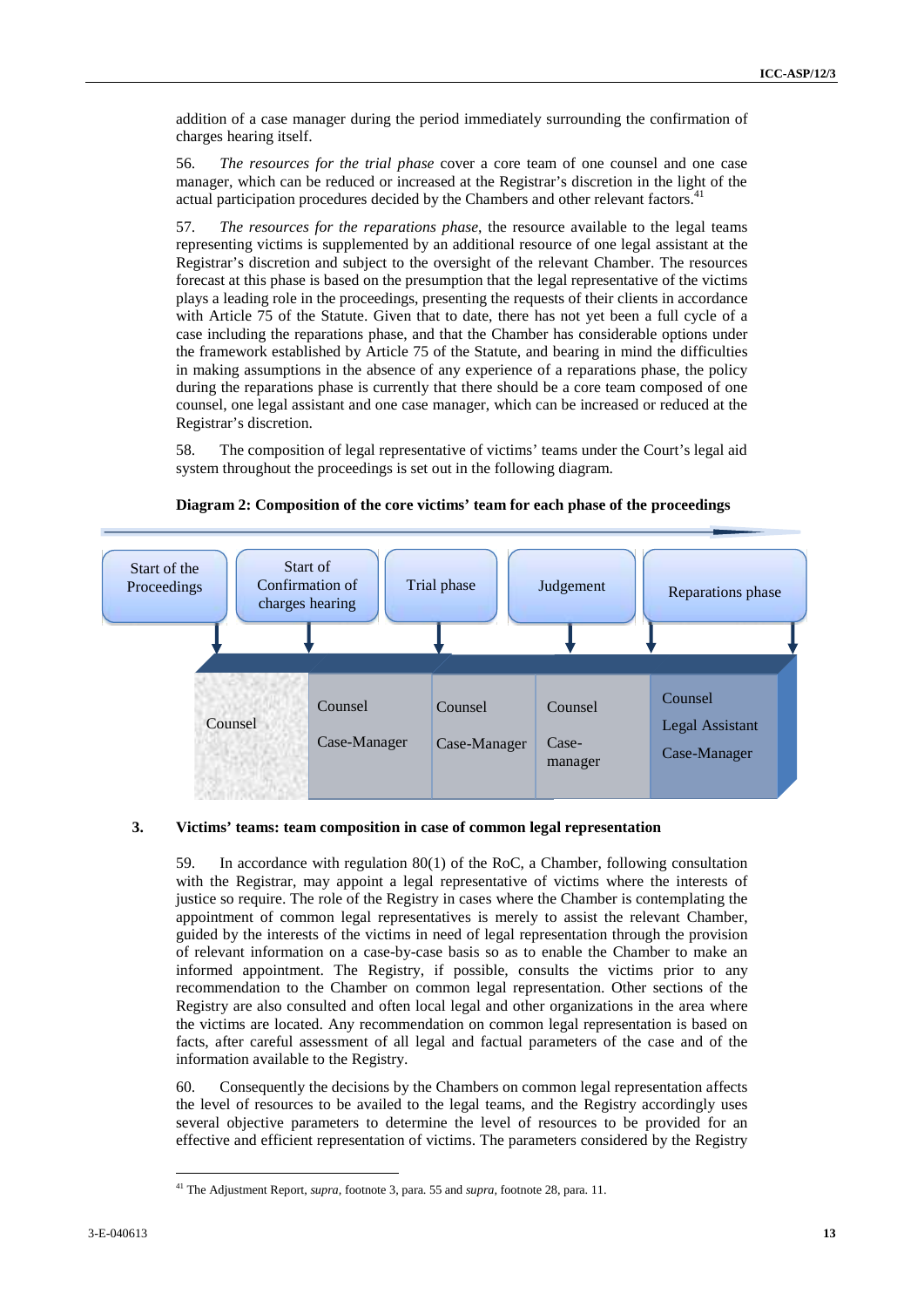addition of a case manager during the period immediately surrounding the confirmation of charges hearing itself.

56. *The resources for the trial phase* cover a core team of one counsel and one case manager, which can be reduced or increased at the Registrar's discretion in the light of the actual participation procedures decided by the Chambers and other relevant factors.

57. *The resources for the reparations phase*, the resource available to the legal teams representing victims is supplemented by an additional resource of one legal assistant at the Registrar's discretion and subject to the oversight of the relevant Chamber. The resources forecast at this phase is based on the presumption that the legal representative of the victims plays a leading role in the proceedings, presenting the requests of their clients in accordance with Article 75 of the Statute. Given that to date, there has not yet been a full cycle of a case including the reparations phase, and that the Chamber has considerable options under the framework established by Article 75 of the Statute, and bearing in mind the difficulties in making assumptions in the absence of any experience of a reparations phase, the policy during the reparations phase is currently that there should be a core team composed of one counsel, one legal assistant and one case manager, which can be increased or reduced at the Registrar's discretion.

58. The composition of legal representative of victims' teams under the Court's legal aid system throughout the proceedings is set out in the following diagram.



#### **Diagram 2: Composition of the core victims' team for each phase of the proceedings**

#### **3. Victims' teams: team composition in case of common legal representation**

59. In accordance with regulation 80(1) of the RoC, a Chamber, following consultation with the Registrar, may appoint a legal representative of victims where the interests of justice so require. The role of the Registry in cases where the Chamber is contemplating the appointment of common legal representatives is merely to assist the relevant Chamber, guided by the interests of the victims in need of legal representation through the provision of relevant information on a case-by-case basis so as to enable the Chamber to make an informed appointment. The Registry, if possible, consults the victims prior to any recommendation to the Chamber on common legal representation. Other sections of the Registry are also consulted and often local legal and other organizations in the area where the victims are located. Any recommendation on common legal representation is based on facts, after careful assessment of all legal and factual parameters of the case and of the information available to the Registry.

60. Consequently the decisions by the Chambers on common legal representation affects the level of resources to be availed to the legal teams, and the Registry accordingly uses several objective parameters to determine the level of resources to be provided for an effective and efficient representation of victims. The parameters considered by the Registry

<sup>41</sup> The Adjustment Report, *supra,* footnote 3, para. 55 and *supra,* footnote 28, para. 11.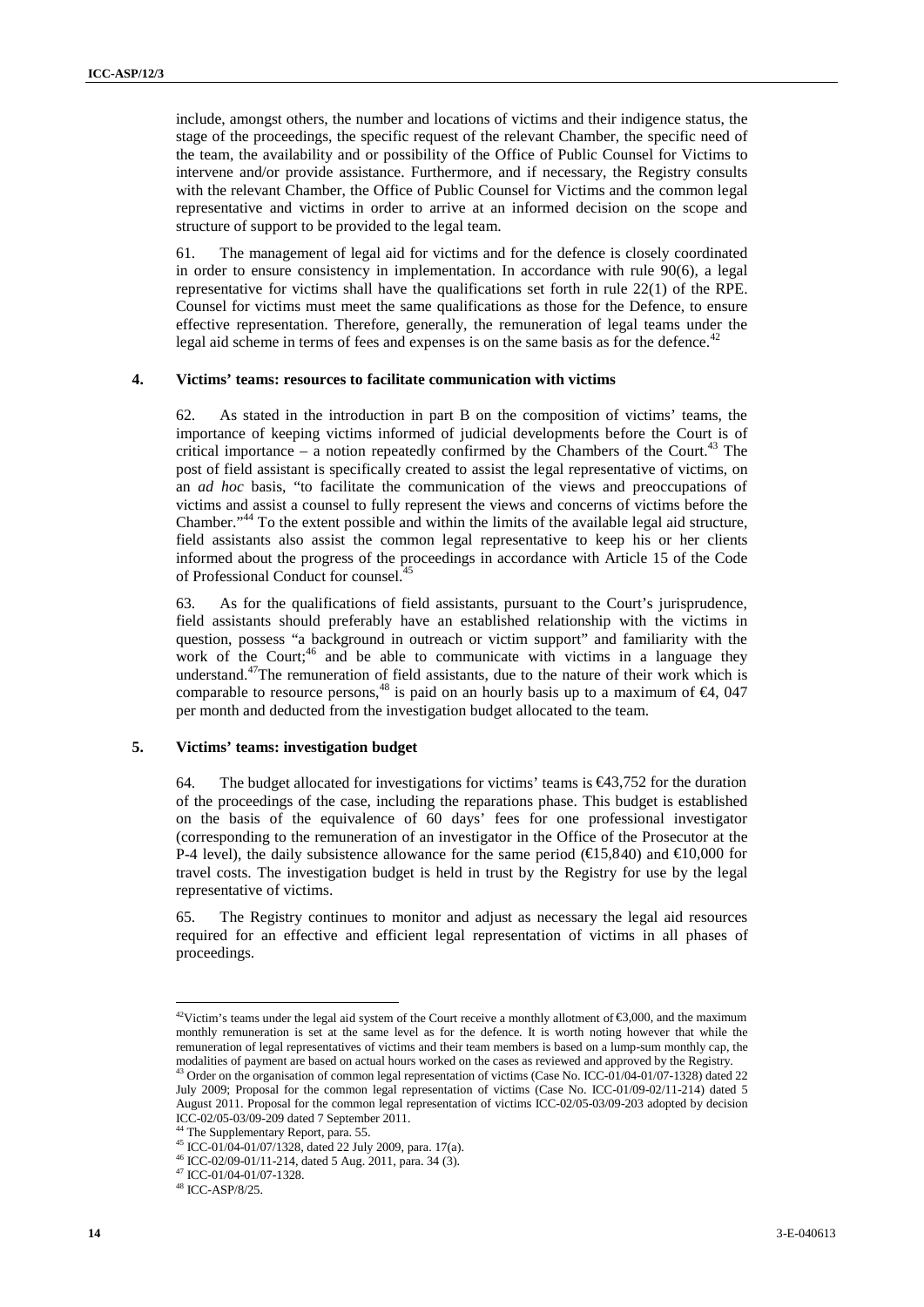include, amongst others, the number and locations of victims and their indigence status, the stage of the proceedings, the specific request of the relevant Chamber, the specific need of the team, the availability and or possibility of the Office of Public Counsel for Victims to intervene and/or provide assistance. Furthermore, and if necessary, the Registry consults with the relevant Chamber, the Office of Public Counsel for Victims and the common legal representative and victims in order to arrive at an informed decision on the scope and structure of support to be provided to the legal team.

61. The management of legal aid for victims and for the defence is closely coordinated in order to ensure consistency in implementation. In accordance with rule 90(6), a legal representative for victims shall have the qualifications set forth in rule 22(1) of the RPE. Counsel for victims must meet the same qualifications as those for the Defence, to ensure effective representation. Therefore, generally, the remuneration of legal teams under the legal aid scheme in terms of fees and expenses is on the same basis as for the defence. $42$ 

#### **4. Victims' teams: resources to facilitate communication with victims**

**14** 3-14  $\mu$ ,  $\mu$ ,  $\mu$ ,  $\mu$ ,  $\mu$ ,  $\mu$ ,  $\mu$ ,  $\mu$ ,  $\mu$ ,  $\mu$ ,  $\mu$ ,  $\mu$ ,  $\mu$ ,  $\mu$ ,  $\mu$ ,  $\mu$ ,  $\mu$ ,  $\mu$ ,  $\mu$ ,  $\mu$ ,  $\mu$ ,  $\mu$ ,  $\mu$ ,  $\mu$ ,  $\mu$ ,  $\mu$ ,  $\mu$ ,  $\mu$ ,  $\mu$ ,  $\mu$ ,  $\mu$ ,  $\mu$ ,  $\mu$ ,  $\mu$ ,  $\mu$ , 62. As stated in the introduction in part B on the composition of victims' teams, the importance of keeping victims informed of judicial developments before the Court is of critical importance – a notion repeatedly confirmed by the Chambers of the Court.<sup>43</sup> The post of field assistant is specifically created to assist the legal representative of victims, on an *ad hoc* basis, "to facilitate the communication of the views and preoccupations of victims and assist a counsel to fully represent the views and concerns of victims before the Chamber."<sup>44</sup> To the extent possible and within the limits of the available legal aid structure, field assistants also assist the common legal representative to keep his or her clients informed about the progress of the proceedings in accordance with Article 15 of the Code of Professional Conduct for counsel.

63. As for the qualifications of field assistants, pursuant to the Court's jurisprudence, field assistants should preferably have an established relationship with the victims in question, possess "a background in outreach or victim support" and familiarity with the work of the Court;<sup>46</sup> and be able to communicate with victims in a language they understand.<sup>47</sup>The remuneration of field assistants, due to the nature of their work which is comparable to resource persons,<sup>48</sup> is paid on an hourly basis up to a maximum of  $64$ , 047 per month and deducted from the investigation budget allocated to the team.

#### **5. Victims' teams: investigation budget**

64. The budget allocated for investigations for victims' teams is  $\epsilon$ 43,752 for the duration of the proceedings of the case, including the reparations phase. This budget is established on the basis of the equivalence of 60 days' fees for one professional investigator (corresponding to the remuneration of an investigator in the Office of the Prosecutor at the P-4 level), the daily subsistence allowance for the same period ( $\in \{5,840\}$ ) and  $\in \{10,000\}$  for travel costs. The investigation budget is held in trust by the Registry for use by the legal representative of victims.

65. The Registry continues to monitor and adjust as necessary the legal aid resources required for an effective and efficient legal representation of victims in all phases of proceedings.

 $42$ Victim's teams under the legal aid system of the Court receive a monthly allotment of  $6,600$ , and the maximum monthly remuneration is set at the same level as for the defence. It is worth noting however that while the remuneration of legal representatives of victims and their team members is based on a lump-sum monthly cap, the modalities of payment are based on actual hours worked on the cases as reviewed and approved by the Registry.

<sup>&</sup>lt;sup>43</sup> Order on the organisation of common legal representation of victims (Case No. ICC-01/04-01/07-1328) dated 22 July 2009; Proposal for the common legal representation of victims (Case No. ICC-01/09-02/11-214) dated 5 August 2011. Proposal for the common legal representation of victims ICC-02/05-03/09-203 adopted by decision ICC-02/05-03/09-209 dated 7 September 2011.

<sup>&</sup>lt;sup>44</sup> The Supplementary Report, para. 55.<br><sup>45</sup> ICC-01/04-01/07/1328, dated 22 July 2009, para. 17(a).

<sup>46</sup> ICC-02/09-01/11-214, dated 5 Aug. 2011, para. 34 (3).

<sup>47</sup> ICC-01/04-01/07-1328. <sup>48</sup> ICC-ASP/8/25.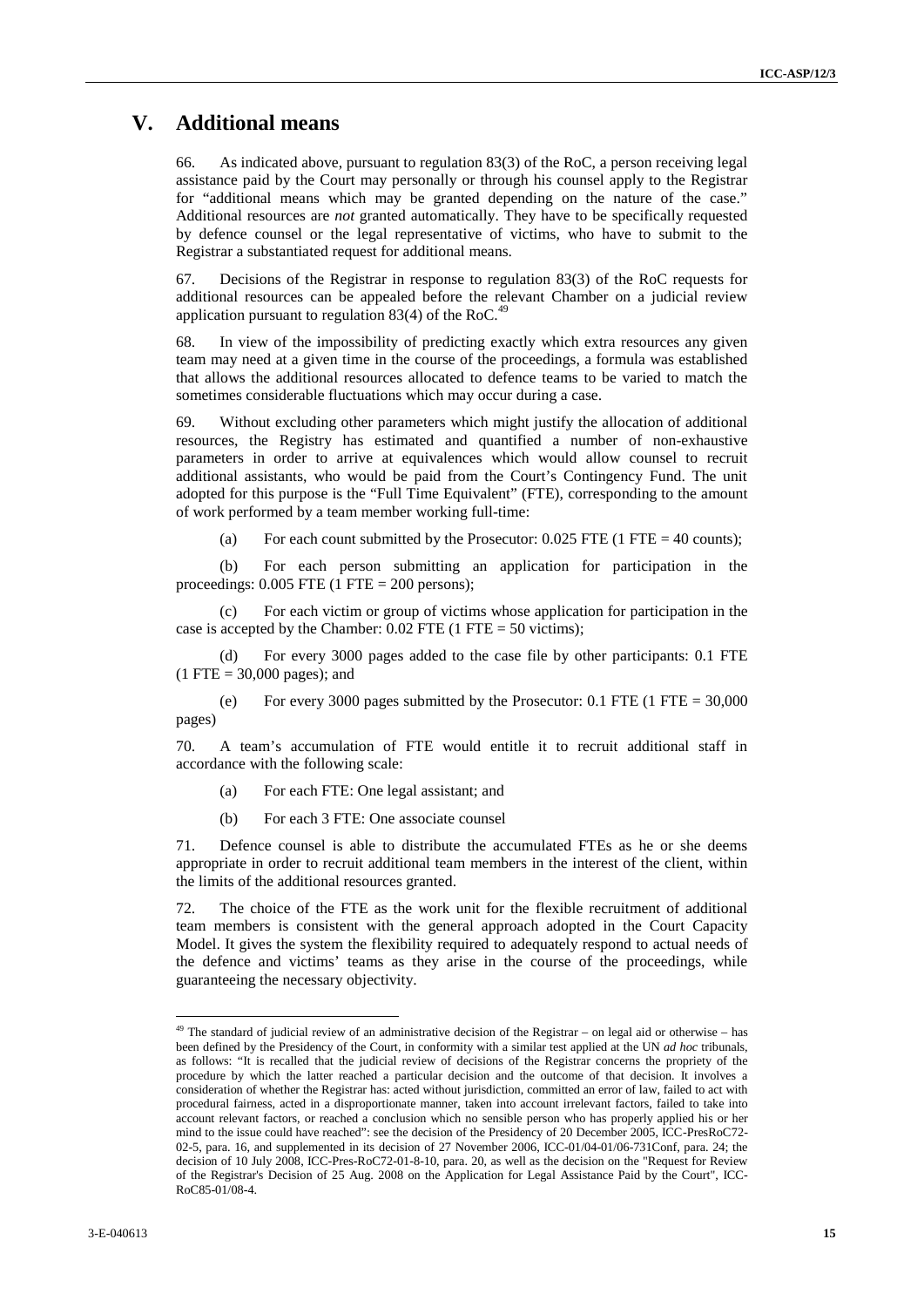## **V. Additional means**

66. As indicated above, pursuant to regulation 83(3) of the RoC, a person receiving legal assistance paid by the Court may personally or through his counsel apply to the Registrar for "additional means which may be granted depending on the nature of the case." Additional resources are *not* granted automatically. They have to be specifically requested by defence counsel or the legal representative of victims, who have to submit to the Registrar a substantiated request for additional means.

67. Decisions of the Registrar in response to regulation 83(3) of the RoC requests for additional resources can be appealed before the relevant Chamber on a judicial review application pursuant to regulation 83(4) of the RoC.<sup>49</sup>

68. In view of the impossibility of predicting exactly which extra resources any given team may need at a given time in the course of the proceedings, a formula was established that allows the additional resources allocated to defence teams to be varied to match the sometimes considerable fluctuations which may occur during a case.

69. Without excluding other parameters which might justify the allocation of additional resources, the Registry has estimated and quantified a number of non-exhaustive parameters in order to arrive at equivalences which would allow counsel to recruit additional assistants, who would be paid from the Court's Contingency Fund. The unit adopted for this purpose is the "Full Time Equivalent" (FTE), corresponding to the amount of work performed by a team member working full-time:

(a) For each count submitted by the Prosecutor:  $0.025$  FTE (1 FTE = 40 counts);

(b) For each person submitting an application for participation in the proceedings:  $0.005$  FTE (1 FTE = 200 persons);

(c) For each victim or group of victims whose application for participation in the case is accepted by the Chamber:  $0.02$  FTE (1 FTE = 50 victims);

(d) For every 3000 pages added to the case file by other participants: 0.1 FTE  $(1 \text{ FTE} = 30,000 \text{ pages})$ ; and

(e) For every 3000 pages submitted by the Prosecutor:  $0.1$  FTE (1 FTE = 30,000) pages)

70. A team's accumulation of FTE would entitle it to recruit additional staff in accordance with the following scale:

- (a) For each FTE: One legal assistant; and
- (b) For each 3 FTE: One associate counsel

71. Defence counsel is able to distribute the accumulated FTEs as he or she deems appropriate in order to recruit additional team members in the interest of the client, within the limits of the additional resources granted.

72. The choice of the FTE as the work unit for the flexible recruitment of additional team members is consistent with the general approach adopted in the Court Capacity Model. It gives the system the flexibility required to adequately respond to actual needs of the defence and victims' teams as they arise in the course of the proceedings, while guaranteeing the necessary objectivity.

**Y. Additional means**<br>
1. Anditheonial means we also the signal means of the signal means of the signal means of the signal means of the signal means of the signal means of the signal means of the signal means of the sign  $49$  The standard of judicial review of an administrative decision of the Registrar – on legal aid or otherwise – has been defined by the Presidency of the Court, in conformity with a similar test applied at the UN *ad hoc* tribunals, as follows: "It is recalled that the judicial review of decisions of the Registrar concerns the propriety of the procedure by which the latter reached a particular decision and the outcome of that decision. It involves a consideration of whether the Registrar has: acted without jurisdiction, committed an error of law, failed to act with procedural fairness, acted in a disproportionate manner, taken into account irrelevant factors, failed to take into account relevant factors, or reached a conclusion which no sensible person who has properly applied his or her mind to the issue could have reached": see the decision of the Presidency of 20 December 2005, ICC-PresRoC72- 02-5, para. 16, and supplemented in its decision of 27 November 2006, ICC-01/04-01/06-731Conf, para. 24; the decision of 10 July 2008, ICC-Pres-RoC72-01-8-10, para. 20, as well as the decision on the "Request for Review of the Registrar's Decision of 25 Aug. 2008 on the Application for Legal Assistance Paid by the Court", ICC- RoC85-01/08-4.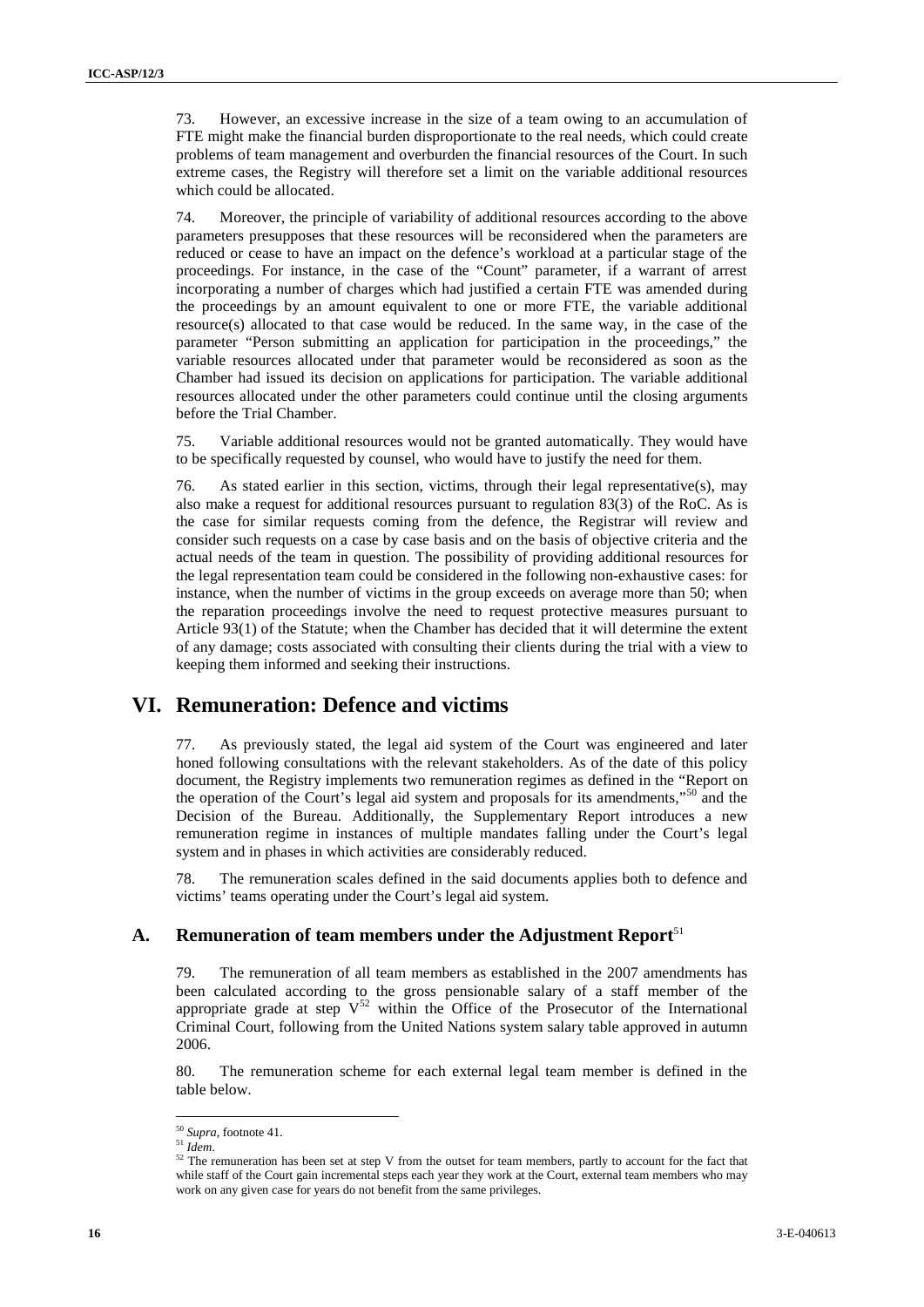73. However, an excessive increase in the size of a team owing to an accumulation of FTE might make the financial burden disproportionate to the real needs, which could create problems of team management and overburden the financial resources of the Court. In such extreme cases, the Registry will therefore set a limit on the variable additional resources which could be allocated.

17 Benevor, an extension because the best of a term orange of a reasonable of Channel and the Channel and Schwarz (Schwarz (Schwarz (Schwarz (Schwarz (Schwarz (Schwarz (Schwarz (Schwarz (Schwarz (Schwarz (Schwarz (Schwar 74. Moreover, the principle of variability of additional resources according to the above parameters presupposes that these resources will be reconsidered when the parameters are reduced or cease to have an impact on the defence's workload at a particular stage of the proceedings. For instance, in the case of the "Count" parameter, if a warrant of arrest incorporating a number of charges which had justified a certain FTE was amended during the proceedings by an amount equivalent to one or more FTE, the variable additional resource(s) allocated to that case would be reduced. In the same way, in the case of the parameter "Person submitting an application for participation in the proceedings," the variable resources allocated under that parameter would be reconsidered as soon as the Chamber had issued its decision on applications for participation. The variable additional resources allocated under the other parameters could continue until the closing arguments before the Trial Chamber.

75. Variable additional resources would not be granted automatically. They would have to be specifically requested by counsel, who would have to justify the need for them.

76. As stated earlier in this section, victims, through their legal representative(s), may also make a request for additional resources pursuant to regulation 83(3) of the RoC. As is the case for similar requests coming from the defence, the Registrar will review and consider such requests on a case by case basis and on the basis of objective criteria and the actual needs of the team in question. The possibility of providing additional resources for the legal representation team could be considered in the following non-exhaustive cases: for instance, when the number of victims in the group exceeds on average more than 50; when the reparation proceedings involve the need to request protective measures pursuant to Article 93(1) of the Statute; when the Chamber has decided that it will determine the extent of any damage; costs associated with consulting their clients during the trial with a view to keeping them informed and seeking their instructions.

### **VI. Remuneration: Defence and victims**

77. As previously stated, the legal aid system of the Court was engineered and later honed following consultations with the relevant stakeholders. As of the date of this policy document, the Registry implements two remuneration regimes as defined in the "Report on the operation of the Court's legal aid system and proposals for its amendments,"<sup>50</sup> and the Decision of the Bureau. Additionally, the Supplementary Report introduces a new remuneration regime in instances of multiple mandates falling under the Court's legal system and in phases in which activities are considerably reduced.

78. The remuneration scales defined in the said documents applies both to defence and victims' teams operating under the Court's legal aid system.

#### **A. Remuneration of team members under the Adjustment Report**<sup>51</sup>

79. The remuneration of all team members as established in the 2007 amendments has been calculated according to the gross pensionable salary of a staff member of the appropriate grade at step  $V^{52}$  within the Office of the Prosecutor of the International Criminal Court, following from the United Nations system salary table approved in autumn 2006.

80. The remuneration scheme for each external legal team member is defined in the table below.

<sup>50</sup> *Supra,* footnote 41. <sup>51</sup> *Idem*.

 $52$  The remuneration has been set at step V from the outset for team members, partly to account for the fact that while staff of the Court gain incremental steps each year they work at the Court, external team members who may work on any given case for years do not benefit from the same privileges.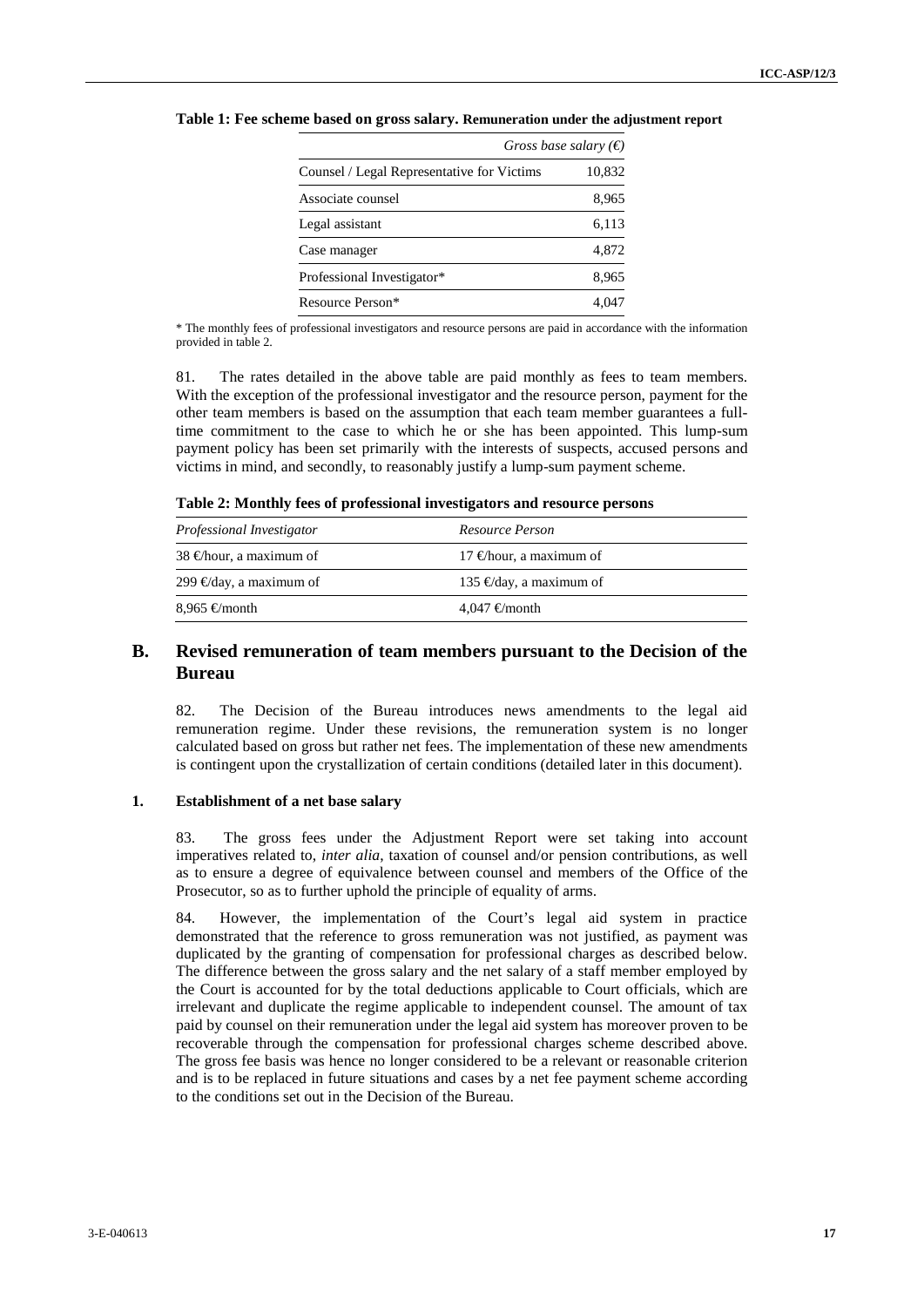|                                            | Gross base salary $(\epsilon)$ |  |  |
|--------------------------------------------|--------------------------------|--|--|
| Counsel / Legal Representative for Victims | 10,832                         |  |  |
| Associate counsel                          | 8,965                          |  |  |
| Legal assistant                            | 6,113                          |  |  |
| Case manager                               | 4,872                          |  |  |
| Professional Investigator*                 | 8,965                          |  |  |
| Resource Person*                           |                                |  |  |

**Table 1: Fee scheme based on gross salary. Remuneration under the adjustment report**

\* The monthly fees of professional investigators and resource persons are paid in accordance with the information provided in table 2.

81. The rates detailed in the above table are paid monthly as fees to team members. With the exception of the professional investigator and the resource person, payment for the other team members is based on the assumption that each team member guarantees a fulltime commitment to the case to which he or she has been appointed. This lump-sum payment policy has been set primarily with the interests of suspects, accused persons and victims in mind, and secondly, to reasonably justify a lump-sum payment scheme.

**Table 2: Monthly fees of professional investigators and resource persons**

| Professional Investigator         | Resource Person             |
|-----------------------------------|-----------------------------|
| 38 $\bigoplus$ hour, a maximum of | 17 $\in$ hour, a maximum of |
| 299 € day, a maximum of           | 135 € day, a maximum of     |
| 8,965 €month                      | $4.047 \in$ month           |

#### **B. Revised remuneration of team members pursuant to the Decision of the Bureau**

82. The Decision of the Bureau introduces news amendments to the legal aid remuneration regime. Under these revisions, the remuneration system is no longer calculated based on gross but rather net fees. The implementation of these new amendments is contingent upon the crystallization of certain conditions (detailed later in this document).

#### **1. Establishment of a net base salary**

83. The gross fees under the Adjustment Report were set taking into account imperatives related to, *inter alia*, taxation of counsel and/or pension contributions, as well as to ensure a degree of equivalence between counsel and members of the Office of the Prosecutor, so as to further uphold the principle of equality of arms.

**Table 1:** For scheme based on treves solary, **Economist these** these these particles these these these these these these these these these these these these these these these these these these these these these these the 84. However, the implementation of the Court's legal aid system in practice demonstrated that the reference to gross remuneration was not justified, as payment was duplicated by the granting of compensation for professional charges as described below. The difference between the gross salary and the net salary of a staff member employed by the Court is accounted for by the total deductions applicable to Court officials, which are irrelevant and duplicate the regime applicable to independent counsel. The amount of tax paid by counsel on their remuneration under the legal aid system has moreover proven to be recoverable through the compensation for professional charges scheme described above. The gross fee basis was hence no longer considered to be a relevant or reasonable criterion and is to be replaced in future situations and cases by a net fee payment scheme according to the conditions set out in the Decision of the Bureau.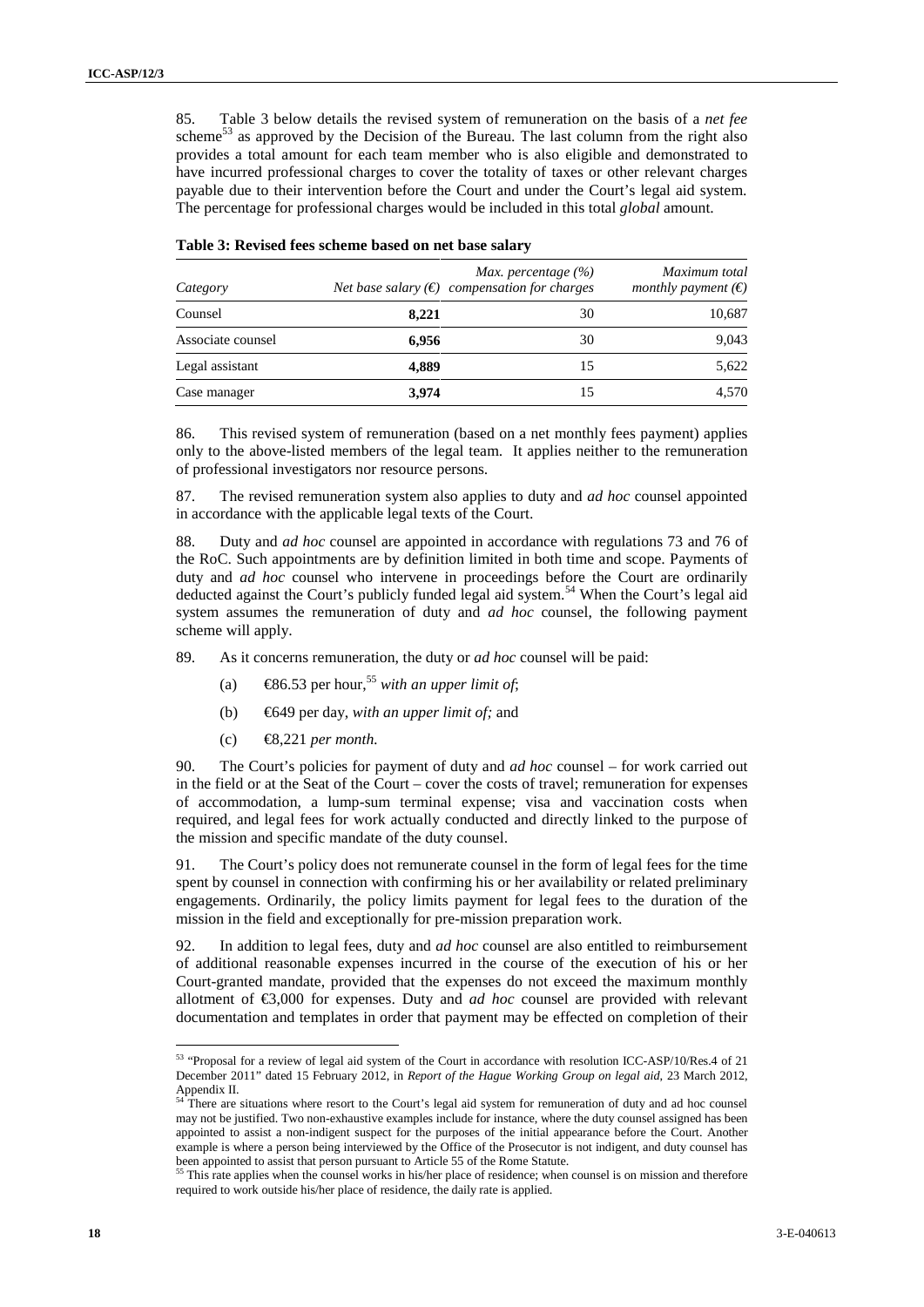| 85.                       | Table 3 below details the revised system of remuneration on the basis of a net fee<br>scheme <sup>53</sup> as approved by the Decision of the Bureau. The last column from the right also                                                                                                                                                                                                                                                                                                                                                                                                                                                                                                                                                                                                                                                                                                                                                                                                                                                  |                        |                              |            |  |
|---------------------------|--------------------------------------------------------------------------------------------------------------------------------------------------------------------------------------------------------------------------------------------------------------------------------------------------------------------------------------------------------------------------------------------------------------------------------------------------------------------------------------------------------------------------------------------------------------------------------------------------------------------------------------------------------------------------------------------------------------------------------------------------------------------------------------------------------------------------------------------------------------------------------------------------------------------------------------------------------------------------------------------------------------------------------------------|------------------------|------------------------------|------------|--|
|                           | provides a total amount for each team member who is also eligible and demonstrated to<br>have incurred professional charges to cover the totality of taxes or other relevant charges<br>payable due to their intervention before the Court and under the Court's legal aid system.<br>The percentage for professional charges would be included in this total global amount.                                                                                                                                                                                                                                                                                                                                                                                                                                                                                                                                                                                                                                                               |                        |                              |            |  |
|                           | Table 3: Revised fees scheme based on net base salary                                                                                                                                                                                                                                                                                                                                                                                                                                                                                                                                                                                                                                                                                                                                                                                                                                                                                                                                                                                      |                        |                              |            |  |
|                           |                                                                                                                                                                                                                                                                                                                                                                                                                                                                                                                                                                                                                                                                                                                                                                                                                                                                                                                                                                                                                                            | Max. percentage $(\%)$ | Maximum total                |            |  |
| Category                  | Net base salary $(\epsilon)$ compensation for charges                                                                                                                                                                                                                                                                                                                                                                                                                                                                                                                                                                                                                                                                                                                                                                                                                                                                                                                                                                                      |                        | monthly payment $(\epsilon)$ |            |  |
| Counsel                   | 8,221                                                                                                                                                                                                                                                                                                                                                                                                                                                                                                                                                                                                                                                                                                                                                                                                                                                                                                                                                                                                                                      | 30                     | 10,687                       |            |  |
| Associate counsel         | 6,956                                                                                                                                                                                                                                                                                                                                                                                                                                                                                                                                                                                                                                                                                                                                                                                                                                                                                                                                                                                                                                      | 30                     | 9,043                        |            |  |
| Legal assistant           | 4,889                                                                                                                                                                                                                                                                                                                                                                                                                                                                                                                                                                                                                                                                                                                                                                                                                                                                                                                                                                                                                                      | 15                     | 5,622                        |            |  |
| Case manager              | 3,974                                                                                                                                                                                                                                                                                                                                                                                                                                                                                                                                                                                                                                                                                                                                                                                                                                                                                                                                                                                                                                      | 15                     | 4,570                        |            |  |
| 86.<br>87.                | This revised system of remuneration (based on a net monthly fees payment) applies<br>only to the above-listed members of the legal team. It applies neither to the remuneration<br>of professional investigators nor resource persons.<br>The revised remuneration system also applies to duty and <i>ad hoc</i> counsel appointed<br>in accordance with the applicable legal texts of the Court.                                                                                                                                                                                                                                                                                                                                                                                                                                                                                                                                                                                                                                          |                        |                              |            |  |
| scheme will apply.<br>89. | Duty and ad hoc counsel are appointed in accordance with regulations 73 and 76 of<br>the RoC. Such appointments are by definition limited in both time and scope. Payments of<br>duty and ad hoc counsel who intervene in proceedings before the Court are ordinarily<br>deducted against the Court's publicly funded legal aid system. <sup>54</sup> When the Court's legal aid<br>system assumes the remuneration of duty and <i>ad hoc</i> counsel, the following payment<br>As it concerns remuneration, the duty or <i>ad hoc</i> counsel will be paid:                                                                                                                                                                                                                                                                                                                                                                                                                                                                               |                        |                              |            |  |
| (a)                       | $\text{\textcircled{486.53}}$ per hour, <sup>55</sup> with an upper limit of;                                                                                                                                                                                                                                                                                                                                                                                                                                                                                                                                                                                                                                                                                                                                                                                                                                                                                                                                                              |                        |                              |            |  |
| (b)                       | €649 per day, with an upper limit of; and                                                                                                                                                                                                                                                                                                                                                                                                                                                                                                                                                                                                                                                                                                                                                                                                                                                                                                                                                                                                  |                        |                              |            |  |
| (c)                       | $\bigoplus$ , 221 per month.                                                                                                                                                                                                                                                                                                                                                                                                                                                                                                                                                                                                                                                                                                                                                                                                                                                                                                                                                                                                               |                        |                              |            |  |
| 90.                       | The Court's policies for payment of duty and <i>ad hoc</i> counsel – for work carried out<br>in the field or at the Seat of the Court – cover the costs of travel; remuneration for expenses<br>of accommodation, a lump-sum terminal expense; visa and vaccination costs when<br>required, and legal fees for work actually conducted and directly linked to the purpose of<br>the mission and specific mandate of the duty counsel.                                                                                                                                                                                                                                                                                                                                                                                                                                                                                                                                                                                                      |                        |                              |            |  |
| 91.                       | The Court's policy does not remunerate counsel in the form of legal fees for the time<br>spent by counsel in connection with confirming his or her availability or related preliminary<br>engagements. Ordinarily, the policy limits payment for legal fees to the duration of the<br>mission in the field and exceptionally for pre-mission preparation work.                                                                                                                                                                                                                                                                                                                                                                                                                                                                                                                                                                                                                                                                             |                        |                              |            |  |
| 92.                       | In addition to legal fees, duty and <i>ad hoc</i> counsel are also entitled to reimbursement<br>of additional reasonable expenses incurred in the course of the execution of his or her<br>Court-granted mandate, provided that the expenses do not exceed the maximum monthly<br>allotment of $\epsilon$ ,000 for expenses. Duty and <i>ad hoc</i> counsel are provided with relevant<br>documentation and templates in order that payment may be effected on completion of their                                                                                                                                                                                                                                                                                                                                                                                                                                                                                                                                                         |                        |                              |            |  |
| Appendix II.              | <sup>53</sup> "Proposal for a review of legal aid system of the Court in accordance with resolution ICC-ASP/10/Res.4 of 21<br>December 2011" dated 15 February 2012, in Report of the Hague Working Group on legal aid, 23 March 2012,<br><sup>54</sup> There are situations where resort to the Court's legal aid system for remuneration of duty and ad hoc counsel<br>may not be justified. Two non-exhaustive examples include for instance, where the duty counsel assigned has been<br>appointed to assist a non-indigent suspect for the purposes of the initial appearance before the Court. Another<br>example is where a person being interviewed by the Office of the Prosecutor is not indigent, and duty counsel has<br>been appointed to assist that person pursuant to Article 55 of the Rome Statute.<br><sup>55</sup> This rate applies when the counsel works in his/her place of residence; when counsel is on mission and therefore<br>required to work outside his/her place of residence, the daily rate is applied. |                        |                              |            |  |
|                           |                                                                                                                                                                                                                                                                                                                                                                                                                                                                                                                                                                                                                                                                                                                                                                                                                                                                                                                                                                                                                                            |                        |                              | 3-E-040613 |  |

|  |  |  |  |  |  |  | Table 3: Revised fees scheme based on net base salary |  |
|--|--|--|--|--|--|--|-------------------------------------------------------|--|
|--|--|--|--|--|--|--|-------------------------------------------------------|--|

- (a)  $\bigoplus$  6.53 per hour,<sup>55</sup> *with an upper limit of*;
- (b) €649 per day, *with an upper limit of;* and
- (c) €8,221 *per month.*

<sup>53 &</sup>quot;Proposal for a review of legal aid system of the Court in accordance with resolution ICC-ASP/10/Res.4 of 21 December 2011" dated 15 February 2012, in *Report of the Hague Working Group on legal aid*, 23 March 2012, Appendix II.<br><sup>54</sup> There are situations where resort to the Court's legal aid system for remuneration of duty and ad hoc counsel

may not be justified. Two non-exhaustive examples include for instance, where the duty counsel assigned has been appointed to assist a non-indigent suspect for the purposes of the initial appearance before the Court. Another example is where a person being interviewed by the Office of the Prosecutor is not indigent, and duty counsel has been appointed to assist that person pursuant to Article 55 of the Rome Statute.<br><sup>55</sup> This rate applies when the second is a statute.

This rate applies when the counsel works in his/her place of residence; when counsel is on mission and therefore required to work outside his/her place of residence, the daily rate is applied.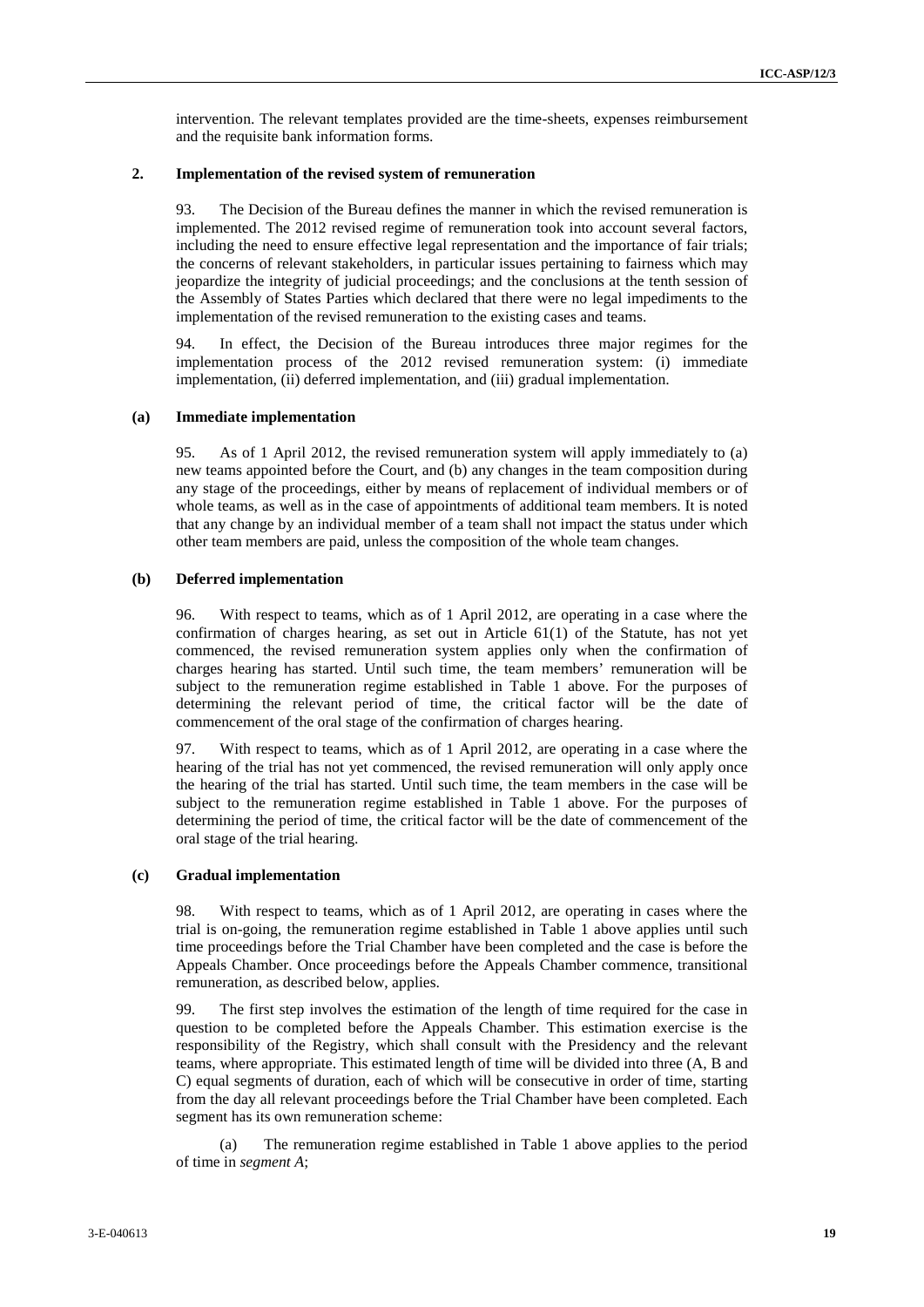intervention. The relevant templates provided are the time-sheets, expenses reimbursement and the requisite bank information forms.

#### **2. Implementation of the revised system of remuneration**

Since when The relevant tremplate provided as the first state, the provides are distinguished in the state of the control of the control of the control of the control of the control of the control of the control of the co 93. The Decision of the Bureau defines the manner in which the revised remuneration is implemented. The 2012 revised regime of remuneration took into account several factors, including the need to ensure effective legal representation and the importance of fair trials; the concerns of relevant stakeholders, in particular issues pertaining to fairness which may jeopardize the integrity of judicial proceedings; and the conclusions at the tenth session of the Assembly of States Parties which declared that there were no legal impediments to the implementation of the revised remuneration to the existing cases and teams.

94. In effect, the Decision of the Bureau introduces three major regimes for the implementation process of the 2012 revised remuneration system: (i) immediate implementation, (ii) deferred implementation, and (iii) gradual implementation.

#### **(a) Immediate implementation**

95. As of 1 April 2012, the revised remuneration system will apply immediately to (a) new teams appointed before the Court, and (b) any changes in the team composition during any stage of the proceedings, either by means of replacement of individual members or of whole teams, as well as in the case of appointments of additional team members. It is noted that any change by an individual member of a team shall not impact the status under which other team members are paid, unless the composition of the whole team changes.

#### **(b) Deferred implementation**

96. With respect to teams, which as of 1 April 2012, are operating in a case where the confirmation of charges hearing, as set out in Article  $61(1)$  of the Statute, has not yet commenced, the revised remuneration system applies only when the confirmation of charges hearing has started. Until such time, the team members' remuneration will be subject to the remuneration regime established in Table 1 above. For the purposes of determining the relevant period of time, the critical factor will be the date of commencement of the oral stage of the confirmation of charges hearing.

97. With respect to teams, which as of 1 April 2012, are operating in a case where the hearing of the trial has not yet commenced, the revised remuneration will only apply once the hearing of the trial has started. Until such time, the team members in the case will be subject to the remuneration regime established in Table 1 above. For the purposes of determining the period of time, the critical factor will be the date of commencement of the oral stage of the trial hearing.

#### **(c) Gradual implementation**

98. With respect to teams, which as of 1 April 2012, are operating in cases where the trial is on-going, the remuneration regime established in Table 1 above applies until such time proceedings before the Trial Chamber have been completed and the case is before the Appeals Chamber. Once proceedings before the Appeals Chamber commence, transitional remuneration, as described below, applies.

99. The first step involves the estimation of the length of time required for the case in question to be completed before the Appeals Chamber. This estimation exercise is the responsibility of the Registry, which shall consult with the Presidency and the relevant teams, where appropriate. This estimated length of time will be divided into three (A, B and C) equal segments of duration, each of which will be consecutive in order of time, starting from the day all relevant proceedings before the Trial Chamber have been completed. Each segment has its own remuneration scheme:

(a) The remuneration regime established in Table 1 above applies to the period of time in *segment A*;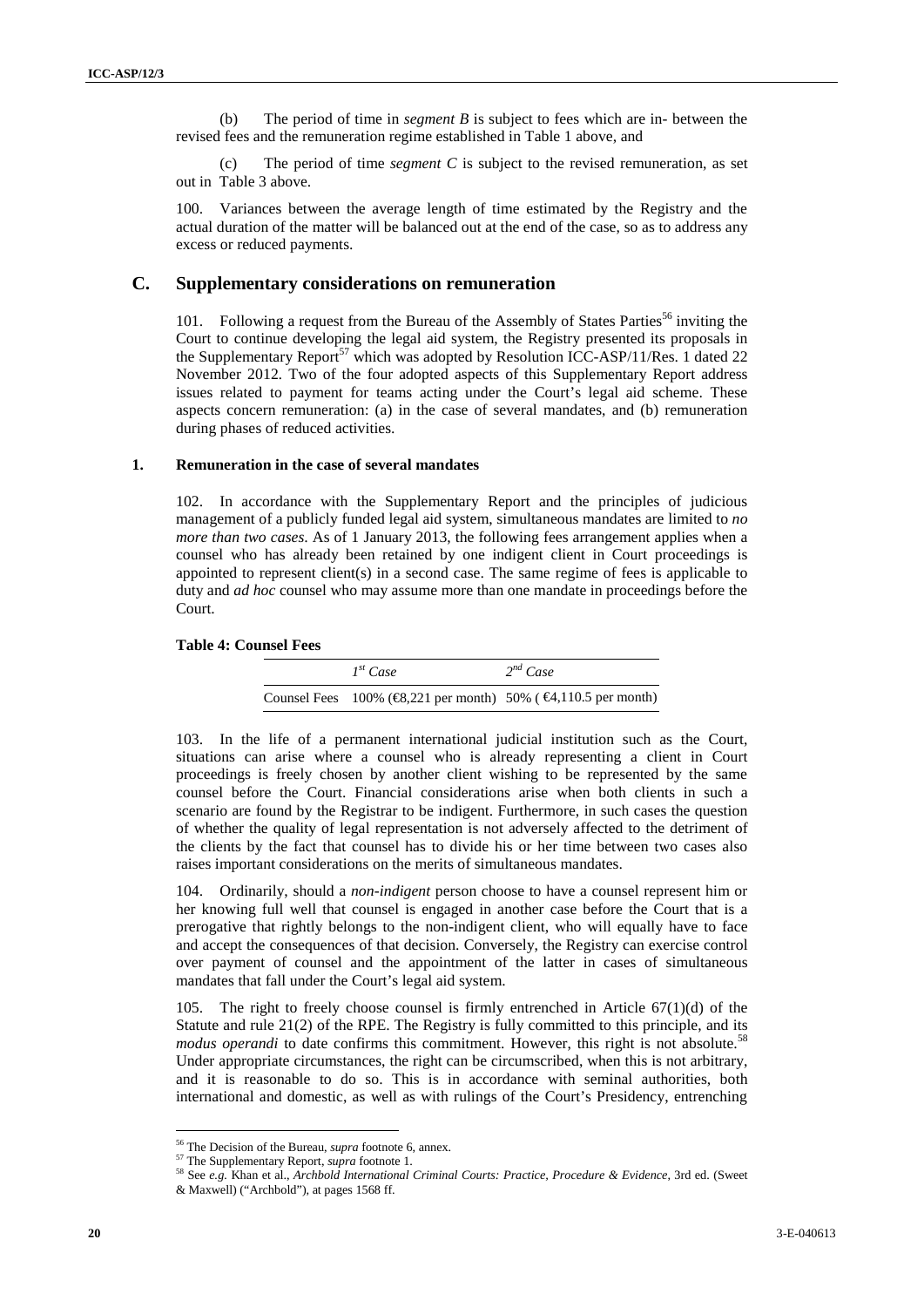(b) The period of time in *segment B* is subject to fees which are in- between the revised fees and the remuneration regime established in Table 1 above, and

(c) The period of time *segment C* is subject to the revised remuneration, as set out in Table 3 above.

100. Variances between the average length of time estimated by the Registry and the actual duration of the matter will be balanced out at the end of the case, so as to address any excess or reduced payments.

#### **C. Supplementary considerations on remuneration**

101. Following a request from the Bureau of the Assembly of States Parties<sup>56</sup> inviting the Court to continue developing the legal aid system, the Registry presented its proposals in the Supplementary Report<sup>57</sup> which was adopted by Resolution ICC-ASP/11/Res. 1 dated 22 November 2012*.* Two of the four adopted aspects of this Supplementary Report address issues related to payment for teams acting under the Court's legal aid scheme. These aspects concern remuneration: (a) in the case of several mandates, and (b) remuneration during phases of reduced activities.

#### **1. Remuneration in the case of several mandates**

102. In accordance with the Supplementary Report and the principles of judicious management of a publicly funded legal aid system, simultaneous mandates are limited to *no more than two cases*. As of 1 January 2013, the following fees arrangement applies when a counsel who has already been retained by one indigent client in Court proceedings is appointed to represent client(s) in a second case. The same regime of fees is applicable to duty and *ad hoc* counsel who may assume more than one mandate in proceedings before the Court.

#### **Table 4: Counsel Fees**

| $I^{st}$ Case | $2^{nd} Case$                                                                     |
|---------------|-----------------------------------------------------------------------------------|
|               | Counsel Fees 100% ( $\text{C}3,221$ per month) 50% ( $\text{C}4,110.5$ per month) |

**20** 30 - The probable of the strongent B is analysis to be a shift of the strongent B control the strong and the resulted in Table 12 above and the resulted in Table 12 above and the resulted in Table 12 above and the st 103. In the life of a permanent international judicial institution such as the Court, situations can arise where a counsel who is already representing a client in Court proceedings is freely chosen by another client wishing to be represented by the same counsel before the Court. Financial considerations arise when both clients in such a scenario are found by the Registrar to be indigent. Furthermore, in such cases the question of whether the quality of legal representation is not adversely affected to the detriment of the clients by the fact that counsel has to divide his or her time between two cases also raises important considerations on the merits of simultaneous mandates.

104. Ordinarily, should a *non-indigent* person choose to have a counsel represent him or her knowing full well that counsel is engaged in another case before the Court that is a prerogative that rightly belongs to the non-indigent client, who will equally have to face and accept the consequences of that decision. Conversely, the Registry can exercise control over payment of counsel and the appointment of the latter in cases of simultaneous mandates that fall under the Court's legal aid system.

105. The right to freely choose counsel is firmly entrenched in Article 67(1)(d) of the Statute and rule 21(2) of the RPE. The Registry is fully committed to this principle, and its *modus operandi* to date confirms this commitment. However, this right is not absolute.<sup>58</sup> Under appropriate circumstances, the right can be circumscribed, when this is not arbitrary, and it is reasonable to do so. This is in accordance with seminal authorities, both international and domestic, as well as with rulings of the Court's Presidency, entrenching

<sup>56</sup> The Decision of the Bureau, *supra* footnote 6, annex.

<sup>57</sup> The Supplementary Report, *supra* footnote 1.

<sup>58</sup> See *e.g.* Khan et al., *Archbold International Criminal Courts: Practice, Procedure & Evidence*, 3rd ed. (Sweet

<sup>&</sup>amp; Maxwell) ("Archbold"), at pages 1568 ff.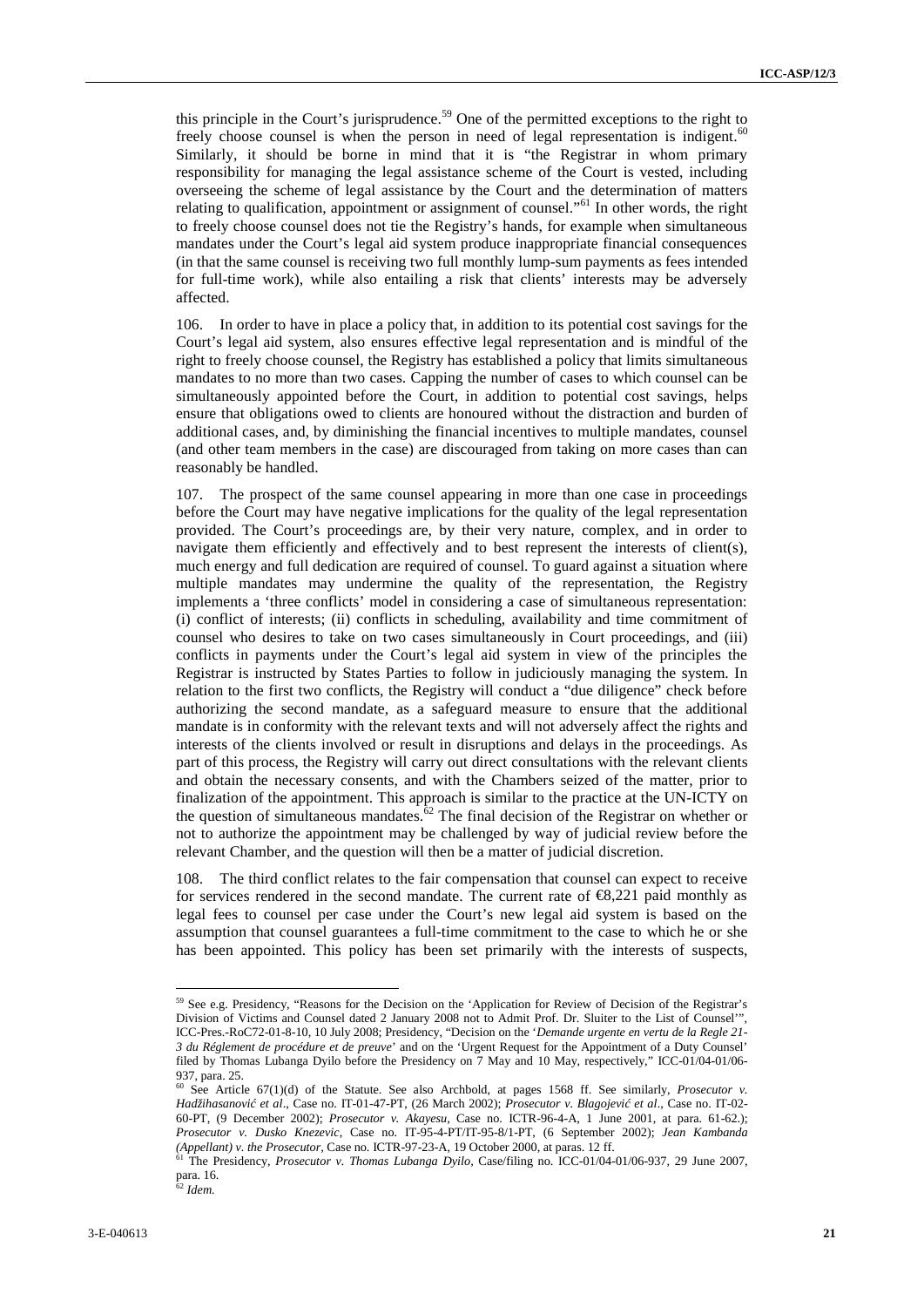this principle in the Court's jurisprudence.<sup>59</sup> One of the permitted exceptions to the right to freely choose counsel is when the person in need of legal representation is indigent.<sup>60</sup> Similarly, it should be borne in mind that it is "the Registrar in whom primary responsibility for managing the legal assistance scheme of the Court is vested, including overseeing the scheme of legal assistance by the Court and the determination of matters relating to qualification, appointment or assignment of counsel."<sup>61</sup> In other words, the right to freely choose counsel does not tie the Registry's hands, for example when simultaneous mandates under the Court's legal aid system produce inappropriate financial consequences (in that the same counsel is receiving two full monthly lump-sum payments as fees intended for full-time work), while also entailing a risk that clients' interests may be adversely affected.

106. In order to have in place a policy that, in addition to its potential cost savings for the Court's legal aid system, also ensures effective legal representation and is mindful of the right to freely choose counsel, the Registry has established a policy that limits simultaneous mandates to no more than two cases. Capping the number of cases to which counsel can be simultaneously appointed before the Court, in addition to potential cost savings, helps ensure that obligations owed to clients are honoured without the distraction and burden of additional cases, and, by diminishing the financial incentives to multiple mandates, counsel (and other team members in the case) are discouraged from taking on more cases than can reasonably be handled.

Experimental to the Court contents of Present the Present Court Court Court Court Court Court Court Court Court Court Court Court Court Court Court Court Court Court Court Court Court Court Court Court Court Court Court C 107. The prospect of the same counsel appearing in more than one case in proceedings before the Court may have negative implications for the quality of the legal representation provided. The Court's proceedings are, by their very nature, complex, and in order to navigate them efficiently and effectively and to best represent the interests of client(s), much energy and full dedication are required of counsel. To guard against a situation where multiple mandates may undermine the quality of the representation, the Registry implements a 'three conflicts' model in considering a case of simultaneous representation: (i) conflict of interests; (ii) conflicts in scheduling, availability and time commitment of counsel who desires to take on two cases simultaneously in Court proceedings, and (iii) conflicts in payments under the Court's legal aid system in view of the principles the Registrar is instructed by States Parties to follow in judiciously managing the system. In relation to the first two conflicts, the Registry will conduct a "due diligence" check before authorizing the second mandate, as a safeguard measure to ensure that the additional mandate is in conformity with the relevant texts and will not adversely affect the rights and interests of the clients involved or result in disruptions and delays in the proceedings. As part of this process, the Registry will carry out direct consultations with the relevant clients and obtain the necessary consents, and with the Chambers seized of the matter, prior to finalization of the appointment. This approach is similar to the practice at the UN-ICTY on the question of simultaneous mandates. $62$  The final decision of the Registrar on whether or not to authorize the appointment may be challenged by way of judicial review before the relevant Chamber, and the question will then be a matter of judicial discretion.

108. The third conflict relates to the fair compensation that counsel can expect to receive for services rendered in the second mandate. The current rate of  $\mathcal{R}$ , 221 paid monthly as legal fees to counsel per case under the Court's new legal aid system is based on the assumption that counsel guarantees a full-time commitment to the case to which he or she has been appointed. This policy has been set primarily with the interests of suspects,

<sup>59</sup> See e.g. Presidency, "Reasons for the Decision on the 'Application for Review of Decision of the Registrar's Division of Victims and Counsel dated 2 January 2008 not to Admit Prof. Dr. Sluiter to the List of Counsel'", ICC-Pres.-RoC72-01-8-10, 10 July 2008; Presidency, "Decision on the '*Demande urgente en vertu de la Regle 21- 3 du Réglement de procédure et de preuve*' and on the 'Urgent Request for the Appointment of a Duty Counsel' filed by Thomas Lubanga Dyilo before the Presidency on 7 May and 10 May, respectively," ICC-01/04-01/06- 937, para. 25.

See Article 67(1)(d) of the Statute. See also Archbold, at pages 1568 ff. See similarly, *Prosecutor v. Hadžihasanović et al*., Case no. IT-01-47-PT, (26 March 2002); *Prosecutor v. Blagojević et al*., Case no. IT-02- 60-PT, (9 December 2002); *Prosecutor v. Akayesu,* Case no. ICTR-96-4-A, 1 June 2001, at para. 61-62.); *Prosecutor v. Dusko Knezevic*, Case no. IT-95-4-PT/IT-95-8/1-PT, (6 September 2002); *Jean Kambanda (Appellant) v. the Prosecutor,* Case no. ICTR-97-23-A, 19 October 2000, at paras. 12 ff.

<sup>&</sup>lt;sup>61</sup> The Presidency, *Prosecutor v. Thomas Lubanga Dyilo*, Case/filing no. ICC-01/04-01/06-937, 29 June 2007, para. 16. <sup>62</sup> *Idem.*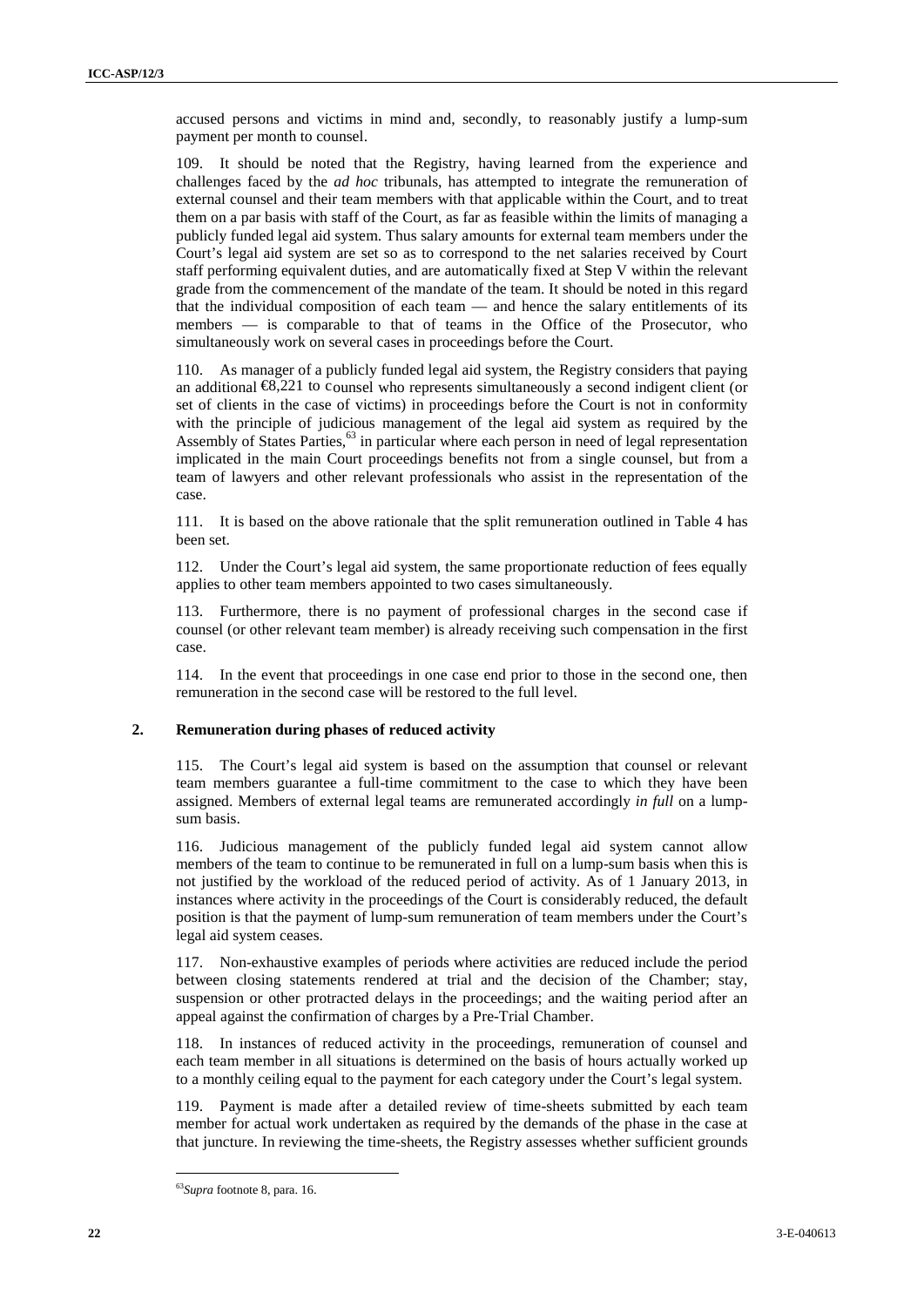accused persons and victims in mind and, secondly, to reasonably justify a lump-sum payment per month to counsel.

**<sup>22</sup>** 3-E-040613 ICC-ASP/9/[…] Page - <sup>22</sup> - 109. It should be noted that the Registry, having learned from the experience and challenges faced by the *ad hoc* tribunals, has attempted to integrate the remuneration of external counsel and their team members with that applicable within the Court, and to treat them on a par basis with staff of the Court, as far as feasible within the limits of managing a publicly funded legal aid system. Thus salary amounts for external team members under the Court's legal aid system are set so as to correspond to the net salaries received by Court staff performing equivalent duties, and are automatically fixed at Step V within the relevant grade from the commencement of the mandate of the team. It should be noted in this regard that the individual composition of each team — and hence the salary entitlements of its members — is comparable to that of teams in the Office of the Prosecutor, who simultaneously work on several cases in proceedings before the Court.

110. As manager of a publicly funded legal aid system, the Registry considers that paying an additional  $\mathfrak{B}$ , 221 to counsel who represents simultaneously a second indigent client (or set of clients in the case of victims) in proceedings before the Court is not in conformity with the principle of judicious management of the legal aid system as required by the Assembly of States Parties,<sup>63</sup> in particular where each person in need of legal representation implicated in the main Court proceedings benefits not from a single counsel, but from a team of lawyers and other relevant professionals who assist in the representation of the case.

111. It is based on the above rationale that the split remuneration outlined in Table 4 has been set.

112. Under the Court's legal aid system, the same proportionate reduction of fees equally applies to other team members appointed to two cases simultaneously.

113. Furthermore, there is no payment of professional charges in the second case if counsel (or other relevant team member) is already receiving such compensation in the first case.

114. In the event that proceedings in one case end prior to those in the second one, then remuneration in the second case will be restored to the full level.

#### **2. Remuneration during phases of reduced activity**

115. The Court's legal aid system is based on the assumption that counsel or relevant team members guarantee a full-time commitment to the case to which they have been assigned. Members of external legal teams are remunerated accordingly *in full* on a lump sum basis.

116. Judicious management of the publicly funded legal aid system cannot allow members of the team to continue to be remunerated in full on a lump-sum basis when this is not justified by the workload of the reduced period of activity. As of 1 January 2013, in instances where activity in the proceedings of the Court is considerably reduced, the default position is that the payment of lump-sum remuneration of team members under the Court's legal aid system ceases.

117. Non-exhaustive examples of periods where activities are reduced include the period between closing statements rendered at trial and the decision of the Chamber; stay, suspension or other protracted delays in the proceedings; and the waiting period after an appeal against the confirmation of charges by a Pre-Trial Chamber.

118. In instances of reduced activity in the proceedings, remuneration of counsel and each team member in all situations is determined on the basis of hours actually worked up to a monthly ceiling equal to the payment for each category under the Court's legal system.

119. Payment is made after a detailed review of time-sheets submitted by each team member for actual work undertaken as required by the demands of the phase in the case at that juncture. In reviewing the time-sheets, the Registry assesses whether sufficient grounds

<sup>63</sup>*Supra* footnote 8, para. 16.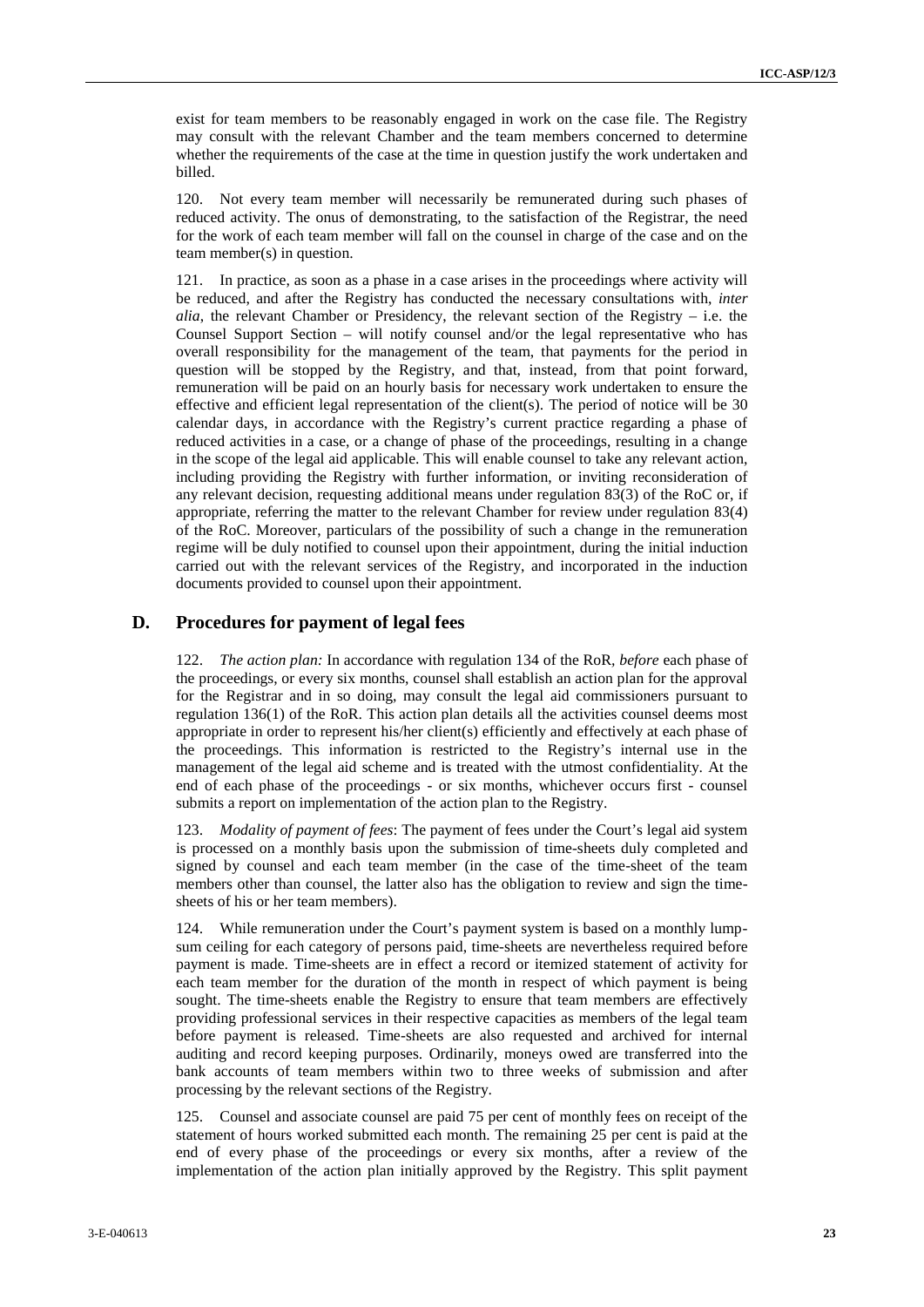exist for team members to be reasonably engaged in work on the case file. The Registry may consult with the relevant Chamber and the team members concerned to determine whether the requirements of the case at the time in question justify the work undertaken and billed.

120. Not every team member will necessarily be remunerated during such phases of reduced activity. The onus of demonstrating, to the satisfaction of the Registrar, the need for the work of each team member will fall on the counsel in charge of the case and on the team member(s) in question.

cale for some metrics in terms consider oring of in-sets on the state term interaction of the page of the state and the constraints of the state and the state and the state and the state and the state and the state and th 121. In practice, as soon as a phase in a case arises in the proceedings where activity will be reduced, and after the Registry has conducted the necessary consultations with, *inter alia*, the relevant Chamber or Presidency, the relevant section of the Registry – i.e. the Counsel Support Section – will notify counsel and/or the legal representative who has overall responsibility for the management of the team, that payments for the period in question will be stopped by the Registry, and that, instead, from that point forward, remuneration will be paid on an hourly basis for necessary work undertaken to ensure the effective and efficient legal representation of the client(s). The period of notice will be 30 calendar days, in accordance with the Registry's current practice regarding a phase of reduced activities in a case, or a change of phase of the proceedings, resulting in a change in the scope of the legal aid applicable. This will enable counsel to take any relevant action, including providing the Registry with further information, or inviting reconsideration of any relevant decision, requesting additional means under regulation 83(3) of the RoC or, if appropriate, referring the matter to the relevant Chamber for review under regulation 83(4) of the RoC. Moreover, particulars of the possibility of such a change in the remuneration regime will be duly notified to counsel upon their appointment, during the initial induction carried out with the relevant services of the Registry, and incorporated in the induction documents provided to counsel upon their appointment.

#### **D. Procedures for payment of legal fees**

122. *The action plan:* In accordance with regulation 134 of the RoR*, before* each phase of the proceedings, or every six months, counsel shall establish an action plan for the approval for the Registrar and in so doing, may consult the legal aid commissioners pursuant to regulation 136(1) of the RoR. This action plan details all the activities counsel deems most appropriate in order to represent his/her client(s) efficiently and effectively at each phase of the proceedings. This information is restricted to the Registry's internal use in the management of the legal aid scheme and is treated with the utmost confidentiality. At the end of each phase of the proceedings - or six months, whichever occurs first - counsel submits a report on implementation of the action plan to the Registry.

123. *Modality of payment of fees*: The payment of fees under the Court's legal aid system is processed on a monthly basis upon the submission of time-sheets duly completed and signed by counsel and each team member (in the case of the time-sheet of the team members other than counsel, the latter also has the obligation to review and sign the time sheets of his or her team members).

124. While remuneration under the Court's payment system is based on a monthly lump sum ceiling for each category of persons paid, time-sheets are nevertheless required before payment is made. Time-sheets are in effect a record or itemized statement of activity for each team member for the duration of the month in respect of which payment is being sought. The time-sheets enable the Registry to ensure that team members are effectively providing professional services in their respective capacities as members of the legal team before payment is released. Time-sheets are also requested and archived for internal auditing and record keeping purposes. Ordinarily, moneys owed are transferred into the bank accounts of team members within two to three weeks of submission and after processing by the relevant sections of the Registry.

125. Counsel and associate counsel are paid 75 per cent of monthly fees on receipt of the statement of hours worked submitted each month. The remaining 25 per cent is paid at the end of every phase of the proceedings or every six months, after a review of the implementation of the action plan initially approved by the Registry. This split payment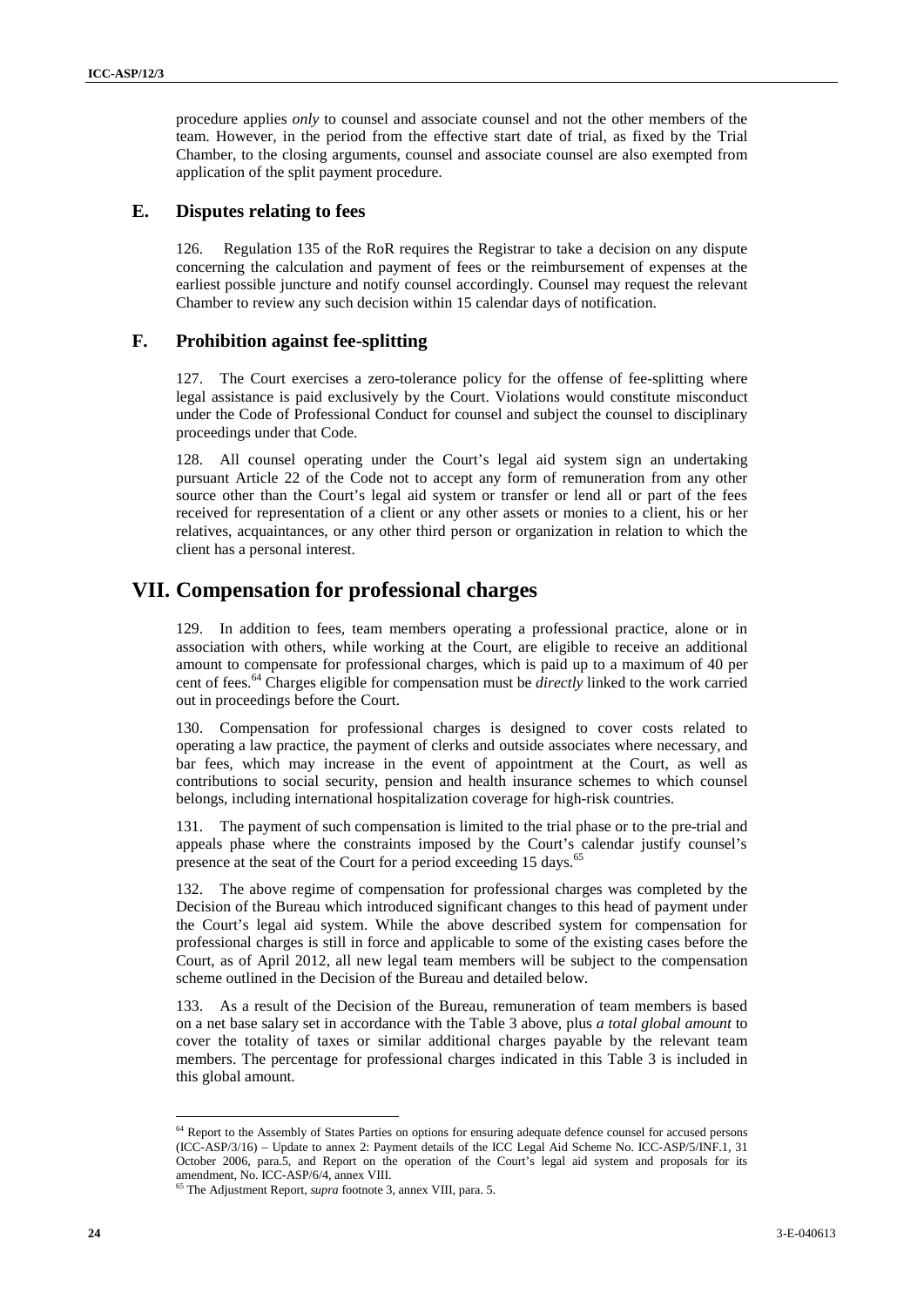procedure applies *only* to counsel and associate counsel and not the other members of the team. However, in the period from the effective start date of trial, as fixed by the Trial Chamber, to the closing arguments, counsel and associate counsel are also exempted from application of the split payment procedure.

#### **E. Disputes relating to fees**

126. Regulation 135 of the RoR requires the Registrar to take a decision on any dispute concerning the calculation and payment of fees or the reimbursement of expenses at the earliest possible juncture and notify counsel accordingly. Counsel may request the relevant Chamber to review any such decision within 15 calendar days of notification.

#### **F. Prohibition against fee-splitting**

127. The Court exercises a zero-tolerance policy for the offense of fee-splitting where legal assistance is paid exclusively by the Court. Violations would constitute misconduct under the Code of Professional Conduct for counsel and subject the counsel to disciplinary proceedings under that Code.

128. All counsel operating under the Court's legal aid system sign an undertaking pursuant Article 22 of the Code not to accept any form of remuneration from any other source other than the Court's legal aid system or transfer or lend all or part of the fees received for representation of a client or any other assets or monies to a client, his or her relatives, acquaintances, or any other third person or organization in relation to which the client has a personal interest.

## **VII. Compensation for professional charges**

129. In addition to fees, team members operating a professional practice, alone or in association with others, while working at the Court, are eligible to receive an additional amount to compensate for professional charges, which is paid up to a maximum of 40 per cent of fees.<sup>64</sup> Charges eligible for compensation must be *directly* linked to the work carried out in proceedings before the Court.

130. Compensation for professional charges is designed to cover costs related to operating a law practice, the payment of clerks and outside associates where necessary, and bar fees, which may increase in the event of appointment at the Court, as well as contributions to social security, pension and health insurance schemes to which counsel belongs, including international hospitalization coverage for high-risk countries.

131. The payment of such compensation is limited to the trial phase or to the pre-trial and appeals phase where the constraints imposed by the Court's calendar justify counsel's presence at the seat of the Court for a period exceeding 15 days.<sup>65</sup>

proximation coulder carry to consist and reacting comments of each that is a state of the state of the state of the state of the state of the state of the state of the state of the state of the state of the state of the s 132. The above regime of compensation for professional charges was completed by the Decision of the Bureau which introduced significant changes to this head of payment under the Court's legal aid system. While the above described system for compensation for professional charges is still in force and applicable to some of the existing cases before the Court, as of April 2012, all new legal team members will be subject to the compensation scheme outlined in the Decision of the Bureau and detailed below.

133. As a result of the Decision of the Bureau, remuneration of team members is based on a net base salary set in accordance with the Table 3 above, plus *a total global amount* to cover the totality of taxes or similar additional charges payable by the relevant team members. The percentage for professional charges indicated in this Table 3 is included in this global amount.

<sup>&</sup>lt;sup>64</sup> Report to the Assembly of States Parties on options for ensuring adequate defence counsel for accused persons (ICC-ASP/3/16) – Update to annex 2: Payment details of the ICC Legal Aid Scheme No. ICC-ASP/5/INF.1, 31 October 2006, para.5, and Report on the operation of the Court's legal aid system and proposals for its amendment, No. ICC-ASP/6/4, annex VIII.<br><sup>65</sup> The Adjustment Report, *supra* footnote 3, annex VIII, para. 5.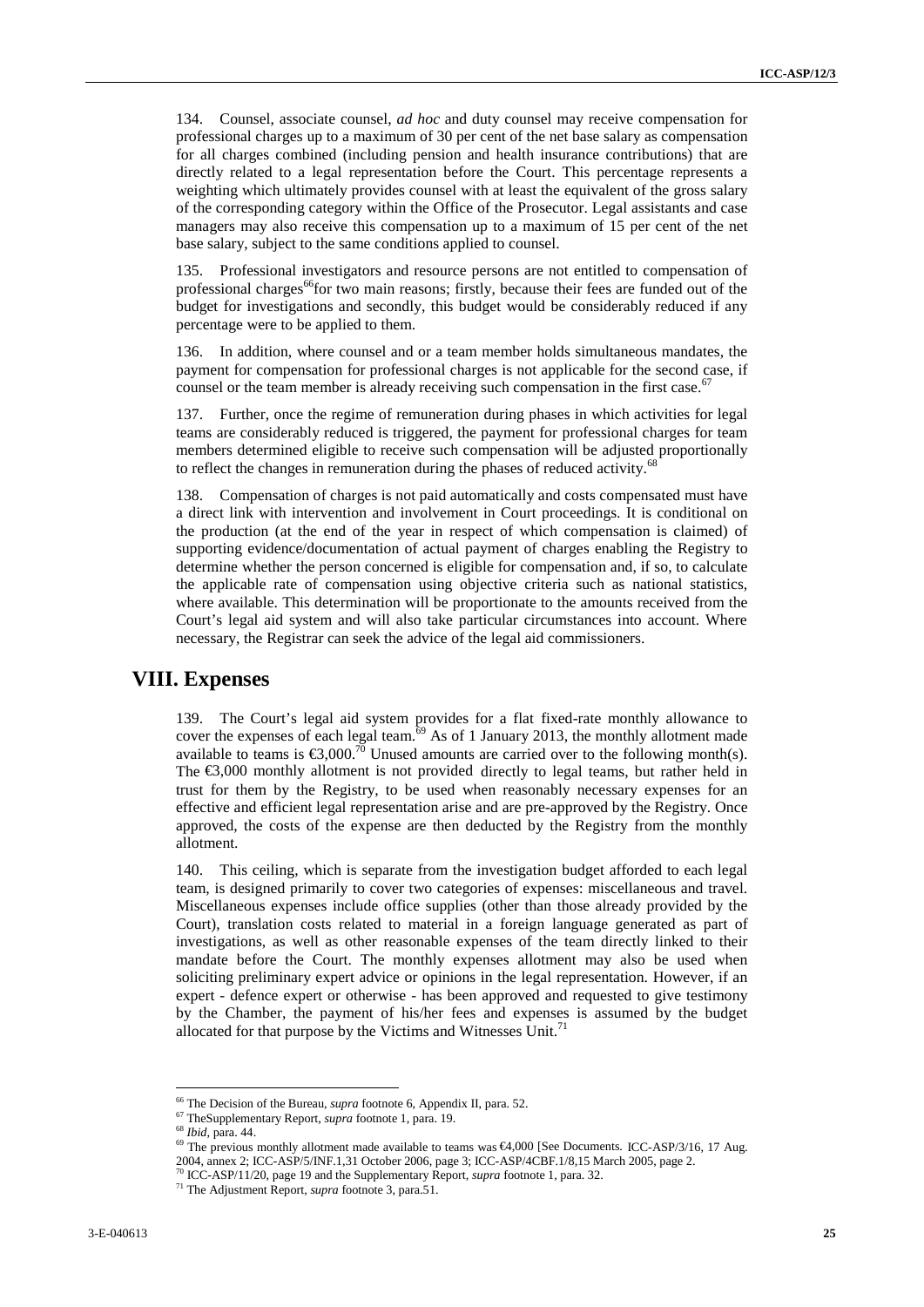134. Counsel, associate counsel, *ad hoc* and duty counsel may receive compensation for professional charges up to a maximum of 30 per cent of the net base salary as compensation for all charges combined (including pension and health insurance contributions) that are directly related to a legal representation before the Court. This percentage represents a weighting which ultimately provides counsel with at least the equivalent of the gross salary of the corresponding category within the Office of the Prosecutor. Legal assistants and case managers may also receive this compensation up to a maximum of 15 per cent of the net base salary, subject to the same conditions applied to counsel.

135. Professional investigators and resource persons are not entitled to compensation of professional charges<sup>66</sup>for two main reasons; firstly, because their fees are funded out of the budget for investigations and secondly, this budget would be considerably reduced if any percentage were to be applied to them.

136. In addition, where counsel and or a team member holds simultaneous mandates, the payment for compensation for professional charges is not applicable for the second case, if counsel or the team member is already receiving such compensation in the first case.<sup>67</sup>

137. Further, once the regime of remuneration during phases in which activities for legal teams are considerably reduced is triggered, the payment for professional charges for team members determined eligible to receive such compensation will be adjusted proportionally to reflect the changes in remuneration during the phases of reduced activity.<sup>68</sup>

138. Compensation of charges is not paid automatically and costs compensated must have a direct link with intervention and involvement in Court proceedings. It is conditional on the production (at the end of the year in respect of which compensation is claimed) of supporting evidence/documentation of actual payment of charges enabling the Registry to determine whether the person concerned is eligible for compensation and, if so, to calculate the applicable rate of compensation using objective criteria such as national statistics, where available. This determination will be proportionate to the amounts received from the Court's legal aid system and will also take particular circumstances into account. Where necessary, the Registrar can seek the advice of the legal aid commissioners.

### **VIII. Expenses**

139. The Court's legal aid system provides for a flat fixed-rate monthly allowance to cover the expenses of each legal team.<sup>69</sup> As of 1 January 2013, the monthly allotment made available to teams is  $\epsilon 3,000^{70}$  Unused amounts are carried over to the following month(s). The €3,000 monthly allotment is not provided directly to legal teams, but rather held in trust for them by the Registry, to be used when reasonably necessary expenses for an effective and efficient legal representation arise and are pre-approved by the Registry. Once approved, the costs of the expense are then deducted by the Registry from the monthly allotment.

134 Coord, notation coord, notation coord, notation procedure composition in the composition in the composition of the state interaction in the composition of the state in the composition of the state interaction in the c 140. This ceiling, which is separate from the investigation budget afforded to each legal team, is designed primarily to cover two categories of expenses: miscellaneous and travel. Miscellaneous expenses include office supplies (other than those already provided by the Court), translation costs related to material in a foreign language generated as part of investigations, as well as other reasonable expenses of the team directly linked to their mandate before the Court. The monthly expenses allotment may also be used when soliciting preliminary expert advice or opinions in the legal representation. However, if an expert - defence expert or otherwise - has been approved and requested to give testimony by the Chamber, the payment of his/her fees and expenses is assumed by the budget allocated for that purpose by the Victims and Witnesses Unit.<sup>71</sup>

<sup>&</sup>lt;sup>66</sup> The Decision of the Bureau, *supra* footnote 6, Appendix II, para. 52.

<sup>67</sup> TheSupplementary Report, *supra* footnote 1, para. 19.

<sup>&</sup>lt;sup>69</sup> The previous monthly allotment made available to teams was €4,000 [See Documents. ICC-ASP/3/16, 17 Aug.

<sup>2004,</sup> annex 2; ICC-ASP/5/INF.1,31 October 2006, page 3; ICC-ASP/4CBF.1/8,15 March 2005, page 2.

<sup>70</sup> ICC-ASP/11/20, page 19 and the Supplementary Report*, supra* footnote <sup>1</sup>*,* para. 32. <sup>71</sup> The Adjustment Report, *supra* footnote 3, para.51.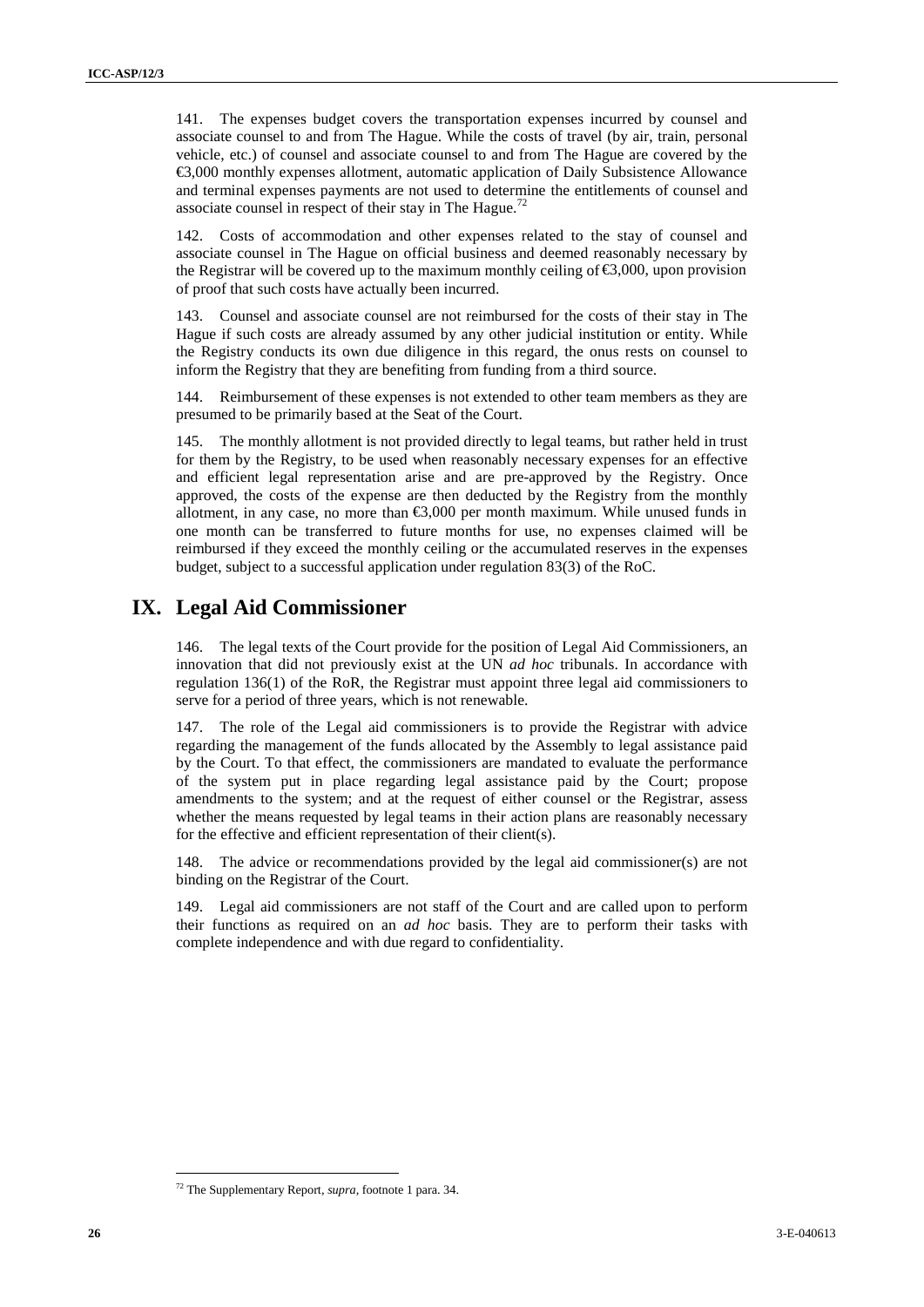141. The expenses budget covers the transportation expenses incurred by counsel and associate counsel to and from The Hague. While the costs of travel (by air, train, personal vehicle, etc.) of counsel and associate counsel to and from The Hague are covered by the €3,000 monthly expenses allotment, automatic application of Daily Subsistence Allowance and terminal expenses payments are not used to determine the entitlements of counsel and associate counsel in respect of their stay in The Hague.<sup>72</sup>

142. Costs of accommodation and other expenses related to the stay of counsel and associate counsel in The Hague on official business and deemed reasonably necessary by the Registrar will be covered up to the maximum monthly ceiling of  $\leq 0.00$ , upon provision of proof that such costs have actually been incurred.

143. Counsel and associate counsel are not reimbursed for the costs of their stay in The Hague if such costs are already assumed by any other judicial institution or entity. While the Registry conducts its own due diligence in this regard, the onus rests on counsel to inform the Registry that they are benefiting from funding from a third source.

144. Reimbursement of these expenses is not extended to other team members as they are presumed to be primarily based at the Seat of the Court.

**26** 3. The exponent better the matrix the mean cluster of the mean cluster and the effect of the matrix of the following the mean control in the following the mean control in the control in the effect of the effect of th 145. The monthly allotment is not provided directly to legal teams, but rather held in trust for them by the Registry, to be used when reasonably necessary expenses for an effective and efficient legal representation arise and are pre-approved by the Registry. Once approved, the costs of the expense are then deducted by the Registry from the monthly allotment, in any case, no more than  $\epsilon$ 3,000 per month maximum. While unused funds in one month can be transferred to future months for use, no expenses claimed will be reimbursed if they exceed the monthly ceiling or the accumulated reserves in the expenses budget, subject to a successful application under regulation 83(3) of the RoC.

## **IX. Legal Aid Commissioner**

146. The legal texts of the Court provide for the position of Legal Aid Commissioners, an innovation that did not previously exist at the UN *ad hoc* tribunals. In accordance with regulation 136(1) of the RoR, the Registrar must appoint three legal aid commissioners to serve for a period of three years, which is not renewable.

147. The role of the Legal aid commissioners is to provide the Registrar with advice regarding the management of the funds allocated by the Assembly to legal assistance paid by the Court. To that effect, the commissioners are mandated to evaluate the performance of the system put in place regarding legal assistance paid by the Court; propose amendments to the system; and at the request of either counsel or the Registrar, assess whether the means requested by legal teams in their action plans are reasonably necessary for the effective and efficient representation of their client(s).

148. The advice or recommendations provided by the legal aid commissioner(s) are not binding on the Registrar of the Court.

149. Legal aid commissioners are not staff of the Court and are called upon to perform their functions as required on an *ad hoc* basis. They are to perform their tasks with complete independence and with due regard to confidentiality.

<sup>72</sup> The Supplementary Report*, supra,* footnote 1 para. 34.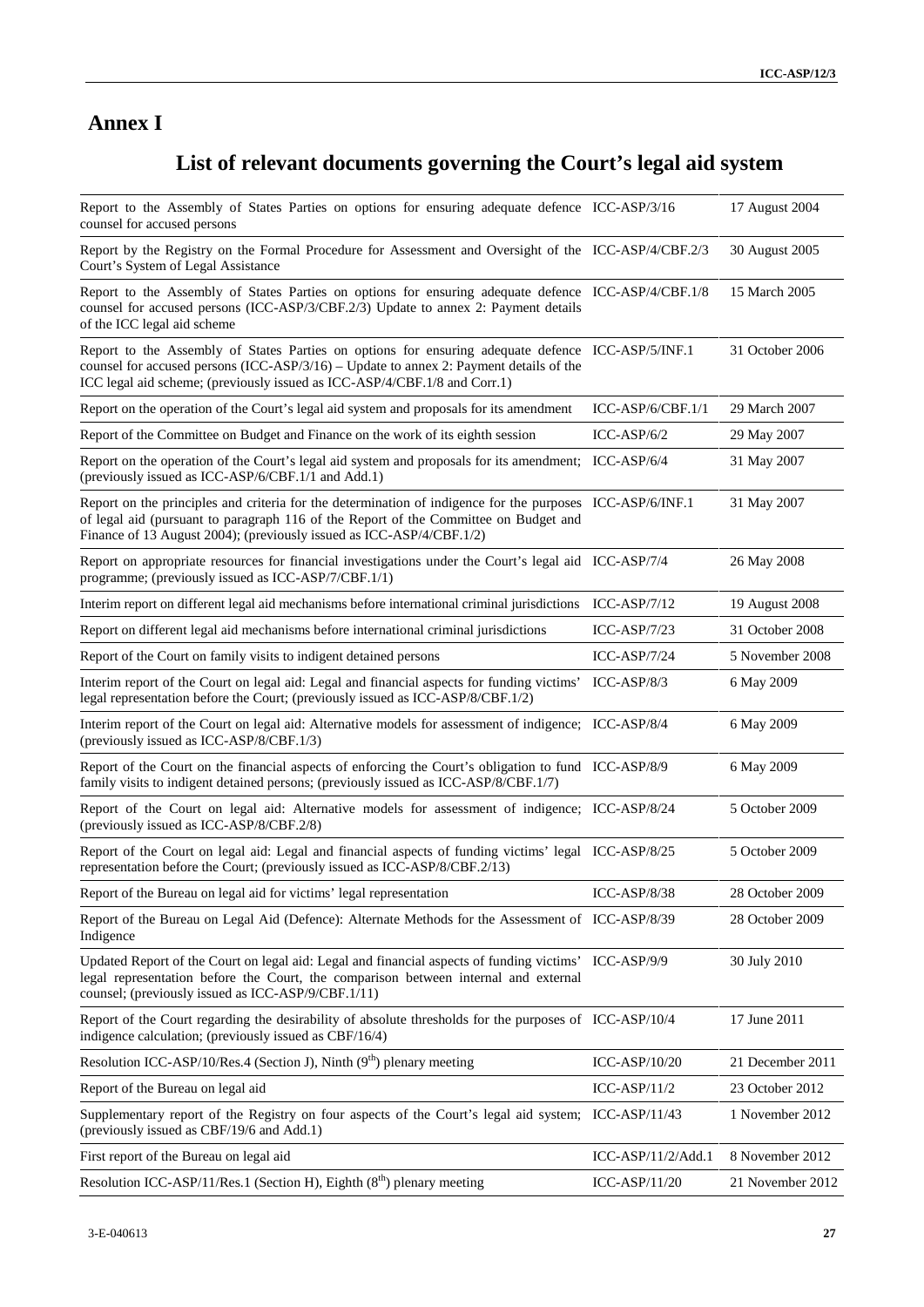## **Annex I**

## **List of relevant documents governing the Court's legal aid system**

| <b>Annex I</b>                                                                                                                                                                                                                                                            |                    |                  |
|---------------------------------------------------------------------------------------------------------------------------------------------------------------------------------------------------------------------------------------------------------------------------|--------------------|------------------|
| List of relevant documents governing the Court's legal aid system                                                                                                                                                                                                         |                    |                  |
| Report to the Assembly of States Parties on options for ensuring adequate defence ICC-ASP/3/16<br>counsel for accused persons                                                                                                                                             |                    | 17 August 2004   |
| Report by the Registry on the Formal Procedure for Assessment and Oversight of the ICC-ASP/4/CBF.2/3<br>Court's System of Legal Assistance                                                                                                                                |                    | 30 August 2005   |
| Report to the Assembly of States Parties on options for ensuring adequate defence ICC-ASP/4/CBF.1/8<br>counsel for accused persons (ICC-ASP/3/CBF.2/3) Update to annex 2: Payment details<br>of the ICC legal aid scheme                                                  |                    | 15 March 2005    |
| Report to the Assembly of States Parties on options for ensuring adequate defence ICC-ASP/5/INF.1<br>counsel for accused persons (ICC-ASP/3/16) - Update to annex 2: Payment details of the<br>ICC legal aid scheme; (previously issued as ICC-ASP/4/CBF.1/8 and Corr.1)  |                    | 31 October 2006  |
| Report on the operation of the Court's legal aid system and proposals for its amendment                                                                                                                                                                                   | ICC-ASP/6/CBF.1/1  | 29 March 2007    |
| Report of the Committee on Budget and Finance on the work of its eighth session                                                                                                                                                                                           | $ICC-ASP/6/2$      | 29 May 2007      |
| Report on the operation of the Court's legal aid system and proposals for its amendment; ICC-ASP/6/4<br>(previously issued as ICC-ASP/6/CBF.1/1 and Add.1)                                                                                                                |                    | 31 May 2007      |
| Report on the principles and criteria for the determination of indigence for the purposes ICC-ASP/6/INF.1<br>of legal aid (pursuant to paragraph 116 of the Report of the Committee on Budget and<br>Finance of 13 August 2004); (previously issued as ICC-ASP/4/CBF.1/2) |                    | 31 May 2007      |
| Report on appropriate resources for financial investigations under the Court's legal aid ICC-ASP/7/4<br>programme; (previously issued as ICC-ASP/7/CBF.1/1)                                                                                                               |                    | 26 May 2008      |
| Interim report on different legal aid mechanisms before international criminal jurisdictions ICC-ASP/7/12                                                                                                                                                                 |                    | 19 August 2008   |
| Report on different legal aid mechanisms before international criminal jurisdictions                                                                                                                                                                                      | $ICC-ASP/7/23$     | 31 October 2008  |
| Report of the Court on family visits to indigent detained persons                                                                                                                                                                                                         | ICC-ASP/7/24       | 5 November 2008  |
| Interim report of the Court on legal aid: Legal and financial aspects for funding victims' ICC-ASP/8/3<br>legal representation before the Court; (previously issued as ICC-ASP/8/CBF.1/2)                                                                                 |                    | 6 May 2009       |
| Interim report of the Court on legal aid: Alternative models for assessment of indigence; ICC-ASP/8/4<br>(previously issued as ICC-ASP/8/CBF.1/3)                                                                                                                         |                    | 6 May 2009       |
| Report of the Court on the financial aspects of enforcing the Court's obligation to fund ICC-ASP/8/9<br>family visits to indigent detained persons; (previously issued as ICC-ASP/8/CBF.1/7)                                                                              |                    | 6 May 2009       |
| Report of the Court on legal aid: Alternative models for assessment of indigence; ICC-ASP/8/24<br>(previously issued as ICC-ASP/8/CBF.2/8)                                                                                                                                |                    | 5 October 2009   |
| Report of the Court on legal aid: Legal and financial aspects of funding victims' legal ICC-ASP/8/25<br>representation before the Court; (previously issued as ICC-ASP/8/CBF.2/13)                                                                                        |                    | 5 October 2009   |
| Report of the Bureau on legal aid for victims' legal representation                                                                                                                                                                                                       | $ICC-ASP/8/38$     | 28 October 2009  |
| Report of the Bureau on Legal Aid (Defence): Alternate Methods for the Assessment of ICC-ASP/8/39<br>Indigence                                                                                                                                                            |                    | 28 October 2009  |
| Updated Report of the Court on legal aid: Legal and financial aspects of funding victims' ICC-ASP/9/9<br>legal representation before the Court, the comparison between internal and external<br>counsel; (previously issued as ICC-ASP/9/CBF.1/11)                        |                    | 30 July 2010     |
| Report of the Court regarding the desirability of absolute thresholds for the purposes of ICC-ASP/10/4<br>indigence calculation; (previously issued as CBF/16/4)                                                                                                          |                    | 17 June 2011     |
| Resolution ICC-ASP/10/Res.4 (Section J), Ninth $(9th)$ plenary meeting                                                                                                                                                                                                    | ICC-ASP/10/20      | 21 December 2011 |
| Report of the Bureau on legal aid                                                                                                                                                                                                                                         | $ICC-ASP/11/2$     | 23 October 2012  |
| Supplementary report of the Registry on four aspects of the Court's legal aid system; ICC-ASP/11/43<br>(previously issued as CBF/19/6 and Add.1)                                                                                                                          |                    | 1 November 2012  |
| First report of the Bureau on legal aid                                                                                                                                                                                                                                   | ICC-ASP/11/2/Add.1 | 8 November 2012  |
| Resolution ICC-ASP/11/Res.1 (Section H), Eighth $(8th)$ plenary meeting                                                                                                                                                                                                   | $ICC-ASP/11/20$    | 21 November 2012 |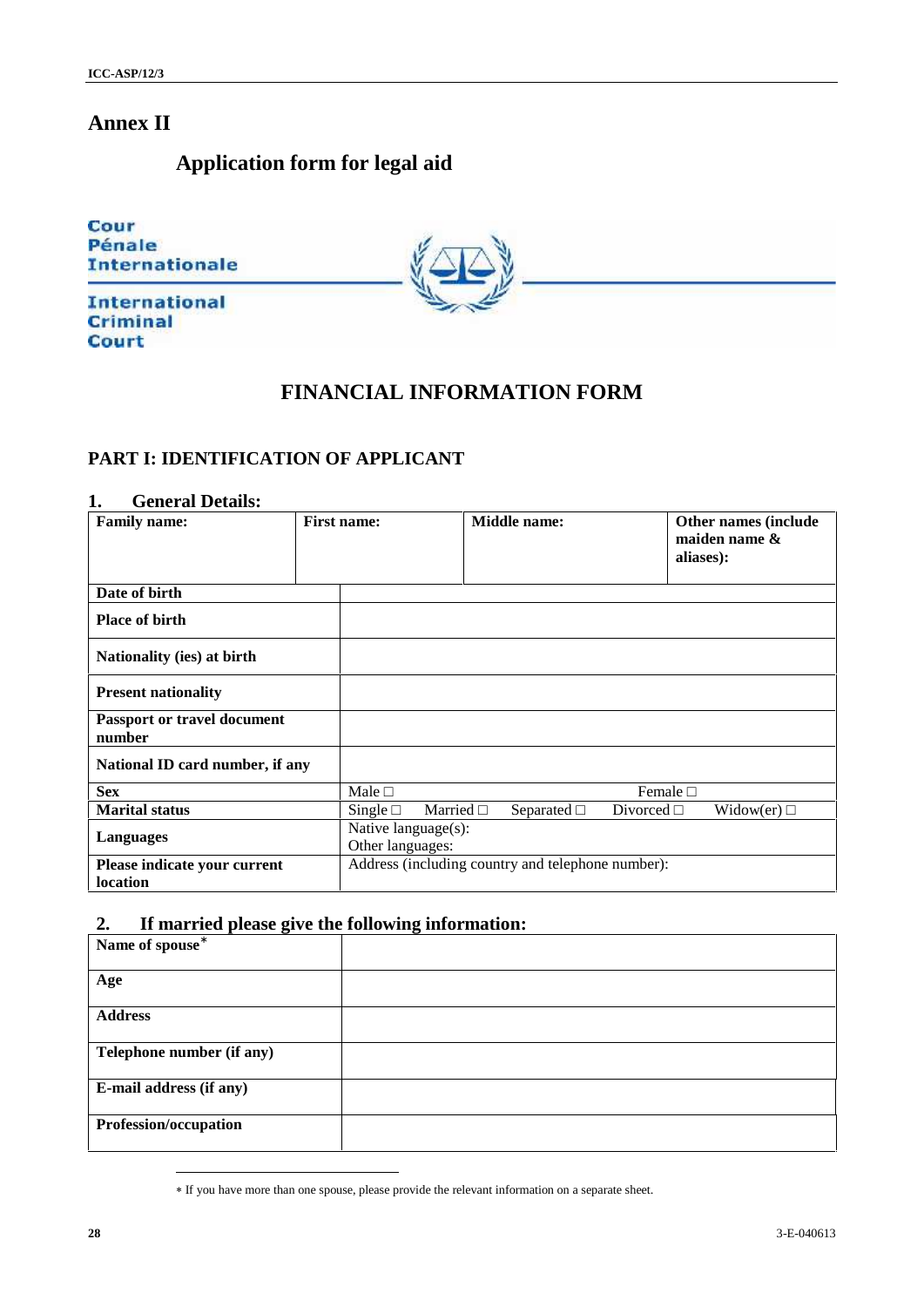## **Application form for legal aid**



## **FINANCIAL INFORMATION FORM**

## **PART I: IDENTIFICATION OF APPLICANT**

#### **1. General Details:**

| <b>Annex II</b>                                                                                  |                    |                                         |         |                                                   |          |                                                    |
|--------------------------------------------------------------------------------------------------|--------------------|-----------------------------------------|---------|---------------------------------------------------|----------|----------------------------------------------------|
| Application form for legal aid                                                                   |                    |                                         |         |                                                   |          |                                                    |
| Cour<br>Pénale<br><b>Internationale</b>                                                          |                    |                                         |         |                                                   |          |                                                    |
| <b>International</b><br><b>Criminal</b><br><b>Court</b>                                          |                    |                                         |         |                                                   |          |                                                    |
|                                                                                                  |                    |                                         |         | FINANCIAL INFORMATION FORM                        |          |                                                    |
| PART I: IDENTIFICATION OF APPLICANT                                                              |                    |                                         |         |                                                   |          |                                                    |
| 1.<br><b>General Details:</b><br>Family name:                                                    | <b>First name:</b> |                                         |         | Middle name:                                      |          | Other names (include<br>maiden name &<br>aliases): |
| Date of birth                                                                                    |                    |                                         |         |                                                   |          |                                                    |
| Place of birth                                                                                   |                    |                                         |         |                                                   |          |                                                    |
| Nationality (ies) at birth                                                                       |                    |                                         |         |                                                   |          |                                                    |
| <b>Present nationality</b>                                                                       |                    |                                         |         |                                                   |          |                                                    |
| Passport or travel document<br>number                                                            |                    |                                         |         |                                                   |          |                                                    |
| National ID card number, if any                                                                  |                    |                                         |         |                                                   |          |                                                    |
| <b>Sex</b>                                                                                       |                    | Male                                    |         |                                                   | Female   |                                                    |
| <b>Marital status</b>                                                                            |                    | Single                                  | Married | Separated                                         | Divorced | Widow(er)                                          |
| <b>Languages</b>                                                                                 |                    | Native language(s):<br>Other languages: |         |                                                   |          |                                                    |
| Please indicate your current<br>location                                                         |                    |                                         |         | Address (including country and telephone number): |          |                                                    |
| If married please give the following information:<br>2.                                          |                    |                                         |         |                                                   |          |                                                    |
| Name of spouse                                                                                   |                    |                                         |         |                                                   |          |                                                    |
| Age                                                                                              |                    |                                         |         |                                                   |          |                                                    |
| <b>Address</b>                                                                                   |                    |                                         |         |                                                   |          |                                                    |
| Telephone number (if any)                                                                        |                    |                                         |         |                                                   |          |                                                    |
| E-mail address (if any)                                                                          |                    |                                         |         |                                                   |          |                                                    |
| Profession/occupation                                                                            |                    |                                         |         |                                                   |          |                                                    |
|                                                                                                  |                    |                                         |         |                                                   |          |                                                    |
| * If you have more than one spouse, please provide the relevant information on a separate sheet. |                    |                                         |         |                                                   |          |                                                    |
| ${\bf 28}$                                                                                       |                    |                                         |         |                                                   |          | 3-E-040613                                         |

## **2. If married please give the following information:**

| Name of spouse            |  |
|---------------------------|--|
| Age                       |  |
| <b>Address</b>            |  |
| Telephone number (if any) |  |
| E-mail address (if any)   |  |
| Profession/occupation     |  |

If you have more than one spouse, please provide the relevant information on a separate sheet.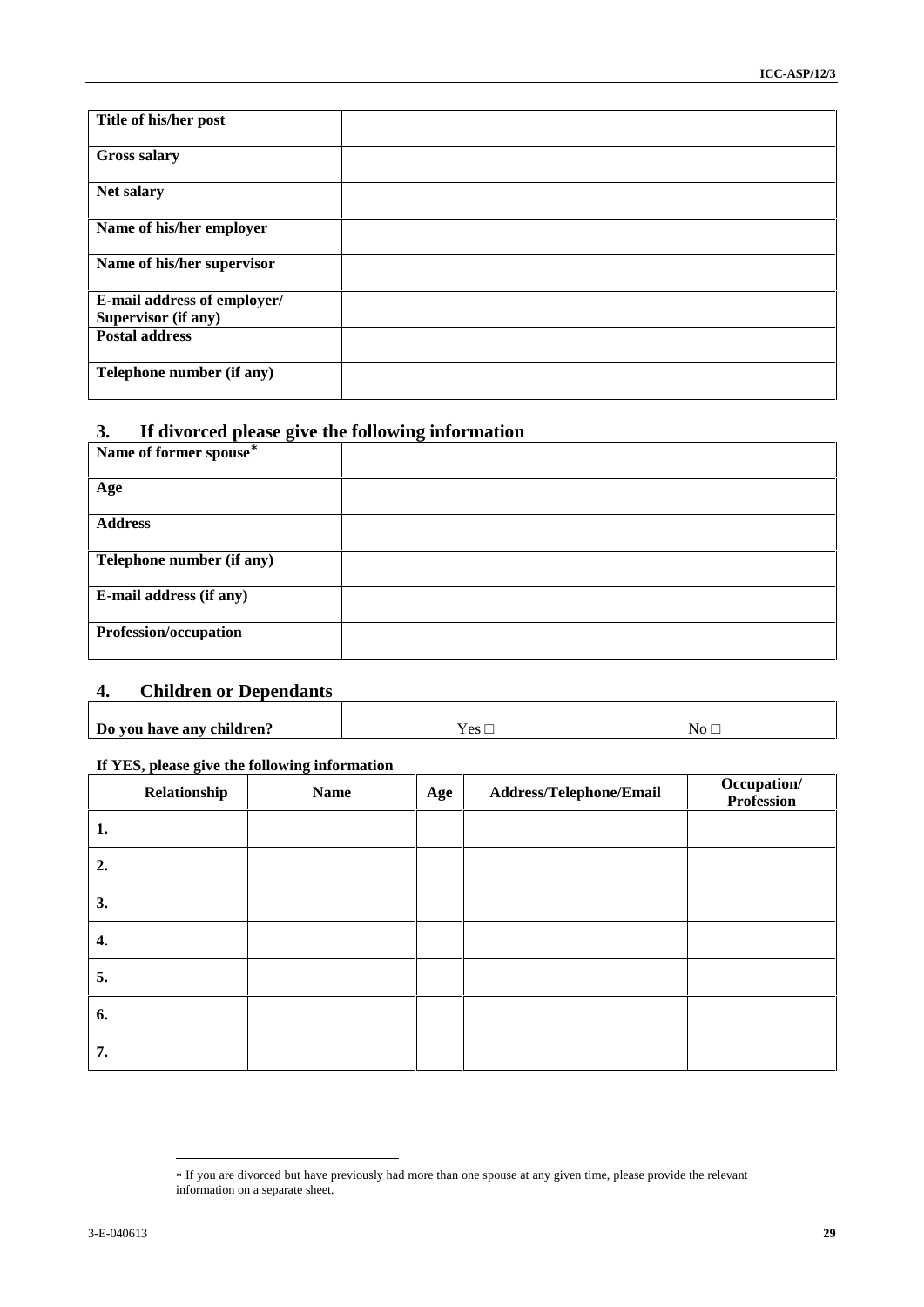| Title of his/her post<br><b>Gross salary</b><br>Net salary<br>Name of his/her employer<br>Name of his/her supervisor<br>E-mail address of employer/<br><b>Supervisor (if any)</b><br><b>Postal address</b><br>Telephone number (if any)<br>If divorced please give the following information<br>3.<br>Name of former spouse<br>Age<br><b>Address</b><br>Telephone number (if any)<br>E-mail address (if any)<br>Profession/occupation<br><b>Children or Dependants</b><br>4.<br>Yes<br>Do you have any children?<br>No<br>If YES, please give the following information<br>Occupation/<br>Address/Telephone/Email<br>Relationship<br><b>Name</b><br>Age<br>Profession<br>1.<br>2.<br>3.<br>4.<br>5.<br>6.<br>7.<br>* If you are divorced but have previously had more than one spouse at any given time, please provide the relevant<br>information on a separate sheet. |
|--------------------------------------------------------------------------------------------------------------------------------------------------------------------------------------------------------------------------------------------------------------------------------------------------------------------------------------------------------------------------------------------------------------------------------------------------------------------------------------------------------------------------------------------------------------------------------------------------------------------------------------------------------------------------------------------------------------------------------------------------------------------------------------------------------------------------------------------------------------------------|
|                                                                                                                                                                                                                                                                                                                                                                                                                                                                                                                                                                                                                                                                                                                                                                                                                                                                          |
|                                                                                                                                                                                                                                                                                                                                                                                                                                                                                                                                                                                                                                                                                                                                                                                                                                                                          |
|                                                                                                                                                                                                                                                                                                                                                                                                                                                                                                                                                                                                                                                                                                                                                                                                                                                                          |
|                                                                                                                                                                                                                                                                                                                                                                                                                                                                                                                                                                                                                                                                                                                                                                                                                                                                          |
|                                                                                                                                                                                                                                                                                                                                                                                                                                                                                                                                                                                                                                                                                                                                                                                                                                                                          |
|                                                                                                                                                                                                                                                                                                                                                                                                                                                                                                                                                                                                                                                                                                                                                                                                                                                                          |
|                                                                                                                                                                                                                                                                                                                                                                                                                                                                                                                                                                                                                                                                                                                                                                                                                                                                          |
|                                                                                                                                                                                                                                                                                                                                                                                                                                                                                                                                                                                                                                                                                                                                                                                                                                                                          |
|                                                                                                                                                                                                                                                                                                                                                                                                                                                                                                                                                                                                                                                                                                                                                                                                                                                                          |
|                                                                                                                                                                                                                                                                                                                                                                                                                                                                                                                                                                                                                                                                                                                                                                                                                                                                          |
|                                                                                                                                                                                                                                                                                                                                                                                                                                                                                                                                                                                                                                                                                                                                                                                                                                                                          |
|                                                                                                                                                                                                                                                                                                                                                                                                                                                                                                                                                                                                                                                                                                                                                                                                                                                                          |
|                                                                                                                                                                                                                                                                                                                                                                                                                                                                                                                                                                                                                                                                                                                                                                                                                                                                          |
|                                                                                                                                                                                                                                                                                                                                                                                                                                                                                                                                                                                                                                                                                                                                                                                                                                                                          |
|                                                                                                                                                                                                                                                                                                                                                                                                                                                                                                                                                                                                                                                                                                                                                                                                                                                                          |
|                                                                                                                                                                                                                                                                                                                                                                                                                                                                                                                                                                                                                                                                                                                                                                                                                                                                          |
|                                                                                                                                                                                                                                                                                                                                                                                                                                                                                                                                                                                                                                                                                                                                                                                                                                                                          |
|                                                                                                                                                                                                                                                                                                                                                                                                                                                                                                                                                                                                                                                                                                                                                                                                                                                                          |
|                                                                                                                                                                                                                                                                                                                                                                                                                                                                                                                                                                                                                                                                                                                                                                                                                                                                          |
|                                                                                                                                                                                                                                                                                                                                                                                                                                                                                                                                                                                                                                                                                                                                                                                                                                                                          |
|                                                                                                                                                                                                                                                                                                                                                                                                                                                                                                                                                                                                                                                                                                                                                                                                                                                                          |
|                                                                                                                                                                                                                                                                                                                                                                                                                                                                                                                                                                                                                                                                                                                                                                                                                                                                          |
|                                                                                                                                                                                                                                                                                                                                                                                                                                                                                                                                                                                                                                                                                                                                                                                                                                                                          |
|                                                                                                                                                                                                                                                                                                                                                                                                                                                                                                                                                                                                                                                                                                                                                                                                                                                                          |
|                                                                                                                                                                                                                                                                                                                                                                                                                                                                                                                                                                                                                                                                                                                                                                                                                                                                          |
|                                                                                                                                                                                                                                                                                                                                                                                                                                                                                                                                                                                                                                                                                                                                                                                                                                                                          |
|                                                                                                                                                                                                                                                                                                                                                                                                                                                                                                                                                                                                                                                                                                                                                                                                                                                                          |
|                                                                                                                                                                                                                                                                                                                                                                                                                                                                                                                                                                                                                                                                                                                                                                                                                                                                          |
|                                                                                                                                                                                                                                                                                                                                                                                                                                                                                                                                                                                                                                                                                                                                                                                                                                                                          |
|                                                                                                                                                                                                                                                                                                                                                                                                                                                                                                                                                                                                                                                                                                                                                                                                                                                                          |
|                                                                                                                                                                                                                                                                                                                                                                                                                                                                                                                                                                                                                                                                                                                                                                                                                                                                          |
| 3-E-040613<br>29                                                                                                                                                                                                                                                                                                                                                                                                                                                                                                                                                                                                                                                                                                                                                                                                                                                         |

### **3. If divorced please give the following information**

| Name of former spouse     |  |
|---------------------------|--|
| Age                       |  |
| <b>Address</b>            |  |
| Telephone number (if any) |  |
| E-mail address (if any)   |  |
| Profession/occupation     |  |

# **4. Children or Dependants**

| $\sim$<br>$\sim$ |  |
|------------------|--|
|                  |  |
|                  |  |

#### **If YES, please give the following information**

|    | Relationship | <b>Name</b> | Age | Address/Telephone/Email | Occupation/<br>Profession |
|----|--------------|-------------|-----|-------------------------|---------------------------|
| 1. |              |             |     |                         |                           |
| 2. |              |             |     |                         |                           |
| 3. |              |             |     |                         |                           |
| 4. |              |             |     |                         |                           |
| 5. |              |             |     |                         |                           |
| 6. |              |             |     |                         |                           |
| 7. |              |             |     |                         |                           |

If you are divorced but have previously had more than one spouse at any given time, please provide the relevant information on a separate sheet.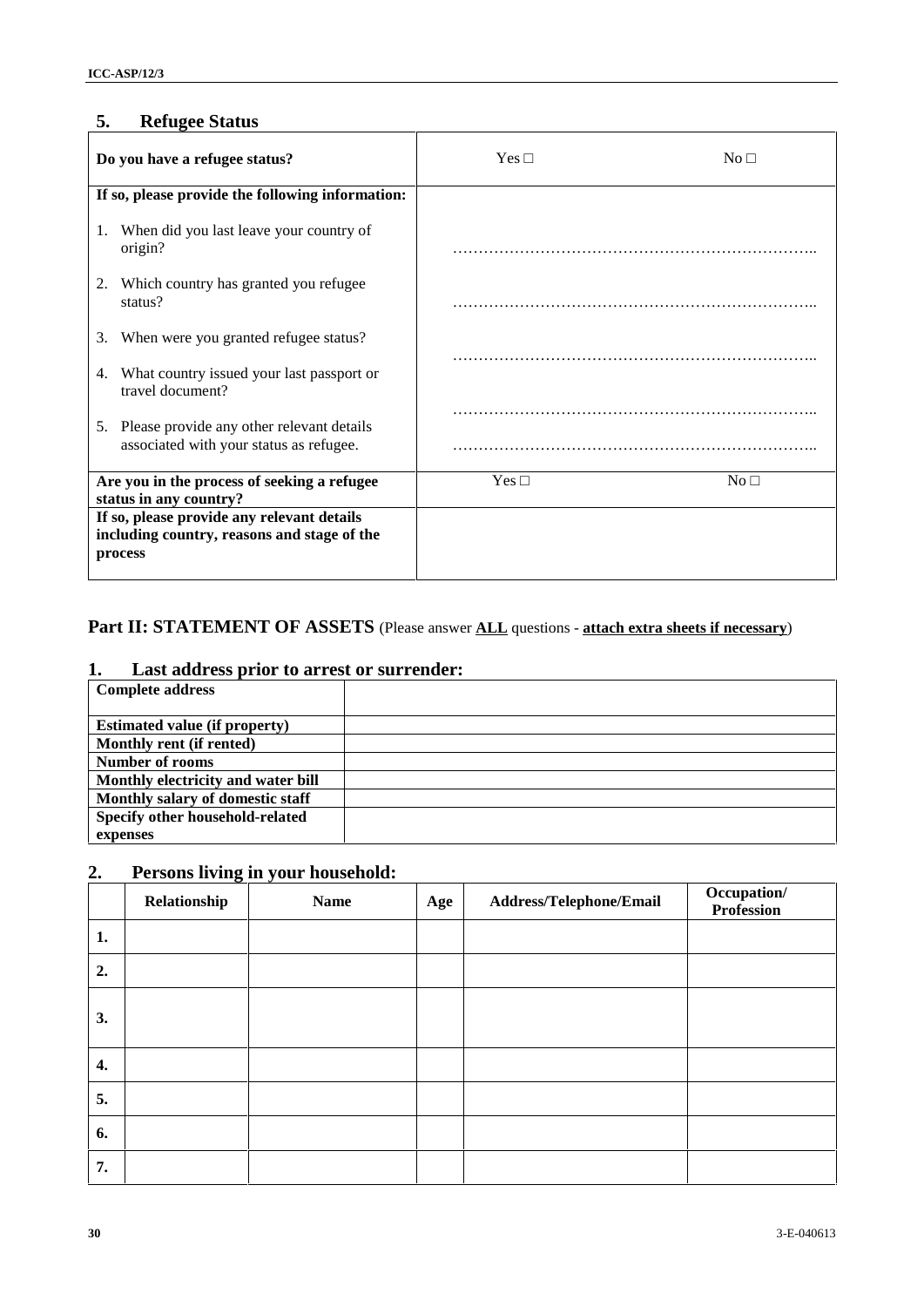## **5. Refugee Status**

| 5.       | <b>Refugee Status</b>                                                                                                                                                                                                                                                                 |             |     |                         |                           |
|----------|---------------------------------------------------------------------------------------------------------------------------------------------------------------------------------------------------------------------------------------------------------------------------------------|-------------|-----|-------------------------|---------------------------|
|          | Do you have a refugee status?                                                                                                                                                                                                                                                         |             | Yes |                         | $\rm No$                  |
|          | If so, please provide the following information:                                                                                                                                                                                                                                      |             |     |                         |                           |
|          | 1. When did you last leave your country of<br>origin?                                                                                                                                                                                                                                 |             |     |                         |                           |
|          | 2. Which country has granted you refugee<br>status?                                                                                                                                                                                                                                   |             |     |                         |                           |
|          | 3. When were you granted refugee status?                                                                                                                                                                                                                                              |             |     |                         |                           |
|          | 4. What country issued your last passport or<br>travel document?                                                                                                                                                                                                                      |             |     |                         |                           |
|          | 5. Please provide any other relevant details<br>associated with your status as refugee.                                                                                                                                                                                               |             |     |                         |                           |
|          | Are you in the process of seeking a refugee<br>status in any country?                                                                                                                                                                                                                 |             | Yes |                         | No                        |
|          | If so, please provide any relevant details<br>including country, reasons and stage of the<br>process                                                                                                                                                                                  |             |     |                         |                           |
| 1.       | Last address prior to arrest or surrender:<br><b>Complete address</b><br><b>Estimated value (if property)</b><br>Monthly rent (if rented)<br>Number of rooms<br>Monthly electricity and water bill<br>Monthly salary of domestic staff<br>Specify other household-related<br>expenses |             |     |                         |                           |
| 2.<br>1. | Persons living in your household:<br>Relationship                                                                                                                                                                                                                                     | <b>Name</b> | Age | Address/Telephone/Email | Occupation/<br>Profession |
| 2.       |                                                                                                                                                                                                                                                                                       |             |     |                         |                           |
| 3.       |                                                                                                                                                                                                                                                                                       |             |     |                         |                           |
| 4.       |                                                                                                                                                                                                                                                                                       |             |     |                         |                           |
| 5.       |                                                                                                                                                                                                                                                                                       |             |     |                         |                           |
| 6.       |                                                                                                                                                                                                                                                                                       |             |     |                         |                           |
| 7.       |                                                                                                                                                                                                                                                                                       |             |     |                         |                           |
| 30       |                                                                                                                                                                                                                                                                                       |             |     |                         | 3-E-040613                |

## **Part II: STATEMENT OF ASSETS** (Please answer **ALL** questions - **attach extra sheets if necessary**)

### **1. Last address prior to arrest or surrender:**

| <b>Complete address</b>              |  |
|--------------------------------------|--|
|                                      |  |
| <b>Estimated value (if property)</b> |  |
| Monthly rent (if rented)             |  |
| <b>Number of rooms</b>               |  |
| Monthly electricity and water bill   |  |
| Monthly salary of domestic staff     |  |
| Specify other household-related      |  |
| expenses                             |  |

## **2. Persons living in your household:**

|    | Relationship | <b>Name</b> | Age | Address/Telephone/Email | Occupation/<br>Profession |
|----|--------------|-------------|-----|-------------------------|---------------------------|
| 1. |              |             |     |                         |                           |
| 2. |              |             |     |                         |                           |
| 3. |              |             |     |                         |                           |
| 4. |              |             |     |                         |                           |
| 5. |              |             |     |                         |                           |
| 6. |              |             |     |                         |                           |
| 7. |              |             |     |                         |                           |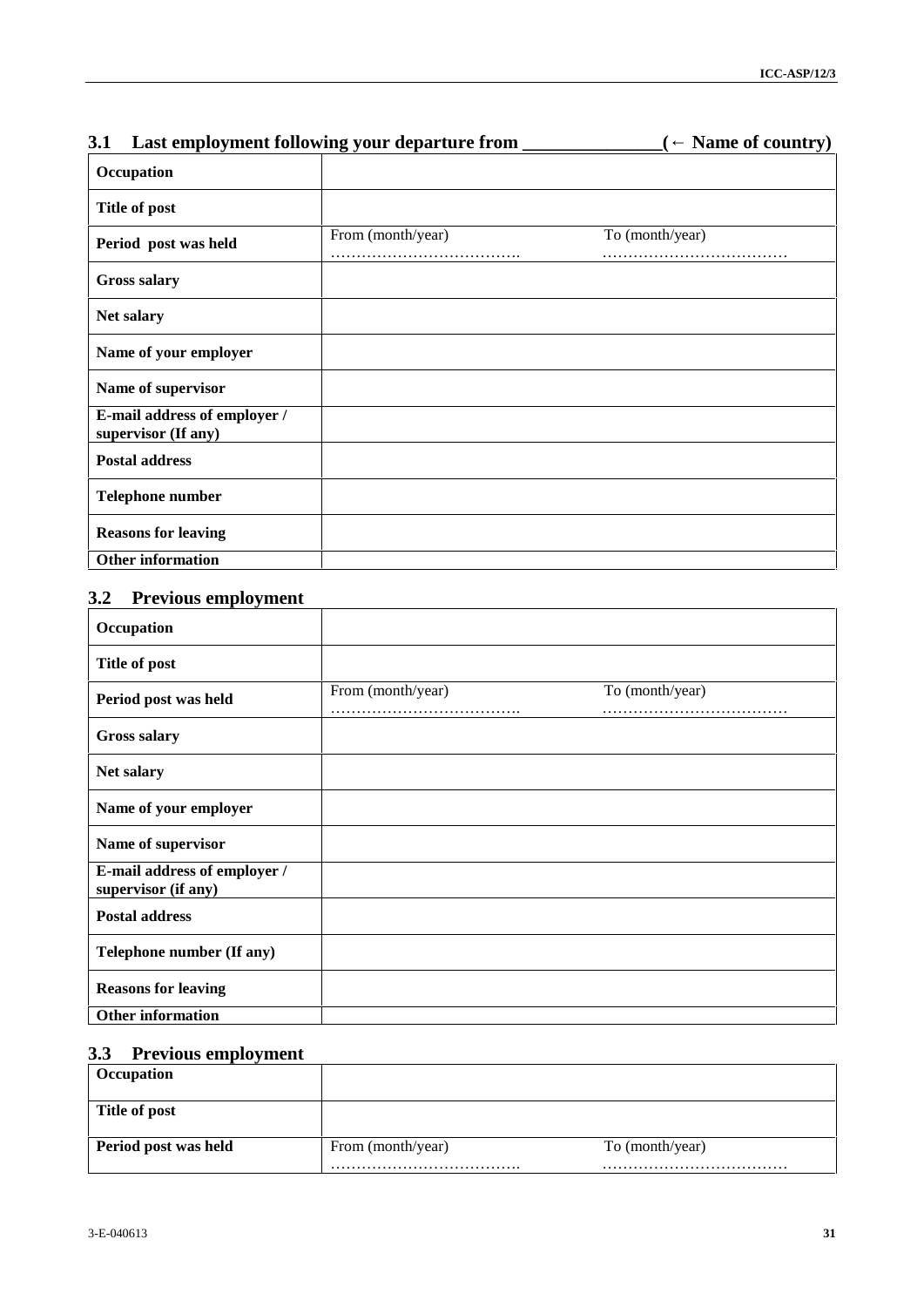| 3.1                                                | Last employment following your departure from _ | Name of country) |
|----------------------------------------------------|-------------------------------------------------|------------------|
| Occupation                                         |                                                 |                  |
| Title of post                                      |                                                 |                  |
| Period post was held                               | From (month/year)                               | To (month/year)  |
| <b>Gross salary</b>                                |                                                 |                  |
| Net salary                                         |                                                 |                  |
| Name of your employer                              |                                                 |                  |
| Name of supervisor                                 |                                                 |                  |
| E-mail address of employer /                       |                                                 |                  |
| supervisor (If any)<br><b>Postal address</b>       |                                                 |                  |
| Telephone number                                   |                                                 |                  |
| <b>Reasons for leaving</b>                         |                                                 |                  |
| Other information                                  |                                                 |                  |
| <b>Previous employment</b><br>3.2                  |                                                 |                  |
| Occupation                                         |                                                 |                  |
| Title of post                                      |                                                 |                  |
| Period post was held                               | From (month/year)                               | To (month/year)  |
| <b>Gross salary</b>                                |                                                 |                  |
| Net salary                                         |                                                 |                  |
|                                                    |                                                 |                  |
| Name of your employer                              |                                                 |                  |
| Name of supervisor<br>E-mail address of employer / |                                                 |                  |
| supervisor (if any)                                |                                                 |                  |
| <b>Postal address</b>                              |                                                 |                  |
| Telephone number (If any)                          |                                                 |                  |
| <b>Reasons for leaving</b>                         |                                                 |                  |
| Other information                                  |                                                 |                  |
| 3.3<br><b>Previous employment</b><br>Occupation    |                                                 |                  |
|                                                    |                                                 |                  |
| Title of post                                      |                                                 |                  |
| Period post was held                               | From (month/year)                               | To (month/year)  |

## **3.2 Previous employment**

| Occupation                                          |                   |                 |  |
|-----------------------------------------------------|-------------------|-----------------|--|
| Title of post                                       |                   |                 |  |
| Period post was held                                | From (month/year) | To (month/year) |  |
| <b>Gross salary</b>                                 |                   |                 |  |
| Net salary                                          |                   |                 |  |
| Name of your employer                               |                   |                 |  |
| Name of supervisor                                  |                   |                 |  |
| E-mail address of employer /<br>supervisor (if any) |                   |                 |  |
| <b>Postal address</b>                               |                   |                 |  |
| Telephone number (If any)                           |                   |                 |  |
| <b>Reasons for leaving</b>                          |                   |                 |  |
| <b>Other information</b>                            |                   |                 |  |

## **3.3 Previous employment**

| <b>Occupation</b>    |                   |                 |
|----------------------|-------------------|-----------------|
| Title of post        |                   |                 |
| Period post was held | From (month/year) | To (month/year) |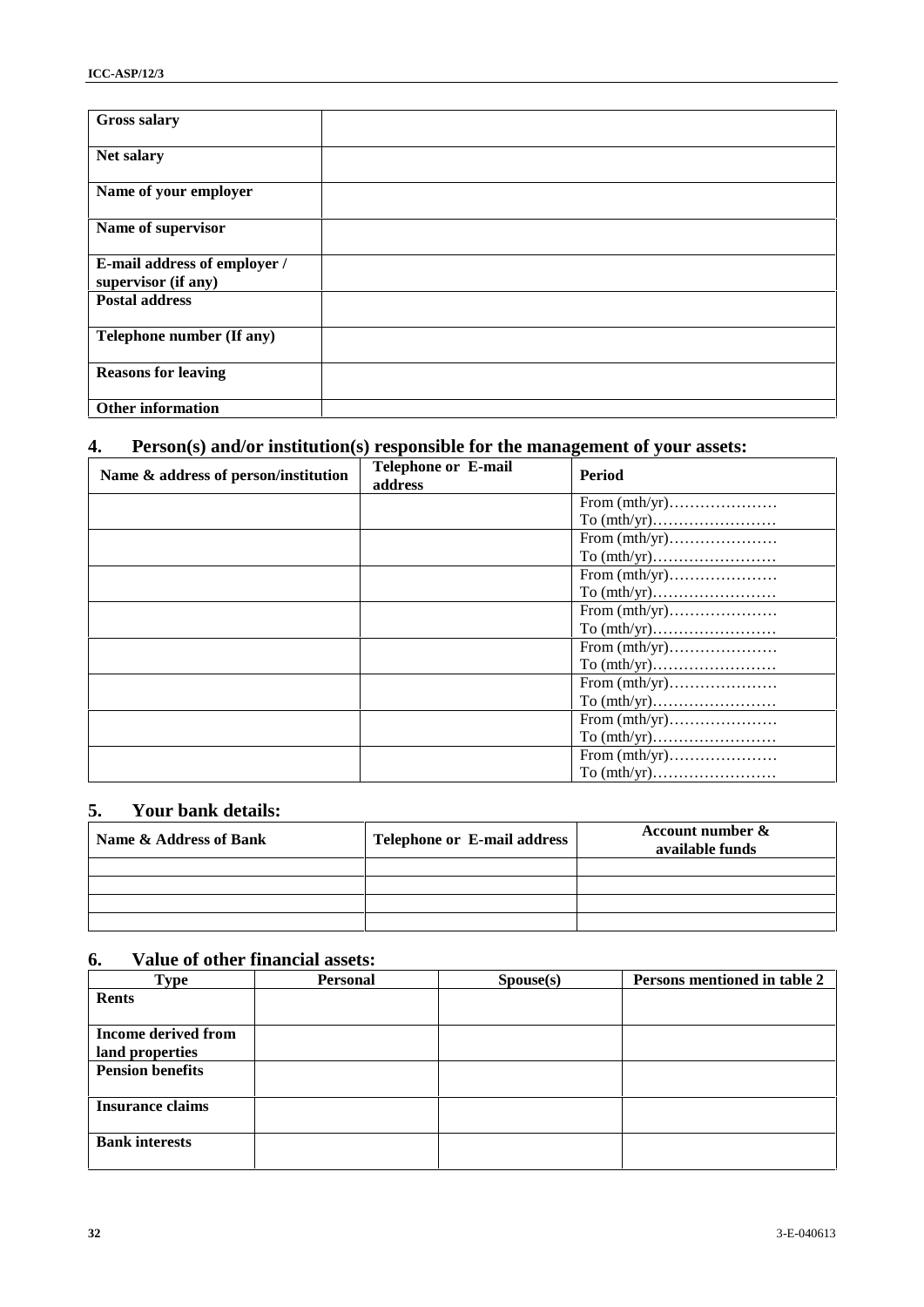| <b>Gross salary</b>                                 |  |
|-----------------------------------------------------|--|
| Net salary                                          |  |
| Name of your employer                               |  |
| Name of supervisor                                  |  |
| E-mail address of employer /<br>supervisor (if any) |  |
| <b>Postal address</b>                               |  |
| Telephone number (If any)                           |  |
| <b>Reasons for leaving</b>                          |  |
| <b>Other information</b>                            |  |

## **4. Person(s) and/or institution(s) responsible for the management of your assets:**

| <b>Gross salary</b>                                                                  |                 |                             |                                     |
|--------------------------------------------------------------------------------------|-----------------|-----------------------------|-------------------------------------|
| Net salary                                                                           |                 |                             |                                     |
| Name of your employer                                                                |                 |                             |                                     |
| Name of supervisor                                                                   |                 |                             |                                     |
| E-mail address of employer /<br>supervisor (if any)                                  |                 |                             |                                     |
| <b>Postal address</b>                                                                |                 |                             |                                     |
| Telephone number (If any)                                                            |                 |                             |                                     |
| <b>Reasons for leaving</b>                                                           |                 |                             |                                     |
| Other information                                                                    |                 |                             |                                     |
|                                                                                      |                 |                             |                                     |
| Person(s) and/or institution(s) responsible for the management of your assets:<br>4. |                 | Telephone or E-mail         |                                     |
| Name & address of person/institution                                                 | address         |                             | <b>Period</b>                       |
|                                                                                      |                 |                             |                                     |
|                                                                                      |                 |                             |                                     |
|                                                                                      |                 |                             |                                     |
|                                                                                      |                 |                             |                                     |
|                                                                                      |                 |                             |                                     |
|                                                                                      |                 |                             |                                     |
|                                                                                      |                 |                             |                                     |
|                                                                                      |                 |                             |                                     |
|                                                                                      |                 |                             |                                     |
|                                                                                      |                 |                             |                                     |
|                                                                                      |                 |                             |                                     |
|                                                                                      |                 |                             |                                     |
|                                                                                      |                 |                             |                                     |
|                                                                                      |                 |                             |                                     |
|                                                                                      |                 |                             |                                     |
| 5.<br>Your bank details:                                                             |                 |                             |                                     |
| Name & Address of Bank                                                               |                 | Telephone or E-mail address | Account number &<br>available funds |
|                                                                                      |                 |                             |                                     |
|                                                                                      |                 |                             |                                     |
|                                                                                      |                 |                             |                                     |
|                                                                                      |                 |                             |                                     |
| Value of other financial assets:<br>6.                                               |                 |                             |                                     |
| <b>Type</b><br><b>Rents</b>                                                          | <b>Personal</b> | Spouse(s)                   | Persons mentioned in table 2        |
| <b>Income derived from</b>                                                           |                 |                             |                                     |
| land properties                                                                      |                 |                             |                                     |
| <b>Pension benefits</b>                                                              |                 |                             |                                     |
| <b>Insurance claims</b>                                                              |                 |                             |                                     |
| <b>Bank interests</b>                                                                |                 |                             |                                     |
|                                                                                      |                 |                             |                                     |
|                                                                                      |                 |                             |                                     |
|                                                                                      |                 |                             |                                     |
| 32                                                                                   |                 |                             | 3-E-040613                          |

## **5. Your bank details:**

| Name & Address of Bank | <b>Telephone or E-mail address</b> | Account number $\&$<br>available funds |
|------------------------|------------------------------------|----------------------------------------|
|                        |                                    |                                        |
|                        |                                    |                                        |
|                        |                                    |                                        |
|                        |                                    |                                        |

## **6. Value of other financial assets:**

| <b>Type</b>                | <b>Personal</b> | $\text{Spouse}(s)$ | Persons mentioned in table 2 |
|----------------------------|-----------------|--------------------|------------------------------|
| <b>Rents</b>               |                 |                    |                              |
|                            |                 |                    |                              |
| <b>Income derived from</b> |                 |                    |                              |
| land properties            |                 |                    |                              |
| <b>Pension benefits</b>    |                 |                    |                              |
|                            |                 |                    |                              |
| <b>Insurance claims</b>    |                 |                    |                              |
|                            |                 |                    |                              |
| <b>Bank interests</b>      |                 |                    |                              |
|                            |                 |                    |                              |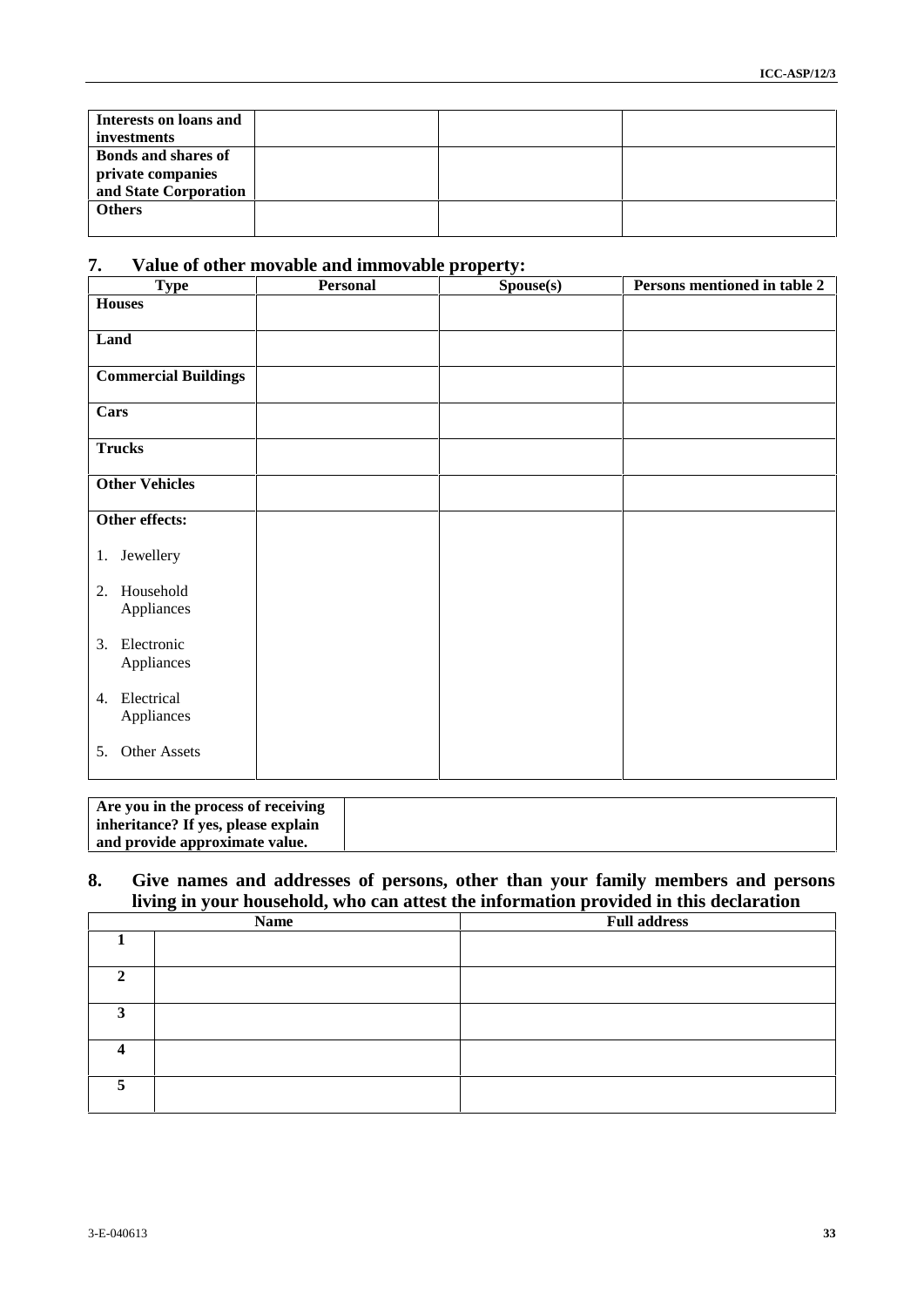| Interests on loans and<br>investments                                    |  |  |
|--------------------------------------------------------------------------|--|--|
| <b>Bonds and shares of</b><br>private companies<br>and State Corporation |  |  |
| <b>Others</b>                                                            |  |  |

## **7. Value of other movable and immovable property:**

| Interests on loans and<br>investments      |                                                                            |           |                                                                                       |
|--------------------------------------------|----------------------------------------------------------------------------|-----------|---------------------------------------------------------------------------------------|
| <b>Bonds and shares of</b>                 |                                                                            |           |                                                                                       |
| private companies<br>and State Corporation |                                                                            |           |                                                                                       |
| <b>Others</b>                              |                                                                            |           |                                                                                       |
|                                            |                                                                            |           |                                                                                       |
| 7.<br><b>Type</b>                          | Value of other movable and immovable property:<br>Personal                 | Spouse(s) | Persons mentioned in table 2                                                          |
| <b>Houses</b>                              |                                                                            |           |                                                                                       |
| Land                                       |                                                                            |           |                                                                                       |
| <b>Commercial Buildings</b>                |                                                                            |           |                                                                                       |
|                                            |                                                                            |           |                                                                                       |
| Cars                                       |                                                                            |           |                                                                                       |
| <b>Trucks</b>                              |                                                                            |           |                                                                                       |
| <b>Other Vehicles</b>                      |                                                                            |           |                                                                                       |
| Other effects:                             |                                                                            |           |                                                                                       |
| 1. Jewellery                               |                                                                            |           |                                                                                       |
|                                            |                                                                            |           |                                                                                       |
| 2. Household<br>Appliances                 |                                                                            |           |                                                                                       |
| 3. Electronic                              |                                                                            |           |                                                                                       |
| Appliances                                 |                                                                            |           |                                                                                       |
| 4. Electrical                              |                                                                            |           |                                                                                       |
| Appliances                                 |                                                                            |           |                                                                                       |
| 5. Other Assets                            |                                                                            |           |                                                                                       |
|                                            |                                                                            |           |                                                                                       |
|                                            | Are you in the process of receiving<br>inheritance? If yes, please explain |           |                                                                                       |
|                                            | and provide approximate value.                                             |           |                                                                                       |
| 8.                                         |                                                                            |           | Give names and addresses of persons, other than your family members and persons       |
|                                            |                                                                            |           | living in your household, who can attest the information provided in this declaration |
| $\mathbf{1}$                               | <b>Name</b>                                                                |           | <b>Full address</b>                                                                   |
|                                            |                                                                            |           |                                                                                       |
| $\overline{2}$                             |                                                                            |           |                                                                                       |
| 3 <sup>7</sup>                             |                                                                            |           |                                                                                       |
| $\overline{\mathbf{4}}$                    |                                                                            |           |                                                                                       |
| 5                                          |                                                                            |           |                                                                                       |
|                                            |                                                                            |           |                                                                                       |
|                                            |                                                                            |           |                                                                                       |
|                                            |                                                                            |           |                                                                                       |
|                                            |                                                                            |           |                                                                                       |
| 3-E-040613                                 |                                                                            |           | 33                                                                                    |
|                                            |                                                                            |           |                                                                                       |

| Are you in the process of receiving |  |
|-------------------------------------|--|
| inheritance? If yes, please explain |  |
| and provide approximate value.      |  |

### **8. Give names and addresses of persons, other than your family members and persons living in your household, who can attest the information provided in this declaration**

| <b>Name</b>    |  | <b>Full address</b> |
|----------------|--|---------------------|
|                |  |                     |
| ◠              |  |                     |
| $\mathbf{a}$   |  |                     |
|                |  |                     |
| $\overline{c}$ |  |                     |